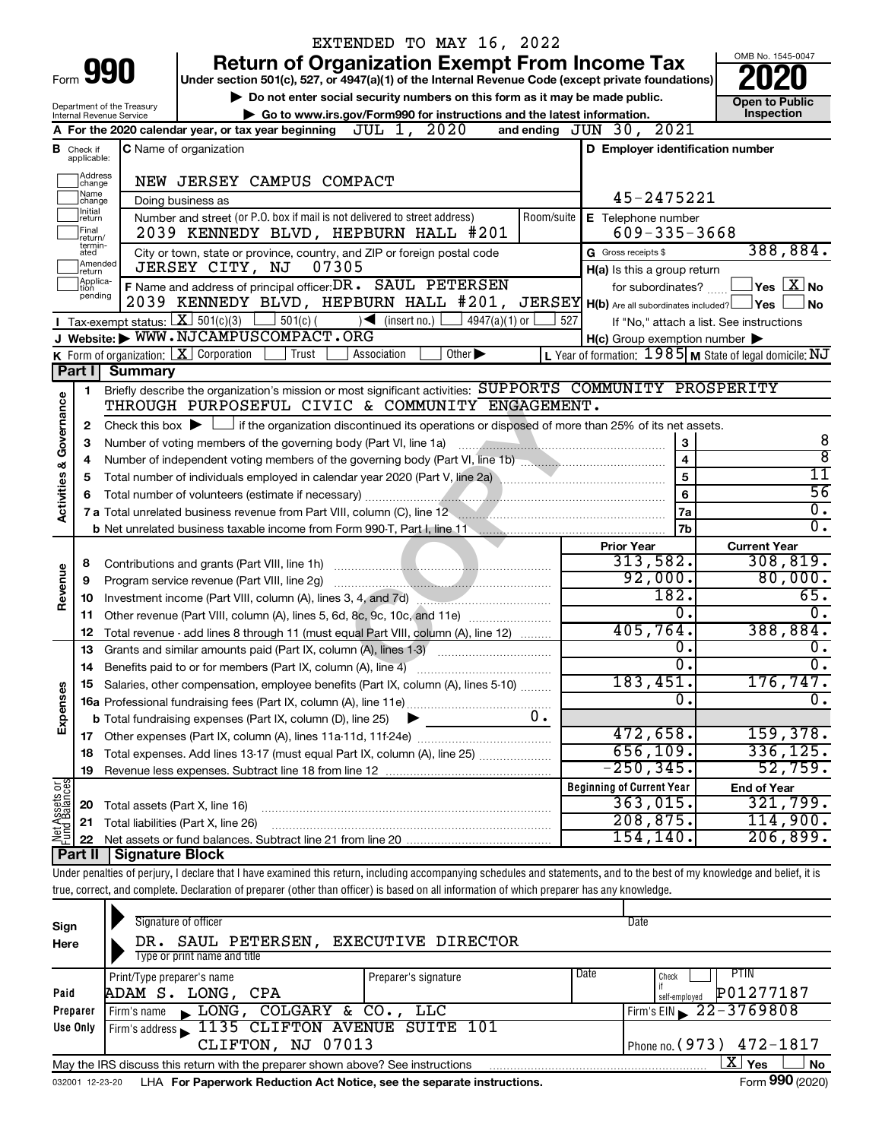|                         |                         |                                                                 | EXTENDED TO MAY 16, 2022                                                                                                                                                   |                                                           |                                                                 |
|-------------------------|-------------------------|-----------------------------------------------------------------|----------------------------------------------------------------------------------------------------------------------------------------------------------------------------|-----------------------------------------------------------|-----------------------------------------------------------------|
|                         |                         |                                                                 | <b>Return of Organization Exempt From Income Tax</b>                                                                                                                       |                                                           | OMB No. 1545-0047                                               |
|                         |                         | Form <b>990</b>                                                 | Under section 501(c), 527, or 4947(a)(1) of the Internal Revenue Code (except private foundations)                                                                         |                                                           |                                                                 |
|                         |                         |                                                                 | Do not enter social security numbers on this form as it may be made public.                                                                                                |                                                           | <b>Open to Public</b>                                           |
|                         |                         | Department of the Treasury<br>Internal Revenue Service          | Go to www.irs.gov/Form990 for instructions and the latest information.                                                                                                     | Inspection                                                |                                                                 |
|                         |                         |                                                                 | 2020<br>JUL 1,<br>A For the 2020 calendar year, or tax year beginning                                                                                                      | and ending JUN 30, 2021                                   |                                                                 |
| в                       | Check if<br>applicable: |                                                                 | C Name of organization                                                                                                                                                     | D Employer identification number                          |                                                                 |
|                         | Address<br>change       |                                                                 | NEW JERSEY CAMPUS COMPACT                                                                                                                                                  |                                                           |                                                                 |
|                         | Name<br>change          |                                                                 | Doing business as                                                                                                                                                          | 45-2475221                                                |                                                                 |
|                         | Initial<br>∣return      |                                                                 | Number and street (or P.O. box if mail is not delivered to street address)<br>Room/suite                                                                                   | E Telephone number                                        |                                                                 |
|                         | Final<br>return/        |                                                                 | 2039 KENNEDY BLVD, HEPBURN HALL #201                                                                                                                                       | $609 - 335 - 3668$                                        |                                                                 |
|                         | termin-<br>ated         |                                                                 | City or town, state or province, country, and ZIP or foreign postal code                                                                                                   | G Gross receipts \$                                       | 388,884.                                                        |
|                         | Amended<br>Ireturn      |                                                                 | JERSEY CITY, NJ<br>07305                                                                                                                                                   | H(a) Is this a group return                               |                                                                 |
|                         | Applica-<br>Ition       |                                                                 | F Name and address of principal officer: DR . SAUL PETERSEN                                                                                                                | for subordinates?                                         | $ {\mathsf Y}{\mathsf e}{\mathsf s} \mid \overline{{\rm X}}$ No |
|                         | pending                 |                                                                 | 2039 KENNEDY BLVD, HEPBURN HALL #201, JERSEY H(b) Are all subordinates included? Yes                                                                                       |                                                           | No                                                              |
|                         |                         |                                                                 | Tax-exempt status: $X \overline{301(c)(3)}$<br>$\frac{1}{2}$ 501(c) (<br>$\sqrt{\bullet}$ (insert no.)<br>$4947(a)(1)$ or                                                  | 527                                                       | If "No," attach a list. See instructions                        |
|                         |                         |                                                                 | J Website: WWW.NJCAMPUSCOMPACT.ORG                                                                                                                                         | $H(c)$ Group exemption number $\blacktriangleright$       |                                                                 |
|                         |                         | <b>K</b> Form of organization: $\boxed{\mathbf{X}}$ Corporation | Trust<br>Association<br>$\overline{Other}$                                                                                                                                 | L Year of formation: $1985$ M State of legal domicile: NJ |                                                                 |
|                         |                         | Part I Summary                                                  |                                                                                                                                                                            |                                                           |                                                                 |
|                         | 1                       |                                                                 | Briefly describe the organization's mission or most significant activities: SUPPORTS COMMUNITY PROSPERITY                                                                  |                                                           |                                                                 |
| Governance              |                         |                                                                 | THROUGH PURPOSEFUL CIVIC & COMMUNITY ENGAGEMENT.                                                                                                                           |                                                           |                                                                 |
|                         | 2                       |                                                                 | Check this box $\blacktriangleright$ $\Box$ if the organization discontinued its operations or disposed of more than 25% of its net assets.                                |                                                           |                                                                 |
|                         | 3                       |                                                                 | Number of voting members of the governing body (Part VI, line 1a)                                                                                                          | 3                                                         | 8                                                               |
|                         | 4                       |                                                                 |                                                                                                                                                                            | $\overline{\mathbf{4}}$                                   | $\overline{8}$                                                  |
|                         | 5                       |                                                                 |                                                                                                                                                                            | $\overline{5}$                                            | 11                                                              |
|                         | 6                       |                                                                 |                                                                                                                                                                            | $6\phantom{a}$                                            | 56                                                              |
| <b>Activities &amp;</b> |                         |                                                                 | 7 a Total unrelated business revenue from Part VIII, column (C), line 12 <b>Column Contract Contract Contract Contract</b>                                                 | <b>7a</b>                                                 | $\overline{0}$ .                                                |
|                         |                         |                                                                 |                                                                                                                                                                            | 7b                                                        | 0.                                                              |
|                         |                         |                                                                 |                                                                                                                                                                            | <b>Prior Year</b>                                         | <b>Current Year</b>                                             |
|                         | 8                       |                                                                 | Contributions and grants (Part VIII, line 1h)                                                                                                                              | 313,582.                                                  | 308, 819.                                                       |
| Revenue                 | 9                       |                                                                 | Program service revenue (Part VIII, line 2g)                                                                                                                               | 92,000.                                                   | 80,000.                                                         |
|                         | 10                      |                                                                 | Investment income (Part VIII, column (A), lines 3, 4, and 7d)                                                                                                              | 182.                                                      | 65.                                                             |
|                         | 11                      |                                                                 | Other revenue (Part VIII, column (A), lines 5, 6d, 8c, 9c, 10c, and 11e)                                                                                                   | 0.                                                        | 0.                                                              |
|                         | 12                      |                                                                 | Total revenue - add lines 8 through 11 (must equal Part VIII, column (A), line 12)                                                                                         | 405,764.                                                  | 388,884.                                                        |
|                         | 13                      |                                                                 | Grants and similar amounts paid (Part IX, column (A), lines 1-3)                                                                                                           | 0.<br>σ.                                                  | 0.                                                              |
|                         | 14                      |                                                                 | Benefits paid to or for members (Part IX, column (A), line 4)                                                                                                              |                                                           | о.                                                              |
|                         |                         |                                                                 | 15 Salaries, other compensation, employee benefits (Part IX, column (A), lines 5-10)                                                                                       | 183,451.<br>$\mathbf{0}$ .                                | 176,747 <b>.</b><br>σ.                                          |
| Expenses                |                         |                                                                 | 0.                                                                                                                                                                         |                                                           |                                                                 |
|                         |                         |                                                                 | <b>b</b> Total fundraising expenses (Part IX, column (D), line 25)                                                                                                         | 472,658.                                                  | 159,378.                                                        |
|                         |                         |                                                                 |                                                                                                                                                                            | 656, 109.                                                 | 336, 125.                                                       |
|                         | 18                      |                                                                 | Total expenses. Add lines 13-17 (must equal Part IX, column (A), line 25)                                                                                                  | $-250,345.$                                               | 52,759.                                                         |
|                         | 19                      |                                                                 |                                                                                                                                                                            | <b>Beginning of Current Year</b>                          | <b>End of Year</b>                                              |
| Net Assets or           | 20                      | Total assets (Part X, line 16)                                  |                                                                                                                                                                            | 363,015.                                                  | $32\overline{1,799}$ .                                          |
|                         | 21                      |                                                                 | Total liabilities (Part X, line 26)                                                                                                                                        | 208, 875.                                                 | 114,900.                                                        |
|                         | 22                      |                                                                 |                                                                                                                                                                            | 154,140.                                                  | 206,899.                                                        |
|                         | ∣ Part II               | <b>Signature Block</b>                                          |                                                                                                                                                                            |                                                           |                                                                 |
|                         |                         |                                                                 | Under penalties of perjury, I declare that I have examined this return, including accompanying schedules and statements, and to the best of my knowledge and belief, it is |                                                           |                                                                 |
|                         |                         |                                                                 | true, correct, and complete. Declaration of preparer (other than officer) is based on all information of which preparer has any knowledge.                                 |                                                           |                                                                 |
|                         |                         |                                                                 |                                                                                                                                                                            |                                                           |                                                                 |
| Sign                    |                         |                                                                 | Signature of officer                                                                                                                                                       | Date                                                      |                                                                 |
| Here                    |                         |                                                                 | DR. SAUL PETERSEN, EXECUTIVE DIRECTOR                                                                                                                                      |                                                           |                                                                 |
|                         |                         |                                                                 | Type or print name and title                                                                                                                                               |                                                           |                                                                 |

|          | Type or print name and title                                                                 |                      |      |                             |  |  |  |  |
|----------|----------------------------------------------------------------------------------------------|----------------------|------|-----------------------------|--|--|--|--|
|          | Print/Type preparer's name                                                                   | Preparer's signature | Date | PTIN<br>Check               |  |  |  |  |
| Paid     | ADAM S. LONG, CPA                                                                            |                      |      | P01277187<br>self-emploved  |  |  |  |  |
| Preparer | LONG, COLGARY & CO., LLC<br>Firm's name                                                      |                      |      | $Firm's EIN = 22 - 3769808$ |  |  |  |  |
| Use Only | Firm's address 1135 CLIFTON AVENUE SUITE 101                                                 |                      |      |                             |  |  |  |  |
|          | CLIFTON, NJ 07013                                                                            |                      |      | Phone no. (973) 472-1817    |  |  |  |  |
|          | Yes<br>No<br>May the IRS discuss this return with the preparer shown above? See instructions |                      |      |                             |  |  |  |  |
|          | $\mathbf{a} \mathbf{a} \mathbf{b}$                                                           |                      |      |                             |  |  |  |  |

032001 12-23-20 LHA **For Paperwork Reduction Act Notice, see the separate instructions.** Form 990 (2020)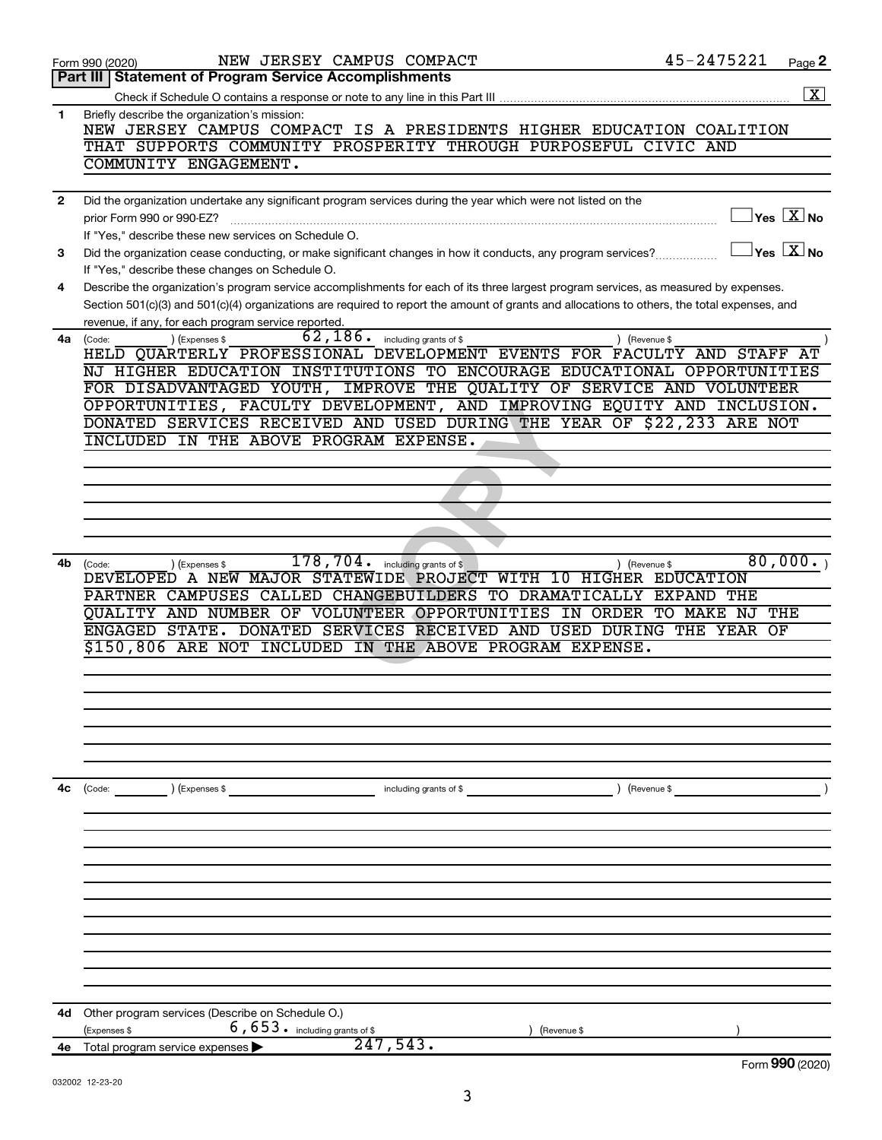|              | NEW JERSEY CAMPUS COMPACT<br>Form 990 (2020)                                                                                                 | 45-2475221           | Page 2                                    |
|--------------|----------------------------------------------------------------------------------------------------------------------------------------------|----------------------|-------------------------------------------|
|              | <b>Statement of Program Service Accomplishments</b><br>Part III I                                                                            |                      |                                           |
|              | Check if Schedule O contains a response or note to any line in this Part III                                                                 |                      | $\overline{\mathbf{X}}$                   |
| 1            | Briefly describe the organization's mission:<br>NEW JERSEY CAMPUS COMPACT IS A PRESIDENTS HIGHER EDUCATION COALITION                         |                      |                                           |
|              | THAT SUPPORTS COMMUNITY PROSPERITY THROUGH PURPOSEFUL CIVIC AND<br>COMMUNITY ENGAGEMENT.                                                     |                      |                                           |
|              |                                                                                                                                              |                      |                                           |
| $\mathbf{2}$ | Did the organization undertake any significant program services during the year which were not listed on the                                 |                      |                                           |
|              | prior Form 990 or 990-EZ?                                                                                                                    |                      | $\sqrt{\mathsf{Yes}\ \mathbf{X}}$ No      |
|              | If "Yes," describe these new services on Schedule O.                                                                                         |                      |                                           |
| 3            | Did the organization cease conducting, or make significant changes in how it conducts, any program services?                                 |                      | $\overline{\ }$ Yes $\overline{\ \ X}$ No |
|              | If "Yes," describe these changes on Schedule O.                                                                                              |                      |                                           |
| 4            | Describe the organization's program service accomplishments for each of its three largest program services, as measured by expenses.         |                      |                                           |
|              | Section 501(c)(3) and 501(c)(4) organizations are required to report the amount of grants and allocations to others, the total expenses, and |                      |                                           |
|              | revenue, if any, for each program service reported.<br>$\overline{62}$ , $186$ $\cdot$ including grants of \$                                |                      |                                           |
| 4a           | ) (Expenses \$<br>) (Revenue \$<br>(Code:<br>HELD QUARTERLY PROFESSIONAL DEVELOPMENT EVENTS FOR FACULTY AND STAFF                            |                      |                                           |
|              | NJ HIGHER EDUCATION INSTITUTIONS TO ENCOURAGE EDUCATIONAL OPPORTUNITIES                                                                      |                      |                                           |
|              | FOR DISADVANTAGED YOUTH, IMPROVE THE QUALITY OF SERVICE AND VOLUNTEER                                                                        |                      |                                           |
|              | OPPORTUNITIES, FACULTY DEVELOPMENT, AND IMPROVING EQUITY AND INCLUSION.                                                                      |                      |                                           |
|              | DONATED SERVICES RECEIVED AND USED DURING THE YEAR OF \$22,233 ARE NOT                                                                       |                      |                                           |
|              | INCLUDED IN THE ABOVE PROGRAM EXPENSE.                                                                                                       |                      |                                           |
|              |                                                                                                                                              |                      |                                           |
|              |                                                                                                                                              |                      |                                           |
|              |                                                                                                                                              |                      |                                           |
|              |                                                                                                                                              |                      |                                           |
|              |                                                                                                                                              |                      |                                           |
| 4b           | 178,704.<br>including grants of \$<br>) (Revenue \$<br>(Code:<br>) (Expenses \$                                                              |                      | 80,000.                                   |
|              | DEVELOPED A NEW MAJOR STATEWIDE PROJECT WITH 10 HIGHER EDUCATION                                                                             |                      |                                           |
|              | PARTNER CAMPUSES CALLED CHANGEBUILDERS TO DRAMATICALLY                                                                                       | <b>EXPAND</b><br>THE |                                           |
|              | QUALITY AND NUMBER OF VOLUNTEER OPPORTUNITIES IN ORDER TO MAKE NJ<br>ENGAGED STATE. DONATED SERVICES RECEIVED AND USED DURING THE YEAR OF    |                      | THE                                       |
|              | \$150,806 ARE NOT INCLUDED IN THE ABOVE PROGRAM EXPENSE.                                                                                     |                      |                                           |
|              |                                                                                                                                              |                      |                                           |
|              |                                                                                                                                              |                      |                                           |
|              |                                                                                                                                              |                      |                                           |
|              |                                                                                                                                              |                      |                                           |
|              |                                                                                                                                              |                      |                                           |
|              |                                                                                                                                              |                      |                                           |
|              |                                                                                                                                              |                      |                                           |
| 4c           | including grants of \$<br>$\left(\text{Code:}\right)$<br>) (Expenses \$<br>) (Revenue \$                                                     |                      |                                           |
|              |                                                                                                                                              |                      |                                           |
|              |                                                                                                                                              |                      |                                           |
|              |                                                                                                                                              |                      |                                           |
|              |                                                                                                                                              |                      |                                           |
|              |                                                                                                                                              |                      |                                           |
|              |                                                                                                                                              |                      |                                           |
|              |                                                                                                                                              |                      |                                           |
|              |                                                                                                                                              |                      |                                           |
|              |                                                                                                                                              |                      |                                           |
|              |                                                                                                                                              |                      |                                           |
| 4d           | Other program services (Describe on Schedule O.)                                                                                             |                      |                                           |
|              | 6,653. including grants of \$<br>(Expenses \$<br>(Revenue \$                                                                                 |                      |                                           |
| 4е           | 247,543.<br>Total program service expenses                                                                                                   |                      |                                           |
|              |                                                                                                                                              |                      | Form 990 (2020)                           |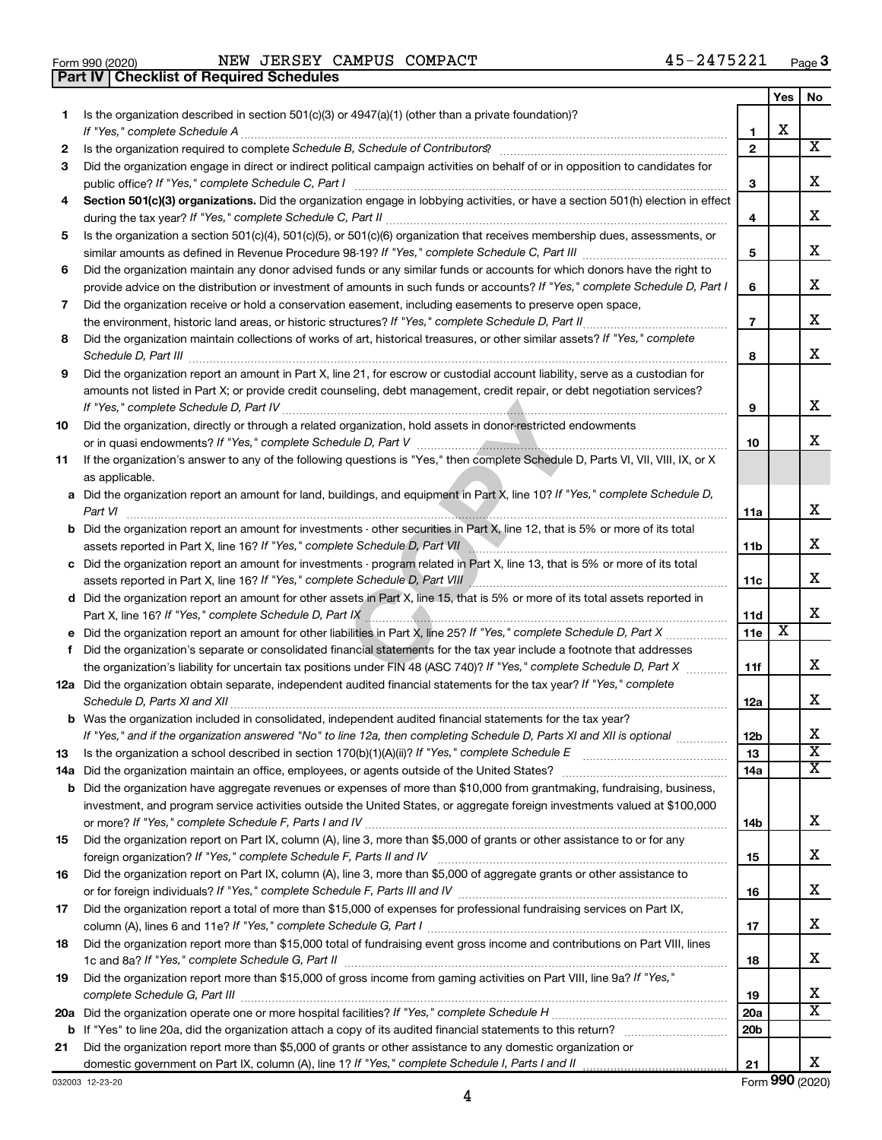| Form 990 (2020) |                                                | NEW JERSEY C |  |
|-----------------|------------------------------------------------|--------------|--|
|                 | <b>Part IV Checklist of Required Schedules</b> |              |  |

|    |                                                                                                                                                                                          |                   | Yes | No                      |
|----|------------------------------------------------------------------------------------------------------------------------------------------------------------------------------------------|-------------------|-----|-------------------------|
| 1  | Is the organization described in section $501(c)(3)$ or $4947(a)(1)$ (other than a private foundation)?                                                                                  |                   | х   |                         |
|    | If "Yes," complete Schedule A                                                                                                                                                            | 1<br>$\mathbf{2}$ |     | $\overline{\mathbf{X}}$ |
| 2  | Is the organization required to complete Schedule B, Schedule of Contributors? [1111] [11] the organization required to complete Schedule B, Schedule of Contributors?                   |                   |     |                         |
| 3  | Did the organization engage in direct or indirect political campaign activities on behalf of or in opposition to candidates for                                                          | 3                 |     | x                       |
| 4  | public office? If "Yes," complete Schedule C, Part I<br>Section 501(c)(3) organizations. Did the organization engage in lobbying activities, or have a section 501(h) election in effect |                   |     |                         |
|    |                                                                                                                                                                                          | 4                 |     | х                       |
| 5  | Is the organization a section 501(c)(4), 501(c)(5), or 501(c)(6) organization that receives membership dues, assessments, or                                                             |                   |     |                         |
|    |                                                                                                                                                                                          | 5                 |     | x                       |
| 6  | Did the organization maintain any donor advised funds or any similar funds or accounts for which donors have the right to                                                                |                   |     |                         |
|    | provide advice on the distribution or investment of amounts in such funds or accounts? If "Yes," complete Schedule D, Part I                                                             | 6                 |     | x                       |
| 7  | Did the organization receive or hold a conservation easement, including easements to preserve open space,                                                                                |                   |     |                         |
|    |                                                                                                                                                                                          | 7                 |     | x                       |
| 8  | Did the organization maintain collections of works of art, historical treasures, or other similar assets? If "Yes," complete                                                             |                   |     |                         |
|    | Schedule D, Part III                                                                                                                                                                     | 8                 |     | x                       |
| 9  | Did the organization report an amount in Part X, line 21, for escrow or custodial account liability, serve as a custodian for                                                            |                   |     |                         |
|    | amounts not listed in Part X; or provide credit counseling, debt management, credit repair, or debt negotiation services?                                                                |                   |     | x                       |
|    |                                                                                                                                                                                          | 9                 |     |                         |
| 10 | Did the organization, directly or through a related organization, hold assets in donor-restricted endowments                                                                             |                   |     | x                       |
| 11 | If the organization's answer to any of the following questions is "Yes," then complete Schedule D, Parts VI, VII, VIII, IX, or X                                                         | 10                |     |                         |
|    | as applicable.                                                                                                                                                                           |                   |     |                         |
|    | a Did the organization report an amount for land, buildings, and equipment in Part X, line 10? If "Yes," complete Schedule D,                                                            |                   |     |                         |
|    | Part VI                                                                                                                                                                                  | 11a               |     | x                       |
|    | <b>b</b> Did the organization report an amount for investments - other securities in Part X, line 12, that is 5% or more of its total                                                    |                   |     |                         |
|    |                                                                                                                                                                                          | 11 <sub>b</sub>   |     | x                       |
|    | c Did the organization report an amount for investments - program related in Part X, line 13, that is 5% or more of its total                                                            |                   |     |                         |
|    |                                                                                                                                                                                          | 11c               |     | x                       |
|    | d Did the organization report an amount for other assets in Part X, line 15, that is 5% or more of its total assets reported in                                                          |                   |     |                         |
|    |                                                                                                                                                                                          | 11d               |     | x                       |
|    |                                                                                                                                                                                          | 11e               | х   |                         |
| f  | Did the organization's separate or consolidated financial statements for the tax year include a footnote that addresses                                                                  |                   |     |                         |
|    | the organization's liability for uncertain tax positions under FIN 48 (ASC 740)? If "Yes," complete Schedule D, Part X                                                                   | 11f               |     | х                       |
|    | 12a Did the organization obtain separate, independent audited financial statements for the tax year? If "Yes," complete                                                                  | 12a               |     | x                       |
|    | <b>b</b> Was the organization included in consolidated, independent audited financial statements for the tax year?                                                                       |                   |     |                         |
|    | If "Yes." and if the organization answered "No" to line 12a, then completing Schedule D. Parts XI and XII is optional                                                                    | 12 <sub>b</sub>   |     | х                       |
| 13 |                                                                                                                                                                                          | 13                |     | $\overline{\textbf{X}}$ |
|    |                                                                                                                                                                                          | 14a               |     | $\overline{\mathbf{X}}$ |
|    | <b>b</b> Did the organization have aggregate revenues or expenses of more than \$10,000 from grantmaking, fundraising, business,                                                         |                   |     |                         |
|    | investment, and program service activities outside the United States, or aggregate foreign investments valued at \$100,000                                                               |                   |     |                         |
|    |                                                                                                                                                                                          | 14b               |     | x                       |
| 15 | Did the organization report on Part IX, column (A), line 3, more than \$5,000 of grants or other assistance to or for any                                                                |                   |     |                         |
|    |                                                                                                                                                                                          | 15                |     | x                       |
| 16 | Did the organization report on Part IX, column (A), line 3, more than \$5,000 of aggregate grants or other assistance to                                                                 |                   |     |                         |
|    |                                                                                                                                                                                          | 16                |     | х                       |
| 17 | Did the organization report a total of more than \$15,000 of expenses for professional fundraising services on Part IX,                                                                  |                   |     | x                       |
|    | Did the organization report more than \$15,000 total of fundraising event gross income and contributions on Part VIII, lines                                                             | 17                |     |                         |
| 18 |                                                                                                                                                                                          | 18                |     | x                       |
| 19 | Did the organization report more than \$15,000 of gross income from gaming activities on Part VIII, line 9a? If "Yes,"                                                                   |                   |     |                         |
|    |                                                                                                                                                                                          | 19                |     | х                       |
|    |                                                                                                                                                                                          | 20a               |     | $\overline{\mathtt{x}}$ |
|    |                                                                                                                                                                                          | 20 <sub>b</sub>   |     |                         |
| 21 | Did the organization report more than \$5,000 of grants or other assistance to any domestic organization or                                                                              |                   |     |                         |
|    |                                                                                                                                                                                          | 21                |     | x                       |

032003 12-23-20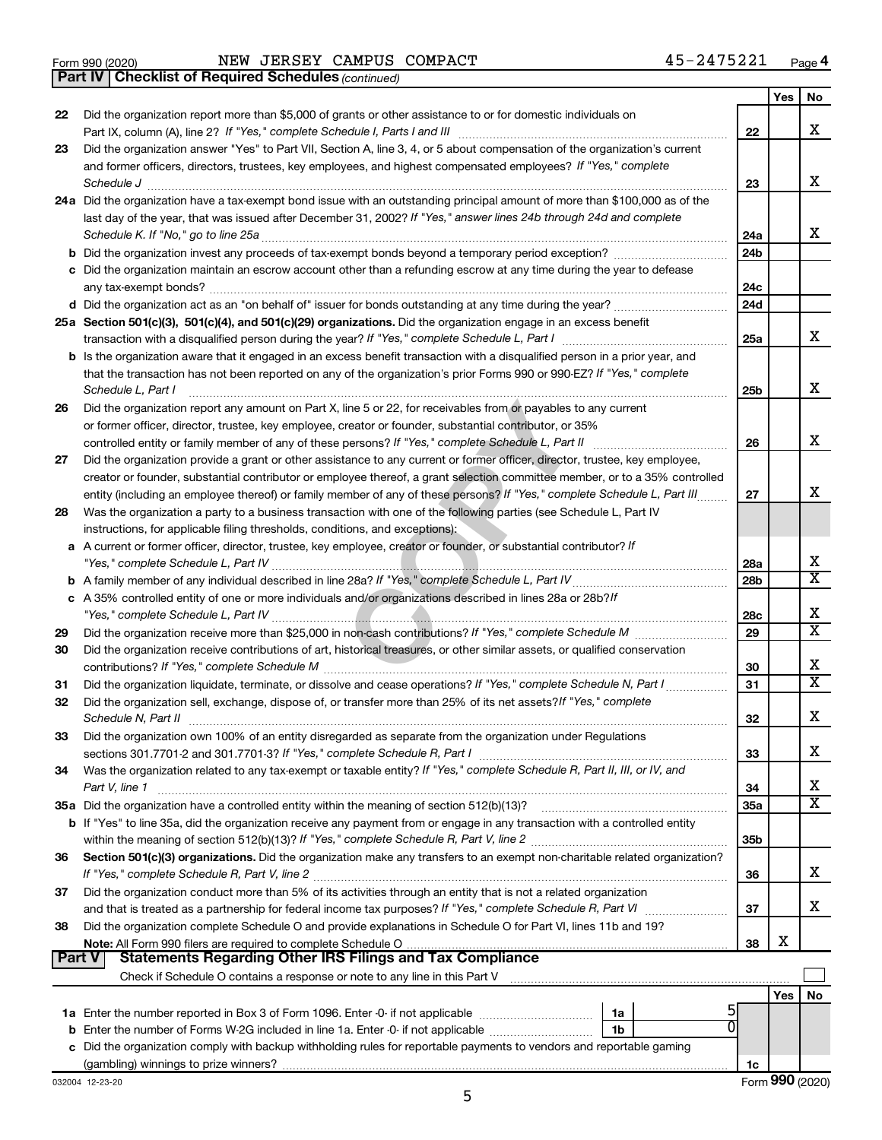|  | Form 990 (2020) |
|--|-----------------|
|  |                 |

*(continued)* **Part IV Checklist of Required Schedules**

|          |                                                                                                                                                                 |                 | Yes | No                      |
|----------|-----------------------------------------------------------------------------------------------------------------------------------------------------------------|-----------------|-----|-------------------------|
| 22       | Did the organization report more than \$5,000 of grants or other assistance to or for domestic individuals on                                                   |                 |     |                         |
|          |                                                                                                                                                                 | 22              |     | X                       |
| 23       | Did the organization answer "Yes" to Part VII, Section A, line 3, 4, or 5 about compensation of the organization's current                                      |                 |     |                         |
|          | and former officers, directors, trustees, key employees, and highest compensated employees? If "Yes," complete                                                  |                 |     |                         |
|          | Schedule J                                                                                                                                                      | 23              |     | х                       |
|          | 24a Did the organization have a tax-exempt bond issue with an outstanding principal amount of more than \$100,000 as of the                                     |                 |     |                         |
|          | last day of the year, that was issued after December 31, 2002? If "Yes," answer lines 24b through 24d and complete                                              |                 |     |                         |
|          |                                                                                                                                                                 | 24a             |     | х                       |
|          |                                                                                                                                                                 | 24 <sub>b</sub> |     |                         |
|          | c Did the organization maintain an escrow account other than a refunding escrow at any time during the year to defease                                          |                 |     |                         |
|          |                                                                                                                                                                 | 24c             |     |                         |
|          |                                                                                                                                                                 | 24 <sub>d</sub> |     |                         |
|          | 25a Section 501(c)(3), 501(c)(4), and 501(c)(29) organizations. Did the organization engage in an excess benefit                                                |                 |     |                         |
|          |                                                                                                                                                                 | 25a             |     | x                       |
|          | b Is the organization aware that it engaged in an excess benefit transaction with a disqualified person in a prior year, and                                    |                 |     |                         |
|          | that the transaction has not been reported on any of the organization's prior Forms 990 or 990-EZ? If "Yes," complete                                           |                 |     | х                       |
|          | Schedule L, Part I                                                                                                                                              | 25b             |     |                         |
| 26       | Did the organization report any amount on Part X, line 5 or 22, for receivables from or payables to any current                                                 |                 |     |                         |
|          | or former officer, director, trustee, key employee, creator or founder, substantial contributor, or 35%                                                         |                 |     | X                       |
|          | Did the organization provide a grant or other assistance to any current or former officer, director, trustee, key employee,                                     | 26              |     |                         |
| 27       | creator or founder, substantial contributor or employee thereof, a grant selection committee member, or to a 35% controlled                                     |                 |     |                         |
|          | entity (including an employee thereof) or family member of any of these persons? If "Yes," complete Schedule L, Part III                                        | 27              |     | х                       |
| 28       | Was the organization a party to a business transaction with one of the following parties (see Schedule L, Part IV                                               |                 |     |                         |
|          | instructions, for applicable filing thresholds, conditions, and exceptions):                                                                                    |                 |     |                         |
|          | a A current or former officer, director, trustee, key employee, creator or founder, or substantial contributor? If                                              |                 |     |                         |
|          |                                                                                                                                                                 | 28a             |     | х                       |
|          |                                                                                                                                                                 | 28 <sub>b</sub> |     | $\overline{\texttt{x}}$ |
|          | c A 35% controlled entity of one or more individuals and/or organizations described in lines 28a or 28b?If                                                      |                 |     |                         |
|          |                                                                                                                                                                 | 28c             |     | х                       |
| 29       |                                                                                                                                                                 | 29              |     | $\overline{\text{x}}$   |
| 30       | Did the organization receive contributions of art, historical treasures, or other similar assets, or qualified conservation                                     |                 |     |                         |
|          |                                                                                                                                                                 | 30              |     | х                       |
| 31       | Did the organization liquidate, terminate, or dissolve and cease operations? If "Yes," complete Schedule N, Part I                                              | 31              |     | $\overline{\text{X}}$   |
| 32       | Did the organization sell, exchange, dispose of, or transfer more than 25% of its net assets? If "Yes," complete                                                |                 |     |                         |
|          | Schedule N, Part II                                                                                                                                             | 32              |     | х                       |
| 33       | Did the organization own 100% of an entity disregarded as separate from the organization under Regulations                                                      |                 |     |                         |
|          |                                                                                                                                                                 | 33              |     | х                       |
| 34       | Was the organization related to any tax-exempt or taxable entity? If "Yes," complete Schedule R, Part II, III, or IV, and                                       |                 |     |                         |
|          | Part V, line 1                                                                                                                                                  | 34              |     | х                       |
|          |                                                                                                                                                                 | <b>35a</b>      |     | $\overline{\mathtt{x}}$ |
|          | b If "Yes" to line 35a, did the organization receive any payment from or engage in any transaction with a controlled entity                                     |                 |     |                         |
|          |                                                                                                                                                                 | 35b             |     |                         |
| 36       | Section 501(c)(3) organizations. Did the organization make any transfers to an exempt non-charitable related organization?                                      |                 |     |                         |
|          |                                                                                                                                                                 | 36              |     | X                       |
| 37       | Did the organization conduct more than 5% of its activities through an entity that is not a related organization                                                |                 |     |                         |
|          |                                                                                                                                                                 | 37              |     | x                       |
| 38       | Did the organization complete Schedule O and provide explanations in Schedule O for Part VI, lines 11b and 19?                                                  |                 |     |                         |
| ∣ Part V | Note: All Form 990 filers are required to complete Schedule O<br><b>Statements Regarding Other IRS Filings and Tax Compliance</b>                               | 38              | х   |                         |
|          |                                                                                                                                                                 |                 |     |                         |
|          | Check if Schedule O contains a response or note to any line in this Part V [11] [12] Check if Schedule O contains a response or note to any line in this Part V |                 |     |                         |
|          |                                                                                                                                                                 |                 | Yes | No                      |
|          | 1a<br><b>b</b> Enter the number of Forms W-2G included in line 1a. Enter -0- if not applicable<br>1b                                                            |                 |     |                         |
|          | c Did the organization comply with backup withholding rules for reportable payments to vendors and reportable gaming                                            |                 |     |                         |
|          |                                                                                                                                                                 | 1c              |     |                         |
|          |                                                                                                                                                                 |                 |     |                         |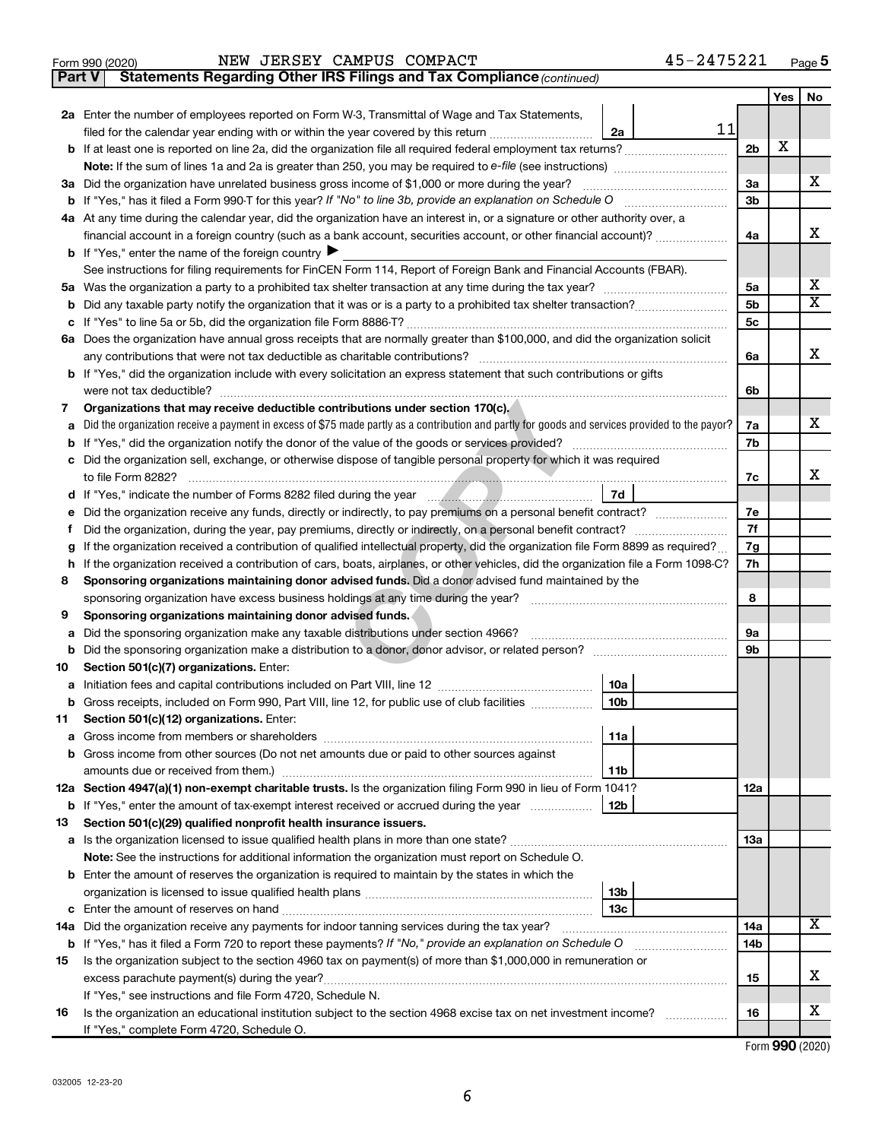| Form 990 (2020) |  |  |  |  | NEW JERSEY CAMPUS COMPACT | 45-2475221 | Page |
|-----------------|--|--|--|--|---------------------------|------------|------|
|-----------------|--|--|--|--|---------------------------|------------|------|

**Part V Statements Regarding Other IRS Filings and Tax Compliance**

*(continued)*

|    |                                                                                                                                                                                                                                                  |                 |    |                 | Yes | No                      |
|----|--------------------------------------------------------------------------------------------------------------------------------------------------------------------------------------------------------------------------------------------------|-----------------|----|-----------------|-----|-------------------------|
|    | 2a Enter the number of employees reported on Form W-3, Transmittal of Wage and Tax Statements,                                                                                                                                                   |                 |    |                 |     |                         |
|    | filed for the calendar year ending with or within the year covered by this return [[[[[[[[[[[[[[[[[[[[[[[[[[[                                                                                                                                    | 2a              | 11 |                 |     |                         |
|    | b If at least one is reported on line 2a, did the organization file all required federal employment tax returns?                                                                                                                                 |                 |    | 2 <sub>b</sub>  | X   |                         |
|    |                                                                                                                                                                                                                                                  |                 |    |                 |     |                         |
|    | 3a Did the organization have unrelated business gross income of \$1,000 or more during the year?                                                                                                                                                 |                 |    | 3a              |     | x                       |
|    |                                                                                                                                                                                                                                                  |                 |    | 3 <sub>b</sub>  |     |                         |
|    | 4a At any time during the calendar year, did the organization have an interest in, or a signature or other authority over, a                                                                                                                     |                 |    |                 |     |                         |
|    | financial account in a foreign country (such as a bank account, securities account, or other financial account)?                                                                                                                                 |                 |    | 4a              |     | х                       |
|    | <b>b</b> If "Yes," enter the name of the foreign country                                                                                                                                                                                         |                 |    |                 |     |                         |
|    | See instructions for filing requirements for FinCEN Form 114, Report of Foreign Bank and Financial Accounts (FBAR).                                                                                                                              |                 |    |                 |     |                         |
|    |                                                                                                                                                                                                                                                  |                 |    | 5a<br>5b        |     | x                       |
| b  |                                                                                                                                                                                                                                                  |                 |    |                 |     | $\overline{\mathbf{x}}$ |
|    |                                                                                                                                                                                                                                                  |                 |    |                 |     |                         |
|    | 6a Does the organization have annual gross receipts that are normally greater than \$100,000, and did the organization solicit                                                                                                                   |                 |    |                 |     |                         |
|    | any contributions that were not tax deductible as charitable contributions?                                                                                                                                                                      |                 |    | 6a              |     | x                       |
|    | b If "Yes," did the organization include with every solicitation an express statement that such contributions or gifts                                                                                                                           |                 |    |                 |     |                         |
|    |                                                                                                                                                                                                                                                  |                 |    | 6b              |     |                         |
| 7  | Organizations that may receive deductible contributions under section 170(c).                                                                                                                                                                    |                 |    |                 |     |                         |
|    | Did the organization receive a payment in excess of \$75 made partly as a contribution and partly for goods and services provided to the payor?                                                                                                  |                 |    | 7a              |     | x                       |
|    |                                                                                                                                                                                                                                                  |                 |    | 7b              |     |                         |
|    | c Did the organization sell, exchange, or otherwise dispose of tangible personal property for which it was required<br>to file Form 8282?                                                                                                        |                 |    |                 |     | x                       |
|    |                                                                                                                                                                                                                                                  | 7d              |    | 7c              |     |                         |
|    |                                                                                                                                                                                                                                                  |                 |    | 7e              |     |                         |
|    |                                                                                                                                                                                                                                                  |                 |    | 7f              |     |                         |
| g  | Did the organization, during the year, pay premiums, directly or indirectly, on a personal benefit contract?<br>If the organization received a contribution of qualified intellectual property, did the organization file Form 8899 as required? |                 |    |                 |     |                         |
|    | If the organization received a contribution of cars, boats, airplanes, or other vehicles, did the organization file a Form 1098-C?<br>h                                                                                                          |                 |    |                 |     |                         |
| 8  | Sponsoring organizations maintaining donor advised funds. Did a donor advised fund maintained by the                                                                                                                                             |                 |    |                 |     |                         |
|    | sponsoring organization have excess business holdings at any time during the year?                                                                                                                                                               |                 |    |                 |     |                         |
| 9  | Sponsoring organizations maintaining donor advised funds.                                                                                                                                                                                        |                 |    | 8               |     |                         |
| a  | Did the sponsoring organization make any taxable distributions under section 4966?                                                                                                                                                               |                 |    | 9a              |     |                         |
| b  |                                                                                                                                                                                                                                                  |                 |    | 9b              |     |                         |
| 10 | Section 501(c)(7) organizations. Enter:                                                                                                                                                                                                          |                 |    |                 |     |                         |
| а  |                                                                                                                                                                                                                                                  | 10a             |    |                 |     |                         |
| b  | Gross receipts, included on Form 990, Part VIII, line 12, for public use of club facilities                                                                                                                                                      | 10 <sub>b</sub> |    |                 |     |                         |
| 11 | Section 501(c)(12) organizations. Enter:                                                                                                                                                                                                         |                 |    |                 |     |                         |
|    |                                                                                                                                                                                                                                                  | 11a             |    |                 |     |                         |
|    | b Gross income from other sources (Do not net amounts due or paid to other sources against                                                                                                                                                       |                 |    |                 |     |                         |
|    | amounts due or received from them.)                                                                                                                                                                                                              | 11b             |    |                 |     |                         |
|    | 12a Section 4947(a)(1) non-exempt charitable trusts. Is the organization filing Form 990 in lieu of Form 1041?                                                                                                                                   |                 |    | 12a             |     |                         |
|    | <b>b</b> If "Yes," enter the amount of tax-exempt interest received or accrued during the year                                                                                                                                                   | 12 <sub>b</sub> |    |                 |     |                         |
| 13 | Section 501(c)(29) qualified nonprofit health insurance issuers.                                                                                                                                                                                 |                 |    |                 |     |                         |
|    |                                                                                                                                                                                                                                                  |                 |    | 13a             |     |                         |
|    | Note: See the instructions for additional information the organization must report on Schedule O.                                                                                                                                                |                 |    |                 |     |                         |
|    | <b>b</b> Enter the amount of reserves the organization is required to maintain by the states in which the                                                                                                                                        |                 |    |                 |     |                         |
|    |                                                                                                                                                                                                                                                  | 13 <sub>b</sub> |    |                 |     |                         |
|    |                                                                                                                                                                                                                                                  | 13с             |    |                 |     |                         |
|    | 14a Did the organization receive any payments for indoor tanning services during the tax year?                                                                                                                                                   |                 |    | 14a             |     | X                       |
|    | <b>b</b> If "Yes," has it filed a Form 720 to report these payments? If "No," provide an explanation on Schedule O                                                                                                                               |                 |    | 14 <sub>b</sub> |     |                         |
| 15 | Is the organization subject to the section 4960 tax on payment(s) of more than \$1,000,000 in remuneration or                                                                                                                                    |                 |    |                 |     | х                       |
|    |                                                                                                                                                                                                                                                  |                 |    | 15              |     |                         |
|    | If "Yes," see instructions and file Form 4720, Schedule N.                                                                                                                                                                                       |                 |    |                 |     | х                       |
| 16 | Is the organization an educational institution subject to the section 4968 excise tax on net investment income?<br>If "Yes," complete Form 4720, Schedule O.                                                                                     |                 |    | 16              |     |                         |
|    |                                                                                                                                                                                                                                                  |                 |    |                 |     |                         |

Form (2020) **990**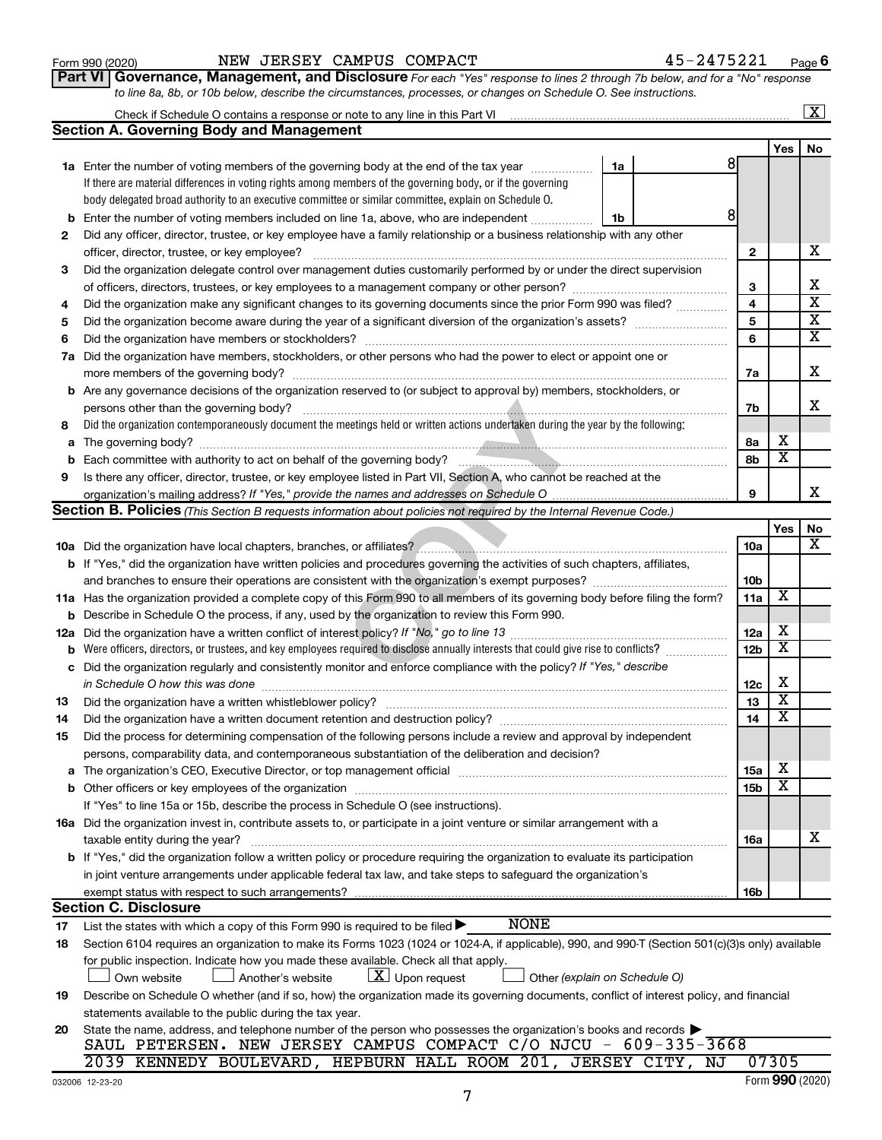| Form 990 (2020) |  |
|-----------------|--|
|-----------------|--|

**Part VI** Governance, Management, and Disclosure For each "Yes" response to lines 2 through 7b below, and for a "No" response *to line 8a, 8b, or 10b below, describe the circumstances, processes, or changes on Schedule O. See instructions.*

|          | Check if Schedule O contains a response or note to any line in this Part VI                                                                                                                                                    |                 |                         | $\overline{\mathbf{x}}$ |
|----------|--------------------------------------------------------------------------------------------------------------------------------------------------------------------------------------------------------------------------------|-----------------|-------------------------|-------------------------|
|          | <b>Section A. Governing Body and Management</b>                                                                                                                                                                                |                 |                         |                         |
|          |                                                                                                                                                                                                                                |                 | <b>Yes</b>              | No                      |
|          | 1a Enter the number of voting members of the governing body at the end of the tax year <i>manumum</i><br>1a                                                                                                                    | 8               |                         |                         |
|          | If there are material differences in voting rights among members of the governing body, or if the governing                                                                                                                    |                 |                         |                         |
|          | body delegated broad authority to an executive committee or similar committee, explain on Schedule O.                                                                                                                          |                 |                         |                         |
| b        | Enter the number of voting members included on line 1a, above, who are independent<br>1b                                                                                                                                       | 8               |                         |                         |
| 2        | Did any officer, director, trustee, or key employee have a family relationship or a business relationship with any other                                                                                                       |                 |                         |                         |
|          | officer, director, trustee, or key employee?                                                                                                                                                                                   | $\mathbf{2}$    |                         | х                       |
| 3        | Did the organization delegate control over management duties customarily performed by or under the direct supervision                                                                                                          |                 |                         |                         |
|          |                                                                                                                                                                                                                                | 3               |                         | х                       |
| 4        | Did the organization make any significant changes to its governing documents since the prior Form 990 was filed?                                                                                                               | 4               |                         | $\overline{\mathbf{x}}$ |
| 5        |                                                                                                                                                                                                                                | 5               |                         | х                       |
| 6        |                                                                                                                                                                                                                                | 6               |                         | x                       |
| 7a       | Did the organization have members, stockholders, or other persons who had the power to elect or appoint one or                                                                                                                 |                 |                         |                         |
|          |                                                                                                                                                                                                                                | 7a              |                         | х                       |
|          | <b>b</b> Are any governance decisions of the organization reserved to (or subject to approval by) members, stockholders, or                                                                                                    |                 |                         |                         |
|          | persons other than the governing body?                                                                                                                                                                                         | 7b              |                         | x                       |
| 8        | Did the organization contemporaneously document the meetings held or written actions undertaken during the year by the following:                                                                                              |                 |                         |                         |
| а        |                                                                                                                                                                                                                                | 8a              | х                       |                         |
|          |                                                                                                                                                                                                                                | 8b              | $\overline{\mathbf{x}}$ |                         |
| 9        | Is there any officer, director, trustee, or key employee listed in Part VII, Section A, who cannot be reached at the                                                                                                           |                 |                         |                         |
|          |                                                                                                                                                                                                                                | 9               |                         | x                       |
|          | Section B. Policies (This Section B requests information about policies not required by the Internal Revenue Code.)                                                                                                            |                 |                         |                         |
|          |                                                                                                                                                                                                                                |                 | Yes                     | No                      |
|          |                                                                                                                                                                                                                                | 10a             |                         | x                       |
|          | <b>b</b> If "Yes," did the organization have written policies and procedures governing the activities of such chapters, affiliates,                                                                                            |                 |                         |                         |
|          |                                                                                                                                                                                                                                | 10b             |                         |                         |
|          | 11a Has the organization provided a complete copy of this Form 990 to all members of its governing body before filing the form?                                                                                                | 11a             | х                       |                         |
| b        | Describe in Schedule O the process, if any, used by the organization to review this Form 990.                                                                                                                                  |                 |                         |                         |
| 12a      |                                                                                                                                                                                                                                | 12a             | х                       |                         |
| b        | Were officers, directors, or trustees, and key employees required to disclose annually interests that could give rise to conflicts?                                                                                            | 12 <sub>b</sub> | х                       |                         |
| с        | Did the organization regularly and consistently monitor and enforce compliance with the policy? If "Yes," describe                                                                                                             |                 |                         |                         |
|          | in Schedule O how this was done [11, 12] manufacture in the schedule of the schedule O how this was done                                                                                                                       | 12c             | X                       |                         |
| 13       | Did the organization have a written whistleblower policy?                                                                                                                                                                      | 13              | X                       |                         |
| 14       |                                                                                                                                                                                                                                | 14              | X                       |                         |
| 15       | Did the process for determining compensation of the following persons include a review and approval by independent                                                                                                             |                 |                         |                         |
|          | persons, comparability data, and contemporaneous substantiation of the deliberation and decision?                                                                                                                              |                 |                         |                         |
| а        | The organization's CEO, Executive Director, or top management official manufactured content of the organization's CEO, Executive Director, or top management official manufactured content of the organization's CEO, Executiv | 15a             | х                       |                         |
|          | Other officers or key employees of the organization                                                                                                                                                                            | <b>15b</b>      | x                       |                         |
|          | If "Yes" to line 15a or 15b, describe the process in Schedule O (see instructions).                                                                                                                                            |                 |                         |                         |
|          | 16a Did the organization invest in, contribute assets to, or participate in a joint venture or similar arrangement with a                                                                                                      |                 |                         |                         |
|          | taxable entity during the year?                                                                                                                                                                                                | <b>16a</b>      |                         | х                       |
|          | b If "Yes," did the organization follow a written policy or procedure requiring the organization to evaluate its participation                                                                                                 |                 |                         |                         |
|          | in joint venture arrangements under applicable federal tax law, and take steps to safeguard the organization's                                                                                                                 |                 |                         |                         |
|          | exempt status with respect to such arrangements?<br><b>Section C. Disclosure</b>                                                                                                                                               | 16b             |                         |                         |
|          | <b>NONE</b><br>List the states with which a copy of this Form 990 is required to be filed $\blacktriangleright$                                                                                                                |                 |                         |                         |
| 17<br>18 | Section 6104 requires an organization to make its Forms 1023 (1024 or 1024-A, if applicable), 990, and 990-T (Section 501(c)(3)s only) available                                                                               |                 |                         |                         |
|          | for public inspection. Indicate how you made these available. Check all that apply.                                                                                                                                            |                 |                         |                         |
|          | $ \underline{X} $ Upon request<br>Own website<br>Another's website<br>Other (explain on Schedule O)                                                                                                                            |                 |                         |                         |
| 19       | Describe on Schedule O whether (and if so, how) the organization made its governing documents, conflict of interest policy, and financial                                                                                      |                 |                         |                         |
|          | statements available to the public during the tax year.                                                                                                                                                                        |                 |                         |                         |
| 20       | State the name, address, and telephone number of the person who possesses the organization's books and records                                                                                                                 |                 |                         |                         |
|          | SAUL PETERSEN. NEW JERSEY CAMPUS COMPACT C/O NJCU - 609-335-3668                                                                                                                                                               |                 |                         |                         |
|          | 2039 KENNEDY BOULEVARD, HEPBURN HALL ROOM 201, JERSEY CITY, NJ                                                                                                                                                                 |                 | 07305                   |                         |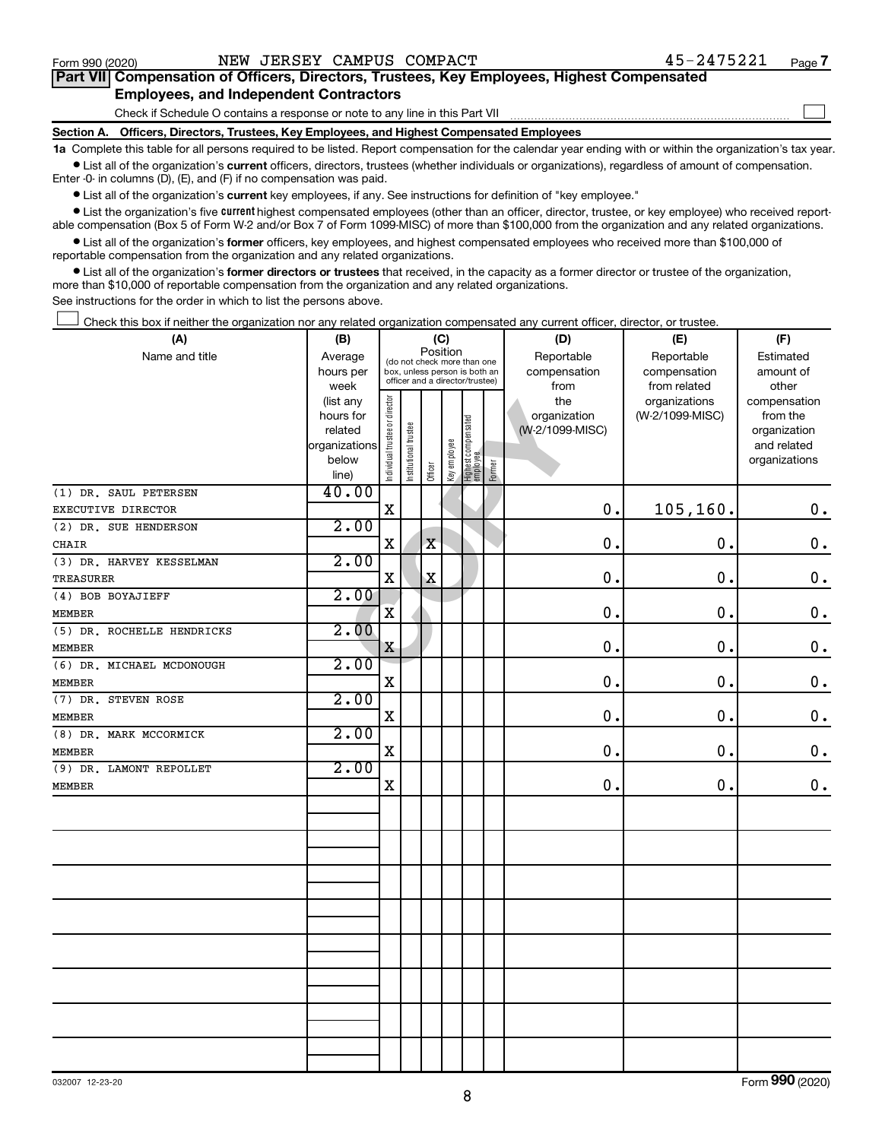$\Box$ 

| Part VII Compensation of Officers, Directors, Trustees, Key Employees, Highest Compensated |  |  |
|--------------------------------------------------------------------------------------------|--|--|
| <b>Employees, and Independent Contractors</b>                                              |  |  |

Check if Schedule O contains a response or note to any line in this Part VII

**Section A. Officers, Directors, Trustees, Key Employees, and Highest Compensated Employees**

**1a**  Complete this table for all persons required to be listed. Report compensation for the calendar year ending with or within the organization's tax year.  $\bullet$  List all of the organization's current officers, directors, trustees (whether individuals or organizations), regardless of amount of compensation.

Enter -0- in columns (D), (E), and (F) if no compensation was paid.

**•** List all of the organization's current key employees, if any. See instructions for definition of "key employee."

• List the organization's five *current* highest compensated employees (other than an officer, director, trustee, or key employee) who received reportable compensation (Box 5 of Form W-2 and/or Box 7 of Form 1099-MISC) of more than \$100,000 from the organization and any related organizations.

 $\bullet$  List all of the organization's former officers, key employees, and highest compensated employees who received more than \$100,000 of reportable compensation from the organization and any related organizations.

**•** List all of the organization's former directors or trustees that received, in the capacity as a former director or trustee of the organization, more than \$10,000 of reportable compensation from the organization and any related organizations.

See instructions for the order in which to list the persons above.

Check this box if neither the organization nor any related organization compensated any current officer, director, or trustee.  $\Box$ 

| (A)                        | (B)            | (C)                                     |                       |                                                                  |              |                                   |        | (D)             | (E)             | (F)           |
|----------------------------|----------------|-----------------------------------------|-----------------------|------------------------------------------------------------------|--------------|-----------------------------------|--------|-----------------|-----------------|---------------|
| Name and title             | Average        | Position<br>(do not check more than one |                       |                                                                  |              |                                   |        | Reportable      | Reportable      | Estimated     |
|                            | hours per      |                                         |                       | box, unless person is both an<br>officer and a director/trustee) |              |                                   |        | compensation    | compensation    | amount of     |
|                            | week           |                                         |                       |                                                                  |              |                                   |        | from            | from related    | other         |
|                            | (list any      |                                         |                       |                                                                  |              |                                   |        | the             | organizations   | compensation  |
|                            | hours for      |                                         |                       |                                                                  |              |                                   |        | organization    | (W-2/1099-MISC) | from the      |
|                            | related        |                                         |                       |                                                                  |              |                                   |        | (W-2/1099-MISC) |                 | organization  |
|                            | organizations  |                                         |                       |                                                                  |              |                                   |        |                 |                 | and related   |
|                            | below<br>line) | Individual trustee or director          | Institutional trustee | Officer                                                          | Key employee | Highest compensated<br>  employee | Former |                 |                 | organizations |
| (1) DR. SAUL PETERSEN      | 40.00          |                                         |                       |                                                                  |              |                                   |        |                 |                 |               |
| EXECUTIVE DIRECTOR         |                | $\mathbf X$                             |                       |                                                                  |              |                                   |        | $\mathbf 0$ .   | 105,160.        | $\mathbf 0$ . |
| (2) DR. SUE HENDERSON      | 2.00           |                                         |                       |                                                                  |              |                                   |        |                 |                 |               |
| CHAIR                      |                | X                                       |                       | $\mathbf X$                                                      |              |                                   |        | $\mathbf 0$ .   | $\mathbf 0$ .   | $\mathbf 0$ . |
| (3) DR. HARVEY KESSELMAN   | 2.00           |                                         |                       |                                                                  |              |                                   |        |                 |                 |               |
| <b>TREASURER</b>           |                | X                                       |                       | $\mathbf X$                                                      |              |                                   |        | $\mathbf 0$ .   | 0.              | $\mathbf 0$ . |
| (4) BOB BOYAJIEFF          | 2.00           |                                         |                       |                                                                  |              |                                   |        |                 |                 |               |
| <b>MEMBER</b>              |                | $\overline{\mathbf{X}}$                 |                       |                                                                  |              |                                   |        | 0.              | $\mathbf 0$ .   | $\mathbf 0$ . |
| (5) DR. ROCHELLE HENDRICKS | 2.00           |                                         |                       |                                                                  |              |                                   |        |                 |                 |               |
| <b>MEMBER</b>              |                | Χ                                       |                       |                                                                  |              |                                   |        | 0.              | $\mathbf 0$ .   | $\mathbf 0$ . |
| (6) DR. MICHAEL MCDONOUGH  | 2.00           |                                         |                       |                                                                  |              |                                   |        |                 |                 |               |
| <b>MEMBER</b>              |                | X                                       |                       |                                                                  |              |                                   |        | 0.              | $\mathbf 0$ .   | $\mathbf 0$ . |
| (7) DR. STEVEN ROSE        | 2.00           |                                         |                       |                                                                  |              |                                   |        |                 |                 |               |
| <b>MEMBER</b>              |                | $\mathbf X$                             |                       |                                                                  |              |                                   |        | 0.              | 0.              | $\mathbf 0$ . |
| (8) DR. MARK MCCORMICK     | 2.00           |                                         |                       |                                                                  |              |                                   |        |                 |                 |               |
| <b>MEMBER</b>              |                | $\rm X$                                 |                       |                                                                  |              |                                   |        | 0.              | 0.              | $\mathbf 0$ . |
| (9) DR. LAMONT REPOLLET    | 2.00           |                                         |                       |                                                                  |              |                                   |        |                 |                 |               |
| <b>MEMBER</b>              |                | $\mathbf X$                             |                       |                                                                  |              |                                   |        | 0.              | 0.              | $\mathbf 0$ . |
|                            |                |                                         |                       |                                                                  |              |                                   |        |                 |                 |               |
|                            |                |                                         |                       |                                                                  |              |                                   |        |                 |                 |               |
|                            |                |                                         |                       |                                                                  |              |                                   |        |                 |                 |               |
|                            |                |                                         |                       |                                                                  |              |                                   |        |                 |                 |               |
|                            |                |                                         |                       |                                                                  |              |                                   |        |                 |                 |               |
|                            |                |                                         |                       |                                                                  |              |                                   |        |                 |                 |               |
|                            |                |                                         |                       |                                                                  |              |                                   |        |                 |                 |               |
|                            |                |                                         |                       |                                                                  |              |                                   |        |                 |                 |               |
|                            |                |                                         |                       |                                                                  |              |                                   |        |                 |                 |               |
|                            |                |                                         |                       |                                                                  |              |                                   |        |                 |                 |               |
|                            |                |                                         |                       |                                                                  |              |                                   |        |                 |                 |               |
|                            |                |                                         |                       |                                                                  |              |                                   |        |                 |                 |               |
|                            |                |                                         |                       |                                                                  |              |                                   |        |                 |                 |               |
|                            |                |                                         |                       |                                                                  |              |                                   |        |                 |                 |               |

Form (2020) **990**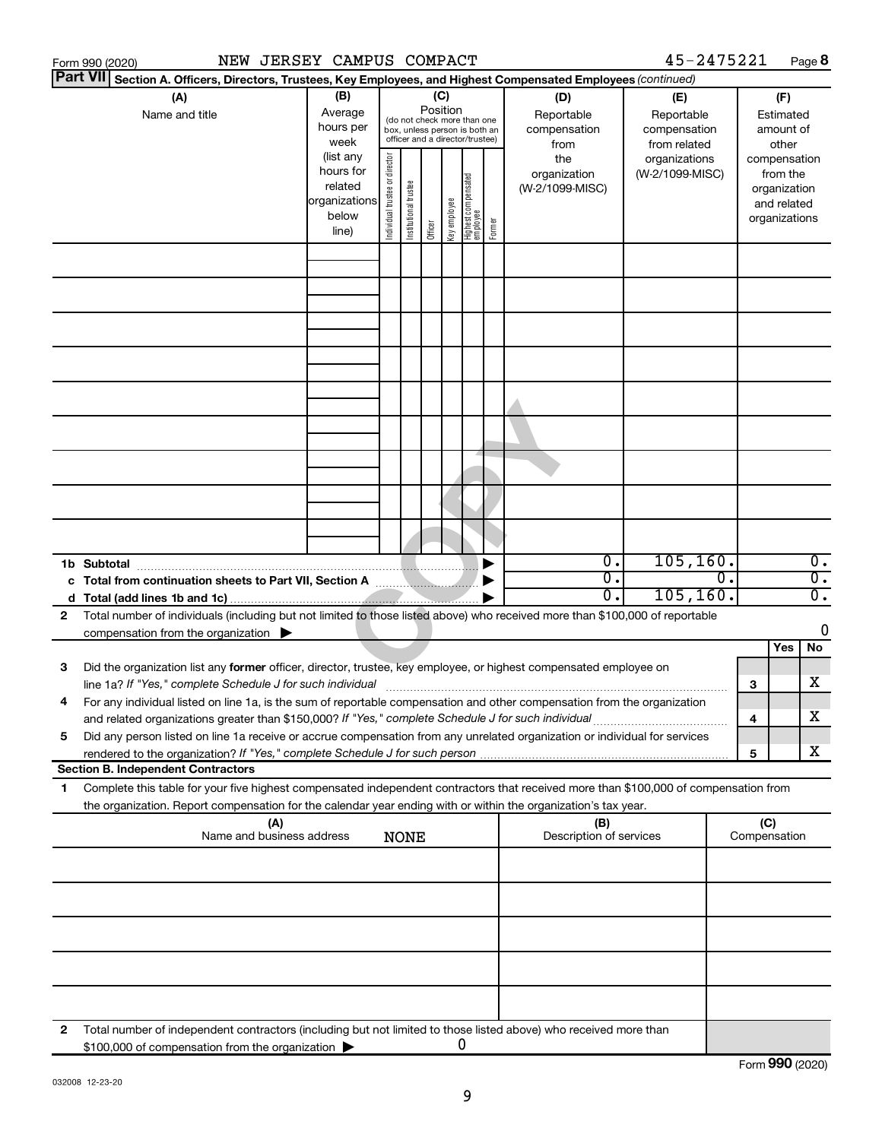|    | NEW JERSEY CAMPUS COMPACT<br>Form 990 (2020)                                                                                                                                                                                                           |                                                                      |                                |                       |                                                                                                                    |                                   |        |                                           | 45-2475221                                        |                     |                                                                          | Page 8           |
|----|--------------------------------------------------------------------------------------------------------------------------------------------------------------------------------------------------------------------------------------------------------|----------------------------------------------------------------------|--------------------------------|-----------------------|--------------------------------------------------------------------------------------------------------------------|-----------------------------------|--------|-------------------------------------------|---------------------------------------------------|---------------------|--------------------------------------------------------------------------|------------------|
|    | <b>Part VII</b><br>Section A. Officers, Directors, Trustees, Key Employees, and Highest Compensated Employees (continued)                                                                                                                              |                                                                      |                                |                       |                                                                                                                    |                                   |        |                                           |                                                   |                     |                                                                          |                  |
|    | (A)<br>Name and title                                                                                                                                                                                                                                  | (B)<br>Average<br>hours per<br>week                                  |                                |                       | (C)<br>Position<br>(do not check more than one<br>box, unless person is both an<br>officer and a director/trustee) |                                   |        | (D)<br>Reportable<br>compensation<br>from | (E)<br>Reportable<br>compensation<br>from related |                     | (F)<br>Estimated<br>amount of<br>other                                   |                  |
|    |                                                                                                                                                                                                                                                        | (list any<br>hours for<br>related<br>organizations<br>below<br>line) | Individual trustee or director | Institutional trustee | Key employee<br>Officer                                                                                            | Highest compensated<br>  employee | Former | the<br>organization<br>(W-2/1099-MISC)    | organizations<br>(W-2/1099-MISC)                  |                     | compensation<br>from the<br>organization<br>and related<br>organizations |                  |
|    |                                                                                                                                                                                                                                                        |                                                                      |                                |                       |                                                                                                                    |                                   |        |                                           |                                                   |                     |                                                                          |                  |
|    |                                                                                                                                                                                                                                                        |                                                                      |                                |                       |                                                                                                                    |                                   |        |                                           |                                                   |                     |                                                                          |                  |
|    |                                                                                                                                                                                                                                                        |                                                                      |                                |                       |                                                                                                                    |                                   |        |                                           |                                                   |                     |                                                                          |                  |
|    |                                                                                                                                                                                                                                                        |                                                                      |                                |                       |                                                                                                                    |                                   |        |                                           |                                                   |                     |                                                                          |                  |
|    |                                                                                                                                                                                                                                                        |                                                                      |                                |                       |                                                                                                                    |                                   |        |                                           |                                                   |                     |                                                                          |                  |
|    |                                                                                                                                                                                                                                                        |                                                                      |                                |                       |                                                                                                                    |                                   |        |                                           |                                                   |                     |                                                                          |                  |
|    | 1b Subtotal                                                                                                                                                                                                                                            |                                                                      |                                |                       |                                                                                                                    |                                   |        | $\overline{0}$ .                          | 105, 160.                                         |                     |                                                                          | $\overline{0}$ . |
|    |                                                                                                                                                                                                                                                        |                                                                      |                                |                       |                                                                                                                    |                                   |        | $\overline{0}$ .                          | $\overline{0}$ .                                  |                     |                                                                          | $\overline{0}$ . |
|    |                                                                                                                                                                                                                                                        |                                                                      |                                |                       |                                                                                                                    |                                   |        | 0.                                        | 105, 160.                                         |                     |                                                                          | $\overline{0}$ . |
| 2  | Total number of individuals (including but not limited to those listed above) who received more than \$100,000 of reportable                                                                                                                           |                                                                      |                                |                       |                                                                                                                    |                                   |        |                                           |                                                   |                     |                                                                          | 0                |
|    | compensation from the organization                                                                                                                                                                                                                     |                                                                      |                                |                       |                                                                                                                    |                                   |        |                                           |                                                   |                     | Yes                                                                      | No               |
| 3  | Did the organization list any former officer, director, trustee, key employee, or highest compensated employee on                                                                                                                                      |                                                                      |                                |                       |                                                                                                                    |                                   |        |                                           |                                                   | з                   |                                                                          | х                |
|    | For any individual listed on line 1a, is the sum of reportable compensation and other compensation from the organization<br>and related organizations greater than \$150,000? If "Yes," complete Schedule J for such individual                        |                                                                      |                                |                       |                                                                                                                    |                                   |        |                                           |                                                   | 4                   |                                                                          | x                |
| 5  | Did any person listed on line 1a receive or accrue compensation from any unrelated organization or individual for services                                                                                                                             |                                                                      |                                |                       |                                                                                                                    |                                   |        |                                           |                                                   | 5                   |                                                                          | х                |
|    | <b>Section B. Independent Contractors</b>                                                                                                                                                                                                              |                                                                      |                                |                       |                                                                                                                    |                                   |        |                                           |                                                   |                     |                                                                          |                  |
| 1. | Complete this table for your five highest compensated independent contractors that received more than \$100,000 of compensation from<br>the organization. Report compensation for the calendar year ending with or within the organization's tax year. |                                                                      |                                |                       |                                                                                                                    |                                   |        |                                           |                                                   |                     |                                                                          |                  |
|    | (A)<br>Name and business address                                                                                                                                                                                                                       |                                                                      | <b>NONE</b>                    |                       |                                                                                                                    |                                   |        | (B)<br>Description of services            |                                                   | (C)<br>Compensation |                                                                          |                  |
|    |                                                                                                                                                                                                                                                        |                                                                      |                                |                       |                                                                                                                    |                                   |        |                                           |                                                   |                     |                                                                          |                  |
|    |                                                                                                                                                                                                                                                        |                                                                      |                                |                       |                                                                                                                    |                                   |        |                                           |                                                   |                     |                                                                          |                  |
|    |                                                                                                                                                                                                                                                        |                                                                      |                                |                       |                                                                                                                    |                                   |        |                                           |                                                   |                     |                                                                          |                  |
|    |                                                                                                                                                                                                                                                        |                                                                      |                                |                       |                                                                                                                    |                                   |        |                                           |                                                   |                     |                                                                          |                  |
| 2  | Total number of independent contractors (including but not limited to those listed above) who received more than<br>\$100,000 of compensation from the organization                                                                                    |                                                                      |                                |                       |                                                                                                                    | 0                                 |        |                                           |                                                   |                     |                                                                          |                  |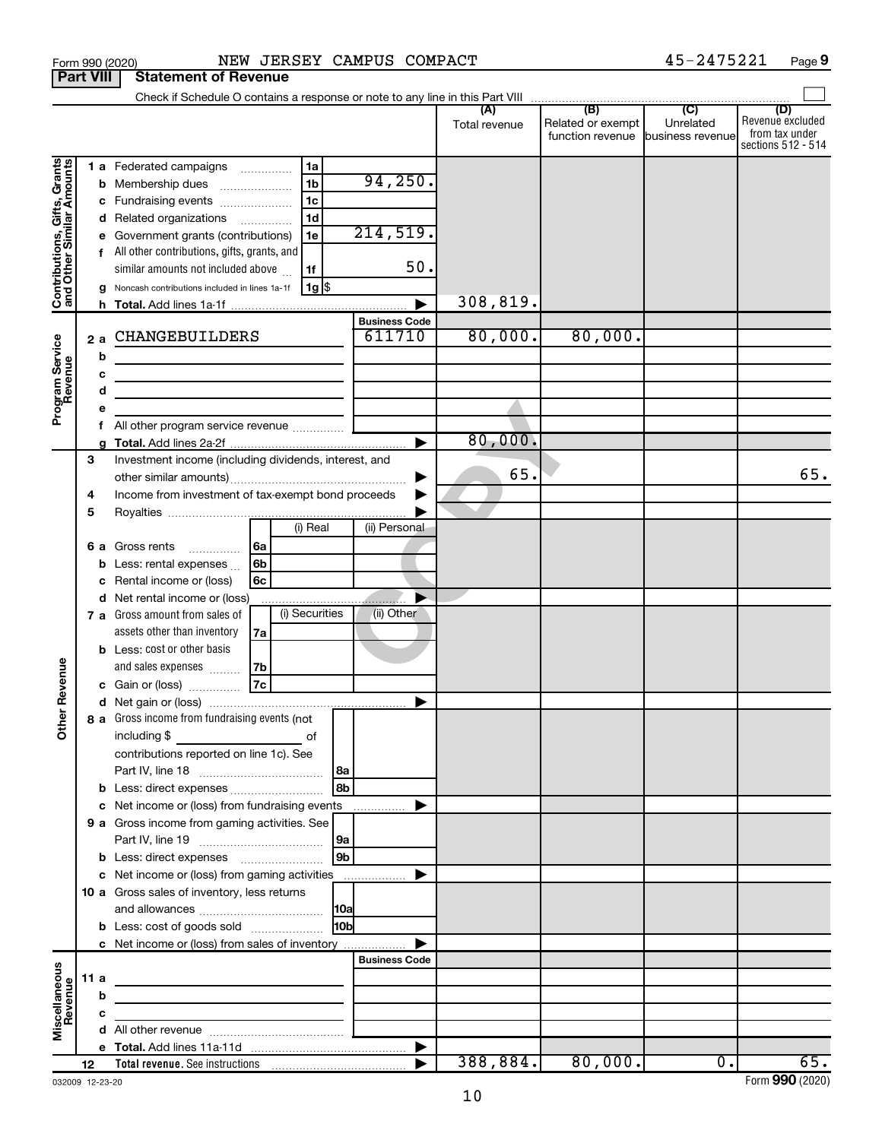|                                                           |                  | NEW JERSEY CAMPUS COMPACT<br>Form 990 (2020)                                                 |                    |                      |                      |                                                                | 45-2475221                  | Page 9                                    |
|-----------------------------------------------------------|------------------|----------------------------------------------------------------------------------------------|--------------------|----------------------|----------------------|----------------------------------------------------------------|-----------------------------|-------------------------------------------|
|                                                           | <b>Part VIII</b> | <b>Statement of Revenue</b>                                                                  |                    |                      |                      |                                                                |                             |                                           |
|                                                           |                  |                                                                                              |                    |                      |                      |                                                                |                             |                                           |
|                                                           |                  |                                                                                              |                    |                      | (A)<br>Total revenue | (B)<br>Related or exempt<br>function revenue business revenuel | $\overline{C}$<br>Unrelated | (D)<br>Revenue excluded<br>from tax under |
|                                                           |                  | 1a<br>1 a Federated campaigns                                                                |                    |                      |                      |                                                                |                             | sections 512 - 514                        |
|                                                           |                  | 1 <sub>b</sub><br><b>b</b> Membership dues<br>$\ldots \ldots \ldots \ldots \ldots$           |                    | 94, 250.             |                      |                                                                |                             |                                           |
|                                                           |                  | 1 <sub>c</sub><br>c Fundraising events                                                       |                    |                      |                      |                                                                |                             |                                           |
|                                                           |                  | 1 <sub>d</sub><br>d Related organizations<br>$\overline{\phantom{a}}$                        |                    |                      |                      |                                                                |                             |                                           |
|                                                           |                  | e Government grants (contributions)<br>1e                                                    |                    | 214,519.             |                      |                                                                |                             |                                           |
|                                                           |                  | f All other contributions, gifts, grants, and                                                |                    |                      |                      |                                                                |                             |                                           |
|                                                           |                  | similar amounts not included above<br>1f                                                     |                    | 50.                  |                      |                                                                |                             |                                           |
| Contributions, Gifts, Grants<br>and Other Similar Amounts |                  | 1g   \$<br>g Noncash contributions included in lines 1a-1f                                   |                    |                      |                      |                                                                |                             |                                           |
|                                                           |                  |                                                                                              |                    |                      | 308,819.             |                                                                |                             |                                           |
|                                                           |                  |                                                                                              |                    | <b>Business Code</b> |                      |                                                                |                             |                                           |
|                                                           | 2 a              | CHANGEBUILDERS                                                                               |                    | 611710               | 80,000.              | 80,000.                                                        |                             |                                           |
|                                                           | b                |                                                                                              |                    |                      |                      |                                                                |                             |                                           |
|                                                           | c                | the control of the control of the control of the control of the control of                   |                    |                      |                      |                                                                |                             |                                           |
| Program Service<br>Revenue                                |                  | d<br>the control of the control of the control of the control of the                         |                    |                      |                      |                                                                |                             |                                           |
|                                                           |                  | е                                                                                            |                    |                      |                      |                                                                |                             |                                           |
|                                                           |                  | a                                                                                            |                    |                      | 80,000.              |                                                                |                             |                                           |
|                                                           | 3                | Investment income (including dividends, interest, and                                        |                    |                      |                      |                                                                |                             |                                           |
|                                                           |                  |                                                                                              |                    |                      | 65.                  |                                                                |                             | 65.                                       |
|                                                           | 4                | Income from investment of tax-exempt bond proceeds                                           |                    |                      |                      |                                                                |                             |                                           |
|                                                           | 5                |                                                                                              |                    |                      |                      |                                                                |                             |                                           |
|                                                           |                  | $(i)$ Real                                                                                   |                    | (ii) Personal        |                      |                                                                |                             |                                           |
|                                                           | 6а               | Gross rents<br>∣6a<br>.                                                                      |                    |                      |                      |                                                                |                             |                                           |
|                                                           |                  | 6b<br>Less: rental expenses<br>b                                                             |                    |                      |                      |                                                                |                             |                                           |
|                                                           |                  | Rental income or (loss)<br>6с<br>c                                                           |                    |                      |                      |                                                                |                             |                                           |
|                                                           |                  | d Net rental income or (loss)                                                                |                    |                      |                      |                                                                |                             |                                           |
|                                                           |                  | (i) Securities<br>7 a Gross amount from sales of                                             |                    | (ii) Other           |                      |                                                                |                             |                                           |
|                                                           |                  | assets other than inventory<br>7a                                                            |                    |                      |                      |                                                                |                             |                                           |
|                                                           |                  | <b>b</b> Less: cost or other basis<br>and sales expenses<br>7b                               |                    |                      |                      |                                                                |                             |                                           |
| evenue                                                    |                  | 7c<br>c Gain or (loss)                                                                       |                    |                      |                      |                                                                |                             |                                           |
| œ                                                         |                  |                                                                                              |                    |                      |                      |                                                                |                             |                                           |
| Other                                                     |                  | 8 a Gross income from fundraising events (not                                                |                    |                      |                      |                                                                |                             |                                           |
|                                                           |                  | including \$<br>of                                                                           |                    |                      |                      |                                                                |                             |                                           |
|                                                           |                  | contributions reported on line 1c). See                                                      |                    |                      |                      |                                                                |                             |                                           |
|                                                           |                  |                                                                                              |                    |                      |                      |                                                                |                             |                                           |
|                                                           |                  |                                                                                              | 8b                 |                      |                      |                                                                |                             |                                           |
|                                                           |                  | c Net income or (loss) from fundraising events                                               |                    | .                    |                      |                                                                |                             |                                           |
|                                                           |                  | 9 a Gross income from gaming activities. See                                                 |                    |                      |                      |                                                                |                             |                                           |
|                                                           |                  |                                                                                              | 9a                 |                      |                      |                                                                |                             |                                           |
|                                                           |                  | <b>b</b> Less: direct expenses <b>contained b</b> Less: direct expenses                      | $ g_{\mathbf{b}} $ |                      |                      |                                                                |                             |                                           |
|                                                           |                  | c Net income or (loss) from gaming activities<br>10 a Gross sales of inventory, less returns |                    |                      |                      |                                                                |                             |                                           |
|                                                           |                  |                                                                                              |                    |                      |                      |                                                                |                             |                                           |
|                                                           |                  | <b>b</b> Less: cost of goods sold                                                            | l10bl              |                      |                      |                                                                |                             |                                           |
|                                                           |                  | c Net income or (loss) from sales of inventory                                               |                    |                      |                      |                                                                |                             |                                           |
|                                                           |                  |                                                                                              |                    | <b>Business Code</b> |                      |                                                                |                             |                                           |
|                                                           | 11 a             |                                                                                              |                    |                      |                      |                                                                |                             |                                           |
|                                                           |                  | b                                                                                            |                    |                      |                      |                                                                |                             |                                           |
| Miscellaneous<br>Revenue                                  | c                |                                                                                              |                    |                      |                      |                                                                |                             |                                           |
|                                                           |                  |                                                                                              |                    |                      |                      |                                                                |                             |                                           |
|                                                           |                  |                                                                                              |                    |                      |                      |                                                                |                             | 65.                                       |
|                                                           | 12               |                                                                                              |                    |                      |                      | $388, 884.$ 80,000.                                            | $\overline{0}$ .            |                                           |

032009 12-23-20

**9**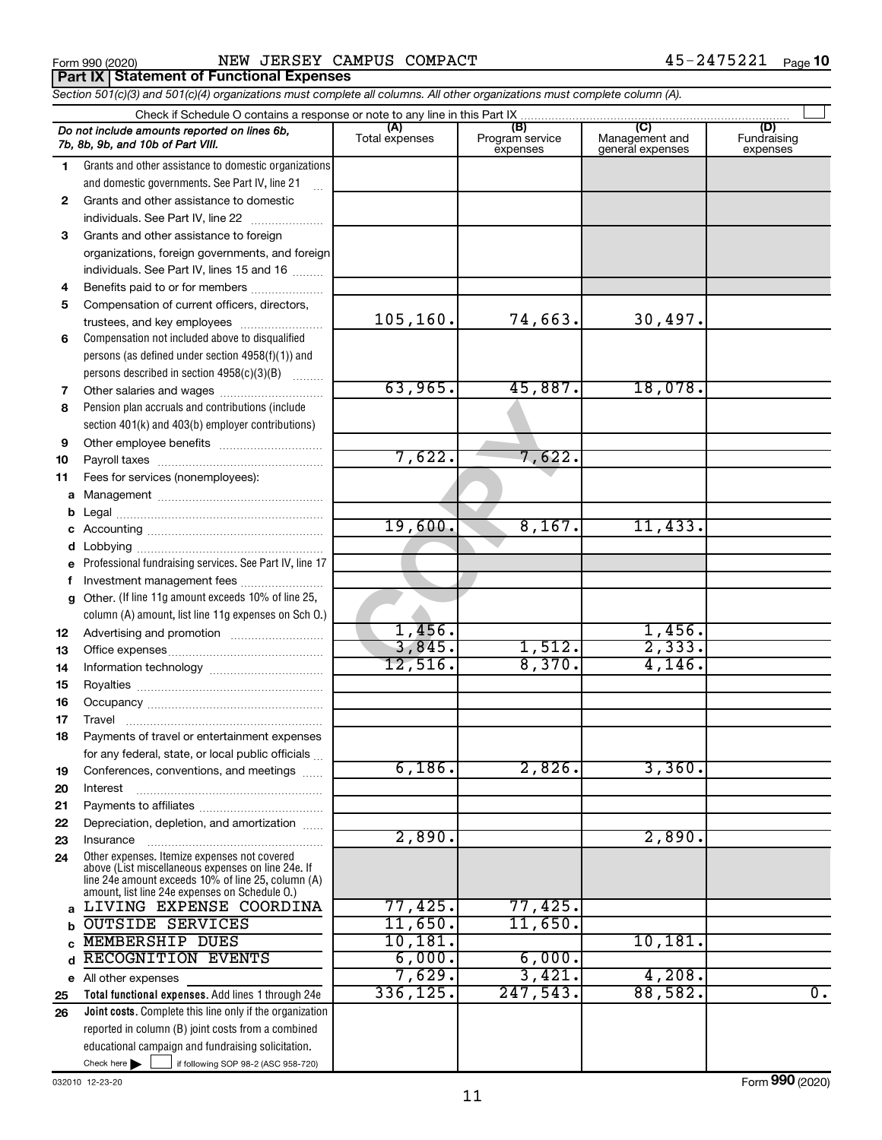Form 990 (2020) Page NEW JERSEY CAMPUS COMPACT 45-2475221 **Part IX Statement of Functional Expenses**

*Section 501(c)(3) and 501(c)(4) organizations must complete all columns. All other organizations must complete column (A).*

|              | Do not include amounts reported on lines 6b,<br>7b, 8b, 9b, and 10b of Part VIII.                        | (A)<br>Total expenses | (B)<br>Program service<br>expenses | (C)<br>Management and<br>general expenses | (D)<br>Fundraising<br>expenses |
|--------------|----------------------------------------------------------------------------------------------------------|-----------------------|------------------------------------|-------------------------------------------|--------------------------------|
| 1            | Grants and other assistance to domestic organizations                                                    |                       |                                    |                                           |                                |
|              | and domestic governments. See Part IV, line 21                                                           |                       |                                    |                                           |                                |
| $\mathbf{2}$ | Grants and other assistance to domestic                                                                  |                       |                                    |                                           |                                |
|              | individuals. See Part IV, line 22                                                                        |                       |                                    |                                           |                                |
| 3            | Grants and other assistance to foreign                                                                   |                       |                                    |                                           |                                |
|              | organizations, foreign governments, and foreign                                                          |                       |                                    |                                           |                                |
|              | individuals. See Part IV, lines 15 and 16                                                                |                       |                                    |                                           |                                |
| 4            | Benefits paid to or for members                                                                          |                       |                                    |                                           |                                |
| 5            | Compensation of current officers, directors,                                                             |                       |                                    |                                           |                                |
|              | trustees, and key employees                                                                              | 105, 160.             | 74,663.                            | 30,497.                                   |                                |
| 6            | Compensation not included above to disqualified                                                          |                       |                                    |                                           |                                |
|              | persons (as defined under section $4958(f)(1)$ ) and                                                     |                       |                                    |                                           |                                |
|              | persons described in section 4958(c)(3)(B)                                                               |                       |                                    |                                           |                                |
| 7            |                                                                                                          | 63,965.               | 45,887.                            | 18,078.                                   |                                |
| 8            | Pension plan accruals and contributions (include                                                         |                       |                                    |                                           |                                |
|              | section 401(k) and 403(b) employer contributions)                                                        |                       |                                    |                                           |                                |
| 9            |                                                                                                          |                       |                                    |                                           |                                |
| 10           |                                                                                                          | 7,622.                | 7,622.                             |                                           |                                |
| 11           | Fees for services (nonemployees):                                                                        |                       |                                    |                                           |                                |
| a            |                                                                                                          |                       |                                    |                                           |                                |
| b            |                                                                                                          |                       |                                    |                                           |                                |
| с            |                                                                                                          | 19,600.               | 8,167.                             | 11,433.                                   |                                |
| d            |                                                                                                          |                       |                                    |                                           |                                |
| е            | Professional fundraising services. See Part IV, line 17                                                  |                       |                                    |                                           |                                |
| f            | Investment management fees                                                                               |                       |                                    |                                           |                                |
| g            | Other. (If line 11g amount exceeds 10% of line 25,                                                       |                       |                                    |                                           |                                |
|              | column (A) amount, list line 11g expenses on Sch O.)                                                     | 1,456.                |                                    | 1,456.                                    |                                |
| 12           |                                                                                                          | 3,845.                | 1,512.                             | 2,333.                                    |                                |
| 13           |                                                                                                          | 12,516.               | 8,370.                             | 4,146.                                    |                                |
| 14           |                                                                                                          |                       |                                    |                                           |                                |
| 15           |                                                                                                          |                       |                                    |                                           |                                |
| 16<br>17     |                                                                                                          |                       |                                    |                                           |                                |
|              |                                                                                                          |                       |                                    |                                           |                                |
| 18           | Payments of travel or entertainment expenses<br>for any federal, state, or local public officials        |                       |                                    |                                           |                                |
| 19           | Conferences, conventions, and meetings                                                                   | 6,186.                | 2,826.                             | 3,360.                                    |                                |
| 20           | Interest                                                                                                 |                       |                                    |                                           |                                |
| 21           |                                                                                                          |                       |                                    |                                           |                                |
| 22           | Depreciation, depletion, and amortization                                                                |                       |                                    |                                           |                                |
| 23           | Insurance                                                                                                | 2,890.                |                                    | 2,890.                                    |                                |
| 24           | Other expenses. Itemize expenses not covered                                                             |                       |                                    |                                           |                                |
|              | above (List miscellaneous expenses on line 24e. If<br>line 24e amount exceeds 10% of line 25, column (A) |                       |                                    |                                           |                                |
|              | amount, list line 24e expenses on Schedule O.)                                                           |                       |                                    |                                           |                                |
| a            | LIVING EXPENSE COORDINA                                                                                  | 77,425.               | 77,425.                            |                                           |                                |
| b            | <b>OUTSIDE SERVICES</b>                                                                                  | 11,650.               | 11,650.                            |                                           |                                |
|              | <b>MEMBERSHIP DUES</b>                                                                                   | 10, 181.              |                                    | 10, 181.                                  |                                |
| d            | RECOGNITION EVENTS                                                                                       | 6,000.                | 6,000.                             |                                           |                                |
|              | e All other expenses                                                                                     | 7,629.                | 3,421.                             | 4,208.                                    |                                |
| 25           | Total functional expenses. Add lines 1 through 24e                                                       | 336, 125.             | 247,543.                           | 88,582.                                   | $\overline{0}$ .               |
| 26           | <b>Joint costs.</b> Complete this line only if the organization                                          |                       |                                    |                                           |                                |
|              | reported in column (B) joint costs from a combined                                                       |                       |                                    |                                           |                                |
|              | educational campaign and fundraising solicitation.                                                       |                       |                                    |                                           |                                |
|              | Check here $\blacktriangleright$<br>if following SOP 98-2 (ASC 958-720)                                  |                       |                                    |                                           |                                |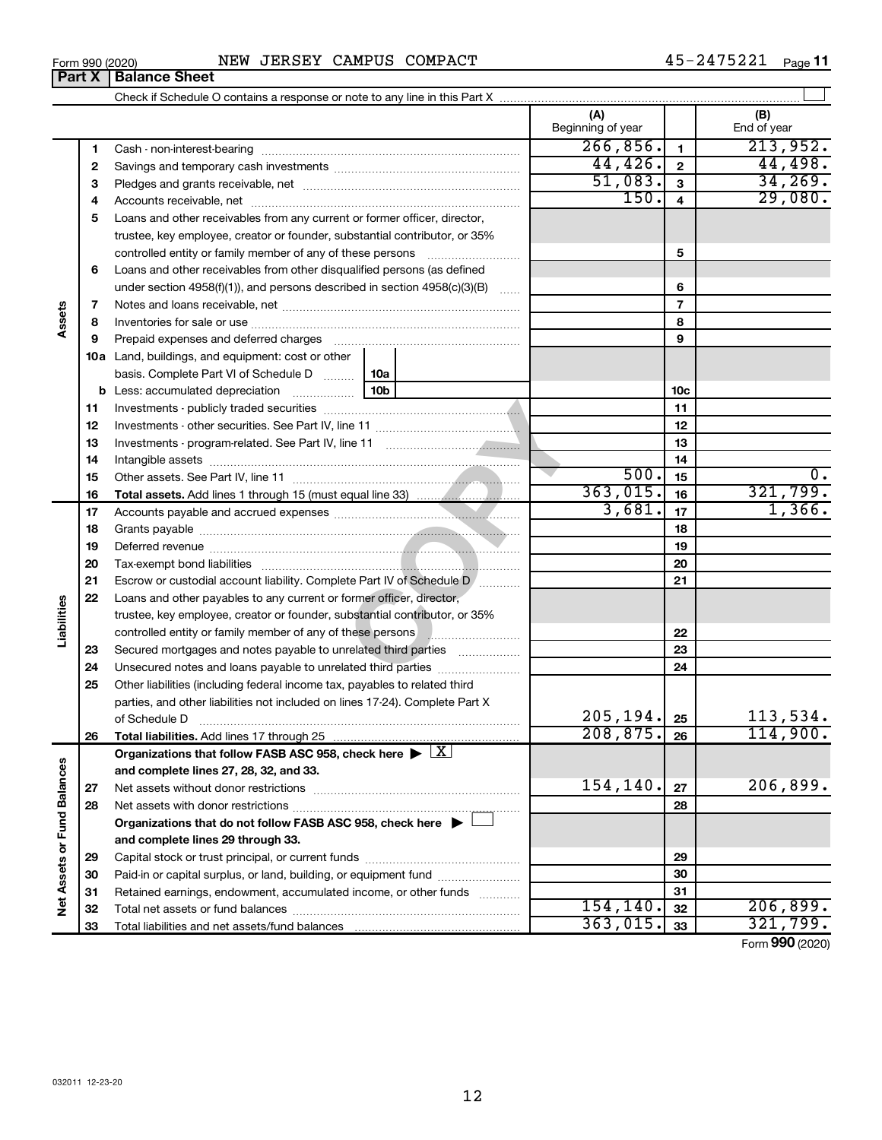45-2475221 Page 11

|                             | Form 990 (2020) | NEW JERSEY CAMPUS COMPACT                                                                                                                                                                                                      |                 |                          |                | 45-2475221<br>Page 11 |    |
|-----------------------------|-----------------|--------------------------------------------------------------------------------------------------------------------------------------------------------------------------------------------------------------------------------|-----------------|--------------------------|----------------|-----------------------|----|
|                             | Part X          | <b>Balance Sheet</b>                                                                                                                                                                                                           |                 |                          |                |                       |    |
|                             |                 |                                                                                                                                                                                                                                |                 |                          |                |                       |    |
|                             |                 |                                                                                                                                                                                                                                |                 | (A)<br>Beginning of year |                | (B)<br>End of year    |    |
|                             | 1               |                                                                                                                                                                                                                                |                 | 266,856.                 | $\mathbf{1}$   | 213,952.              |    |
|                             | 2               |                                                                                                                                                                                                                                |                 | 44, 426.                 | $\mathbf{2}$   | 44,498.               |    |
|                             | 3               |                                                                                                                                                                                                                                |                 | 51,083.                  | 3              | 34, 269.              |    |
|                             | 4               |                                                                                                                                                                                                                                |                 | 150.                     | $\overline{4}$ | 29,080.               |    |
|                             | 5               | Loans and other receivables from any current or former officer, director,                                                                                                                                                      |                 |                          |                |                       |    |
|                             |                 | trustee, key employee, creator or founder, substantial contributor, or 35%                                                                                                                                                     |                 |                          |                |                       |    |
|                             |                 | controlled entity or family member of any of these persons                                                                                                                                                                     |                 |                          | 5              |                       |    |
|                             | 6               | Loans and other receivables from other disqualified persons (as defined                                                                                                                                                        |                 |                          |                |                       |    |
|                             |                 | under section 4958(f)(1)), and persons described in section $4958(c)(3)(B)$                                                                                                                                                    |                 |                          | 6              |                       |    |
|                             | 7               |                                                                                                                                                                                                                                |                 |                          | $\overline{7}$ |                       |    |
| Assets                      | 8               |                                                                                                                                                                                                                                |                 |                          | 8              |                       |    |
|                             | 9               | Prepaid expenses and deferred charges [11] [11] prepaid expenses and deferred charges [11] [11] minimum and the Prepaid expenses and deferred charges [11] minimum and the Prepaid experiment of Prepaid experiment and the Pr |                 | 9                        |                |                       |    |
|                             |                 | 10a Land, buildings, and equipment: cost or other                                                                                                                                                                              |                 |                          |                |                       |    |
|                             |                 | basis. Complete Part VI of Schedule D                                                                                                                                                                                          | 10a             |                          |                |                       |    |
|                             |                 | <b>b</b> Less: accumulated depreciation                                                                                                                                                                                        | 10 <sub>b</sub> |                          | 10c            |                       |    |
|                             | 11              |                                                                                                                                                                                                                                |                 | 11                       |                |                       |    |
|                             | 12              |                                                                                                                                                                                                                                |                 | 12                       |                |                       |    |
|                             | 13              |                                                                                                                                                                                                                                |                 | 13                       |                |                       |    |
|                             | 14              |                                                                                                                                                                                                                                |                 |                          | 14             |                       |    |
|                             | 15              |                                                                                                                                                                                                                                |                 | 500.                     | 15             |                       | 0. |
|                             | 16              |                                                                                                                                                                                                                                |                 | 363,015.                 | 16             | 321,799.              |    |
|                             | 17              |                                                                                                                                                                                                                                |                 | 3,681.                   | 17             | 1,366.                |    |
|                             | 18              |                                                                                                                                                                                                                                |                 | 18                       |                |                       |    |
|                             | 19              |                                                                                                                                                                                                                                |                 | 19                       |                |                       |    |
|                             | 20              |                                                                                                                                                                                                                                |                 |                          | 20             |                       |    |
|                             | 21              | Escrow or custodial account liability. Complete Part IV of Schedule D [                                                                                                                                                        |                 |                          | 21             |                       |    |
|                             | 22              | Loans and other payables to any current or former officer, director,                                                                                                                                                           |                 |                          |                |                       |    |
| Liabilities                 |                 | trustee, key employee, creator or founder, substantial contributor, or 35%                                                                                                                                                     |                 |                          |                |                       |    |
|                             |                 | controlled entity or family member of any of these persons <b>with all any controlled</b> entity or family member of any of these persons                                                                                      |                 |                          | 22             |                       |    |
|                             | 23              | Secured mortgages and notes payable to unrelated third parties                                                                                                                                                                 |                 |                          | 23             |                       |    |
|                             | 24              | Unsecured notes and loans payable to unrelated third parties                                                                                                                                                                   |                 |                          | 24             |                       |    |
|                             | 25              | Other liabilities (including federal income tax, payables to related third                                                                                                                                                     |                 |                          |                |                       |    |
|                             |                 | parties, and other liabilities not included on lines 17-24). Complete Part X                                                                                                                                                   |                 | 205,194.                 |                | 113,534.              |    |
|                             |                 | of Schedule D                                                                                                                                                                                                                  |                 | 208, 875.                | 25<br>26       | 114,900.              |    |
|                             | 26              | Organizations that follow FASB ASC 958, check here $\blacktriangleright \lfloor \underline{X} \rfloor$                                                                                                                         |                 |                          |                |                       |    |
|                             |                 | and complete lines 27, 28, 32, and 33.                                                                                                                                                                                         |                 |                          |                |                       |    |
|                             | 27              |                                                                                                                                                                                                                                |                 | 154, 140.                | 27             | 206,899.              |    |
|                             | 28              |                                                                                                                                                                                                                                |                 |                          | 28             |                       |    |
|                             |                 | Organizations that do not follow FASB ASC 958, check here $\blacktriangleright$                                                                                                                                                |                 |                          |                |                       |    |
|                             |                 | and complete lines 29 through 33.                                                                                                                                                                                              |                 |                          |                |                       |    |
|                             | 29              |                                                                                                                                                                                                                                |                 |                          | 29             |                       |    |
|                             | 30              | Paid-in or capital surplus, or land, building, or equipment fund                                                                                                                                                               |                 |                          | 30             |                       |    |
|                             | 31              | Retained earnings, endowment, accumulated income, or other funds                                                                                                                                                               |                 |                          | 31             |                       |    |
| Net Assets or Fund Balances | 32              |                                                                                                                                                                                                                                |                 | 154, 140.                | 32             | 206,899.              |    |
|                             | 33              |                                                                                                                                                                                                                                | 363,015.        | 33                       | 321,799.       |                       |    |

Form (2020) **990**

| Form 990 (2020 |  |
|----------------|--|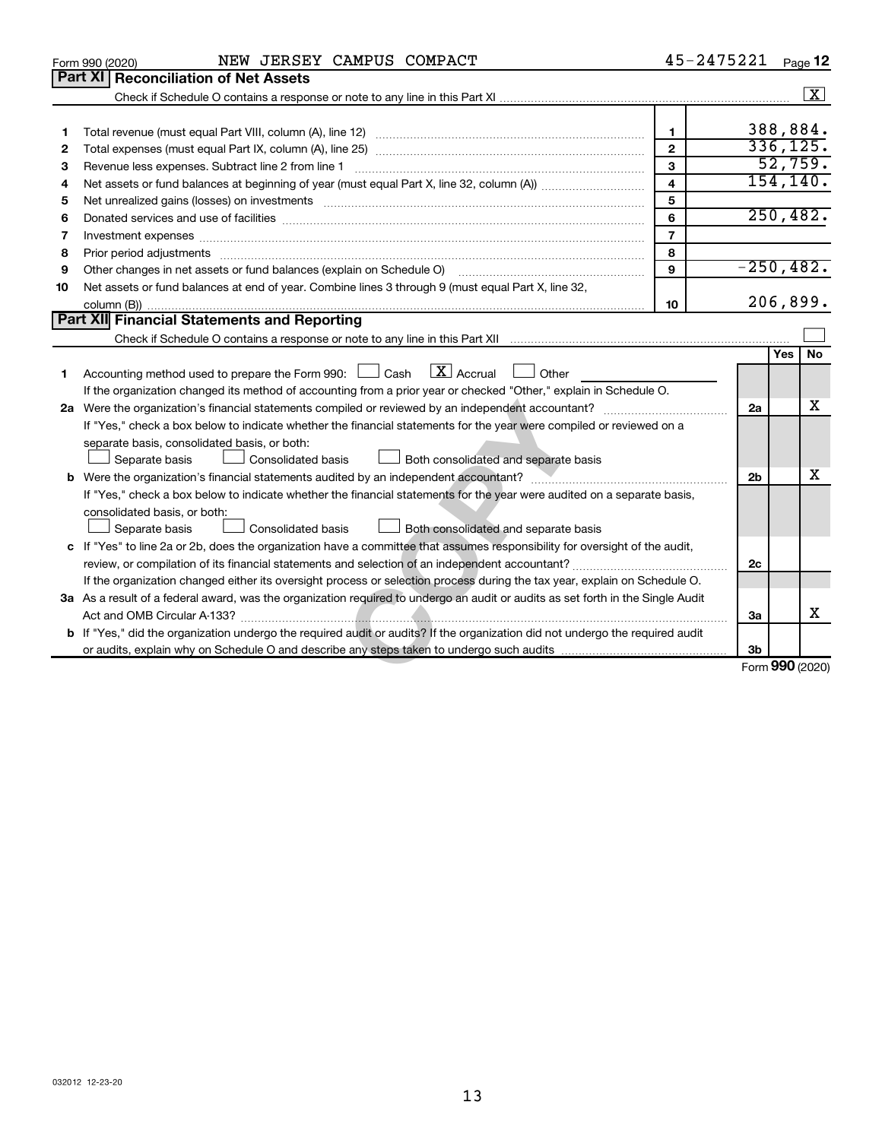|    | NEW JERSEY CAMPUS COMPACT<br>Form 990 (2020)                                                                                                                             | 45-2475221     |                 |           | Page 12            |  |  |  |
|----|--------------------------------------------------------------------------------------------------------------------------------------------------------------------------|----------------|-----------------|-----------|--------------------|--|--|--|
|    | <b>Part XI</b><br><b>Reconciliation of Net Assets</b>                                                                                                                    |                |                 |           |                    |  |  |  |
|    |                                                                                                                                                                          |                |                 |           | $\boxed{\text{X}}$ |  |  |  |
|    |                                                                                                                                                                          |                |                 |           |                    |  |  |  |
| 1  |                                                                                                                                                                          | $\mathbf{1}$   |                 | 388,884.  |                    |  |  |  |
| 2  |                                                                                                                                                                          | $\mathbf{2}$   |                 | 336, 125. |                    |  |  |  |
| З  | Revenue less expenses. Subtract line 2 from line 1                                                                                                                       | $\mathbf{3}$   |                 |           | 52,759.            |  |  |  |
| 4  |                                                                                                                                                                          | $\overline{4}$ |                 |           | 154, 140.          |  |  |  |
| 5  | Net unrealized gains (losses) on investments [111] www.martime.community.community.community.community.communi                                                           | 5              |                 | 250, 482. |                    |  |  |  |
| 6  | 6                                                                                                                                                                        |                |                 |           |                    |  |  |  |
| 7  | $\overline{7}$                                                                                                                                                           |                |                 |           |                    |  |  |  |
| 8  |                                                                                                                                                                          | 8              |                 |           |                    |  |  |  |
| 9  | Other changes in net assets or fund balances (explain on Schedule O)                                                                                                     | 9              | $-250, 482.$    |           |                    |  |  |  |
| 10 | Net assets or fund balances at end of year. Combine lines 3 through 9 (must equal Part X, line 32,                                                                       |                |                 |           |                    |  |  |  |
|    |                                                                                                                                                                          | 10             |                 | 206,899.  |                    |  |  |  |
|    | Part XII Financial Statements and Reporting                                                                                                                              |                |                 |           |                    |  |  |  |
|    | Check if Schedule O contains a response or note to any line in this Part XII [11] [11] [11] Check if Schedule O contains a response or note to any line in this Part XII |                |                 |           |                    |  |  |  |
|    |                                                                                                                                                                          |                |                 | Yes   No  |                    |  |  |  |
| 1  | $\lfloor \mathbf{X} \rfloor$ Accrual<br>Accounting method used to prepare the Form 990: $\Box$ Cash<br>Other                                                             |                |                 |           |                    |  |  |  |
|    | If the organization changed its method of accounting from a prior year or checked "Other," explain in Schedule O.                                                        |                |                 |           |                    |  |  |  |
|    |                                                                                                                                                                          |                | 2a              |           | х                  |  |  |  |
|    | If "Yes," check a box below to indicate whether the financial statements for the year were compiled or reviewed on a                                                     |                |                 |           |                    |  |  |  |
|    | separate basis, consolidated basis, or both:                                                                                                                             |                |                 |           |                    |  |  |  |
|    | Separate basis<br><b>Consolidated basis</b><br>$\Box$ Both consolidated and separate basis                                                                               |                |                 |           |                    |  |  |  |
|    |                                                                                                                                                                          |                | 2 <sub>b</sub>  |           | x                  |  |  |  |
|    | If "Yes," check a box below to indicate whether the financial statements for the year were audited on a separate basis,                                                  |                |                 |           |                    |  |  |  |
|    | consolidated basis, or both:                                                                                                                                             |                |                 |           |                    |  |  |  |
|    | Separate basis<br>Consolidated basis<br>Both consolidated and separate basis                                                                                             |                |                 |           |                    |  |  |  |
|    | c If "Yes" to line 2a or 2b, does the organization have a committee that assumes responsibility for oversight of the audit,                                              |                |                 |           |                    |  |  |  |
|    |                                                                                                                                                                          |                | 2c              |           |                    |  |  |  |
|    | If the organization changed either its oversight process or selection process during the tax year, explain on Schedule O.                                                |                |                 |           |                    |  |  |  |
|    | 3a As a result of a federal award, was the organization required to undergo an audit or audits as set forth in the Single Audit                                          |                |                 |           |                    |  |  |  |
|    |                                                                                                                                                                          |                | За              |           | X                  |  |  |  |
|    | b If "Yes," did the organization undergo the required audit or audits? If the organization did not undergo the required audit                                            |                |                 |           |                    |  |  |  |
|    |                                                                                                                                                                          |                | 3b              |           |                    |  |  |  |
|    |                                                                                                                                                                          |                | Form 990 (2020) |           |                    |  |  |  |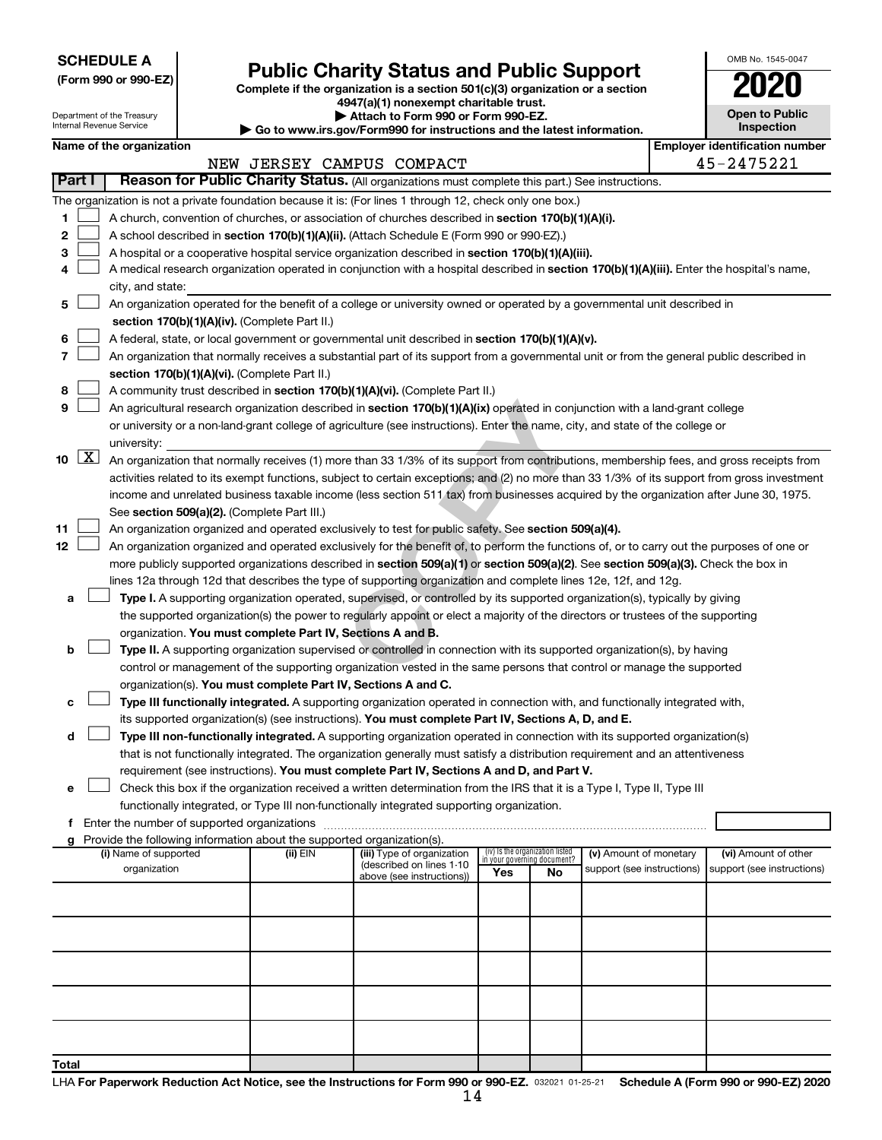**SCHEDULE A**

| (Form 990 or 990-EZ) |  |  |  |  |
|----------------------|--|--|--|--|
|----------------------|--|--|--|--|

# Form 990 or 990-EZ) **Public Charity Status and Public Support**<br>
Complete if the organization is a section 501(c)(3) organization or a section<br> **2020**

**4947(a)(1) nonexempt charitable trust.**

| <b>Open to Public</b><br>Inspection |
|-------------------------------------|
| ∽÷                                  |

OMB No. 1545-0047

|    |                                                                                                  |  | Department of the Treasury<br>Internal Revenue Service |  |                                                                        | Attach to Form 990 or Form 990-EZ.<br>Go to www.irs.gov/Form990 for instructions and the latest information.                                 |     |                                                                |                                                      |  | <b>Open to Public</b><br><b>Inspection</b>         |
|----|--------------------------------------------------------------------------------------------------|--|--------------------------------------------------------|--|------------------------------------------------------------------------|----------------------------------------------------------------------------------------------------------------------------------------------|-----|----------------------------------------------------------------|------------------------------------------------------|--|----------------------------------------------------|
|    |                                                                                                  |  | Name of the organization                               |  |                                                                        |                                                                                                                                              |     |                                                                |                                                      |  | <b>Employer identification number</b>              |
|    |                                                                                                  |  |                                                        |  |                                                                        | NEW JERSEY CAMPUS COMPACT                                                                                                                    |     |                                                                |                                                      |  | 45-2475221                                         |
|    | Part I                                                                                           |  |                                                        |  |                                                                        | Reason for Public Charity Status. (All organizations must complete this part.) See instructions.                                             |     |                                                                |                                                      |  |                                                    |
|    |                                                                                                  |  |                                                        |  |                                                                        | The organization is not a private foundation because it is: (For lines 1 through 12, check only one box.)                                    |     |                                                                |                                                      |  |                                                    |
| 1. |                                                                                                  |  |                                                        |  |                                                                        | A church, convention of churches, or association of churches described in section 170(b)(1)(A)(i).                                           |     |                                                                |                                                      |  |                                                    |
| 2  |                                                                                                  |  |                                                        |  |                                                                        | A school described in section 170(b)(1)(A)(ii). (Attach Schedule E (Form 990 or 990-EZ).)                                                    |     |                                                                |                                                      |  |                                                    |
| з  |                                                                                                  |  |                                                        |  |                                                                        | A hospital or a cooperative hospital service organization described in section 170(b)(1)(A)(iii).                                            |     |                                                                |                                                      |  |                                                    |
|    |                                                                                                  |  |                                                        |  |                                                                        | A medical research organization operated in conjunction with a hospital described in section 170(b)(1)(A)(iii). Enter the hospital's name,   |     |                                                                |                                                      |  |                                                    |
|    |                                                                                                  |  | city, and state:                                       |  |                                                                        |                                                                                                                                              |     |                                                                |                                                      |  |                                                    |
| 5  |                                                                                                  |  |                                                        |  |                                                                        | An organization operated for the benefit of a college or university owned or operated by a governmental unit described in                    |     |                                                                |                                                      |  |                                                    |
|    |                                                                                                  |  |                                                        |  | section 170(b)(1)(A)(iv). (Complete Part II.)                          |                                                                                                                                              |     |                                                                |                                                      |  |                                                    |
| 6  | A federal, state, or local government or governmental unit described in section 170(b)(1)(A)(v). |  |                                                        |  |                                                                        |                                                                                                                                              |     |                                                                |                                                      |  |                                                    |
| 7  |                                                                                                  |  |                                                        |  |                                                                        | An organization that normally receives a substantial part of its support from a governmental unit or from the general public described in    |     |                                                                |                                                      |  |                                                    |
|    |                                                                                                  |  |                                                        |  | section 170(b)(1)(A)(vi). (Complete Part II.)                          |                                                                                                                                              |     |                                                                |                                                      |  |                                                    |
| 8  |                                                                                                  |  |                                                        |  |                                                                        | A community trust described in section 170(b)(1)(A)(vi). (Complete Part II.)                                                                 |     |                                                                |                                                      |  |                                                    |
| 9  |                                                                                                  |  |                                                        |  |                                                                        | An agricultural research organization described in section 170(b)(1)(A)(ix) operated in conjunction with a land-grant college                |     |                                                                |                                                      |  |                                                    |
|    |                                                                                                  |  |                                                        |  |                                                                        | or university or a non-land-grant college of agriculture (see instructions). Enter the name, city, and state of the college or               |     |                                                                |                                                      |  |                                                    |
|    |                                                                                                  |  | university:                                            |  |                                                                        |                                                                                                                                              |     |                                                                |                                                      |  |                                                    |
|    | $10 \mid X$                                                                                      |  |                                                        |  |                                                                        | An organization that normally receives (1) more than 33 1/3% of its support from contributions, membership fees, and gross receipts from     |     |                                                                |                                                      |  |                                                    |
|    |                                                                                                  |  |                                                        |  |                                                                        | activities related to its exempt functions, subject to certain exceptions; and (2) no more than 33 1/3% of its support from gross investment |     |                                                                |                                                      |  |                                                    |
|    |                                                                                                  |  |                                                        |  |                                                                        | income and unrelated business taxable income (less section 511 tax) from businesses acquired by the organization after June 30, 1975.        |     |                                                                |                                                      |  |                                                    |
|    |                                                                                                  |  |                                                        |  | See section 509(a)(2). (Complete Part III.)                            |                                                                                                                                              |     |                                                                |                                                      |  |                                                    |
| 11 |                                                                                                  |  |                                                        |  |                                                                        | An organization organized and operated exclusively to test for public safety. See section 509(a)(4).                                         |     |                                                                |                                                      |  |                                                    |
| 12 |                                                                                                  |  |                                                        |  |                                                                        | An organization organized and operated exclusively for the benefit of, to perform the functions of, or to carry out the purposes of one or   |     |                                                                |                                                      |  |                                                    |
|    |                                                                                                  |  |                                                        |  |                                                                        | more publicly supported organizations described in section 509(a)(1) or section 509(a)(2). See section 509(a)(3). Check the box in           |     |                                                                |                                                      |  |                                                    |
|    |                                                                                                  |  |                                                        |  |                                                                        | lines 12a through 12d that describes the type of supporting organization and complete lines 12e, 12f, and 12g.                               |     |                                                                |                                                      |  |                                                    |
| а  |                                                                                                  |  |                                                        |  |                                                                        | Type I. A supporting organization operated, supervised, or controlled by its supported organization(s), typically by giving                  |     |                                                                |                                                      |  |                                                    |
|    |                                                                                                  |  |                                                        |  |                                                                        | the supported organization(s) the power to regularly appoint or elect a majority of the directors or trustees of the supporting              |     |                                                                |                                                      |  |                                                    |
|    |                                                                                                  |  |                                                        |  | organization. You must complete Part IV, Sections A and B.             |                                                                                                                                              |     |                                                                |                                                      |  |                                                    |
| b  |                                                                                                  |  |                                                        |  |                                                                        | Type II. A supporting organization supervised or controlled in connection with its supported organization(s), by having                      |     |                                                                |                                                      |  |                                                    |
|    |                                                                                                  |  |                                                        |  |                                                                        | control or management of the supporting organization vested in the same persons that control or manage the supported                         |     |                                                                |                                                      |  |                                                    |
|    |                                                                                                  |  |                                                        |  | organization(s). You must complete Part IV, Sections A and C.          |                                                                                                                                              |     |                                                                |                                                      |  |                                                    |
| c  |                                                                                                  |  |                                                        |  |                                                                        | Type III functionally integrated. A supporting organization operated in connection with, and functionally integrated with,                   |     |                                                                |                                                      |  |                                                    |
|    |                                                                                                  |  |                                                        |  |                                                                        | its supported organization(s) (see instructions). You must complete Part IV, Sections A, D, and E.                                           |     |                                                                |                                                      |  |                                                    |
| d  |                                                                                                  |  |                                                        |  |                                                                        | Type III non-functionally integrated. A supporting organization operated in connection with its supported organization(s)                    |     |                                                                |                                                      |  |                                                    |
|    |                                                                                                  |  |                                                        |  |                                                                        | that is not functionally integrated. The organization generally must satisfy a distribution requirement and an attentiveness                 |     |                                                                |                                                      |  |                                                    |
|    |                                                                                                  |  |                                                        |  |                                                                        | requirement (see instructions). You must complete Part IV, Sections A and D, and Part V.                                                     |     |                                                                |                                                      |  |                                                    |
| е  |                                                                                                  |  |                                                        |  |                                                                        | Check this box if the organization received a written determination from the IRS that it is a Type I, Type II, Type III                      |     |                                                                |                                                      |  |                                                    |
|    |                                                                                                  |  |                                                        |  |                                                                        | functionally integrated, or Type III non-functionally integrated supporting organization.                                                    |     |                                                                |                                                      |  |                                                    |
|    |                                                                                                  |  |                                                        |  |                                                                        |                                                                                                                                              |     |                                                                |                                                      |  |                                                    |
|    |                                                                                                  |  |                                                        |  | Provide the following information about the supported organization(s). |                                                                                                                                              |     |                                                                |                                                      |  |                                                    |
|    |                                                                                                  |  | (i) Name of supported<br>organization                  |  | (ii) EIN                                                               | (iii) Type of organization<br>(described on lines 1-10                                                                                       |     | (iv) Is the organization listed<br>in vour aovernina document? | (v) Amount of monetary<br>support (see instructions) |  | (vi) Amount of other<br>support (see instructions) |
|    |                                                                                                  |  |                                                        |  |                                                                        | above (see instructions))                                                                                                                    | Yes | No                                                             |                                                      |  |                                                    |
|    |                                                                                                  |  |                                                        |  |                                                                        |                                                                                                                                              |     |                                                                |                                                      |  |                                                    |
|    |                                                                                                  |  |                                                        |  |                                                                        |                                                                                                                                              |     |                                                                |                                                      |  |                                                    |
|    |                                                                                                  |  |                                                        |  |                                                                        |                                                                                                                                              |     |                                                                |                                                      |  |                                                    |
|    |                                                                                                  |  |                                                        |  |                                                                        |                                                                                                                                              |     |                                                                |                                                      |  |                                                    |
|    |                                                                                                  |  |                                                        |  |                                                                        |                                                                                                                                              |     |                                                                |                                                      |  |                                                    |
|    |                                                                                                  |  |                                                        |  |                                                                        |                                                                                                                                              |     |                                                                |                                                      |  |                                                    |
|    |                                                                                                  |  |                                                        |  |                                                                        |                                                                                                                                              |     |                                                                |                                                      |  |                                                    |
|    |                                                                                                  |  |                                                        |  |                                                                        |                                                                                                                                              |     |                                                                |                                                      |  |                                                    |
|    |                                                                                                  |  |                                                        |  |                                                                        |                                                                                                                                              |     |                                                                |                                                      |  |                                                    |
|    |                                                                                                  |  |                                                        |  |                                                                        |                                                                                                                                              |     |                                                                |                                                      |  |                                                    |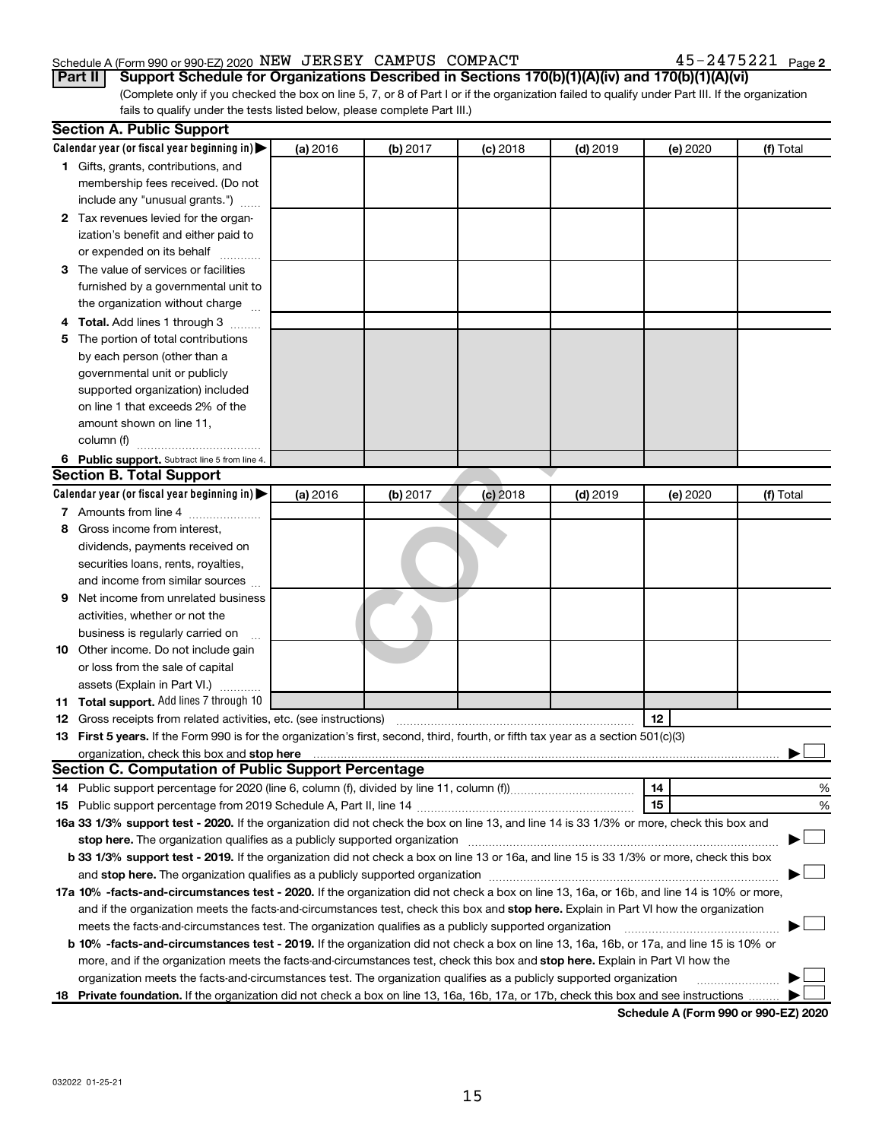#### Schedule A (Form 990 or 990-EZ) 2020 Page NEW JERSEY CAMPUS COMPACT 45-2475221

45-2475221 Page 2

(Complete only if you checked the box on line 5, 7, or 8 of Part I or if the organization failed to qualify under Part III. If the organization fails to qualify under the tests listed below, please complete Part III.) **Part II Support Schedule for Organizations Described in Sections 170(b)(1)(A)(iv) and 170(b)(1)(A)(vi)**

|    | <b>Section A. Public Support</b>                                                                                                               |          |          |            |            |          |           |
|----|------------------------------------------------------------------------------------------------------------------------------------------------|----------|----------|------------|------------|----------|-----------|
|    | Calendar year (or fiscal year beginning in) $\blacktriangleright$                                                                              | (a) 2016 | (b) 2017 | $(c)$ 2018 | $(d)$ 2019 | (e) 2020 | (f) Total |
|    | 1 Gifts, grants, contributions, and                                                                                                            |          |          |            |            |          |           |
|    | membership fees received. (Do not                                                                                                              |          |          |            |            |          |           |
|    | include any "unusual grants.")                                                                                                                 |          |          |            |            |          |           |
|    | 2 Tax revenues levied for the organ-                                                                                                           |          |          |            |            |          |           |
|    | ization's benefit and either paid to                                                                                                           |          |          |            |            |          |           |
|    | or expended on its behalf                                                                                                                      |          |          |            |            |          |           |
|    | 3 The value of services or facilities                                                                                                          |          |          |            |            |          |           |
|    | furnished by a governmental unit to                                                                                                            |          |          |            |            |          |           |
|    | the organization without charge                                                                                                                |          |          |            |            |          |           |
|    | 4 Total. Add lines 1 through 3                                                                                                                 |          |          |            |            |          |           |
| 5. | The portion of total contributions                                                                                                             |          |          |            |            |          |           |
|    | by each person (other than a                                                                                                                   |          |          |            |            |          |           |
|    | governmental unit or publicly                                                                                                                  |          |          |            |            |          |           |
|    | supported organization) included                                                                                                               |          |          |            |            |          |           |
|    | on line 1 that exceeds 2% of the                                                                                                               |          |          |            |            |          |           |
|    | amount shown on line 11,                                                                                                                       |          |          |            |            |          |           |
|    | column (f)                                                                                                                                     |          |          |            |            |          |           |
|    | 6 Public support. Subtract line 5 from line 4.                                                                                                 |          |          |            |            |          |           |
|    | <b>Section B. Total Support</b>                                                                                                                |          |          |            |            |          |           |
|    | Calendar year (or fiscal year beginning in)                                                                                                    | (a) 2016 | (b) 2017 | $(c)$ 2018 | $(d)$ 2019 | (e) 2020 | (f) Total |
|    | 7 Amounts from line 4                                                                                                                          |          |          |            |            |          |           |
| 8  | Gross income from interest.                                                                                                                    |          |          |            |            |          |           |
|    | dividends, payments received on                                                                                                                |          |          |            |            |          |           |
|    | securities loans, rents, royalties,                                                                                                            |          |          |            |            |          |           |
|    | and income from similar sources                                                                                                                |          |          |            |            |          |           |
| 9  | Net income from unrelated business                                                                                                             |          |          |            |            |          |           |
|    | activities, whether or not the                                                                                                                 |          |          |            |            |          |           |
|    | business is regularly carried on                                                                                                               |          |          |            |            |          |           |
|    | <b>10</b> Other income. Do not include gain                                                                                                    |          |          |            |            |          |           |
|    | or loss from the sale of capital                                                                                                               |          |          |            |            |          |           |
|    | assets (Explain in Part VI.)                                                                                                                   |          |          |            |            |          |           |
|    | 11 Total support. Add lines 7 through 10                                                                                                       |          |          |            |            |          |           |
|    | <b>12</b> Gross receipts from related activities, etc. (see instructions)                                                                      |          |          |            |            | 12       |           |
|    | 13 First 5 years. If the Form 990 is for the organization's first, second, third, fourth, or fifth tax year as a section 501(c)(3)             |          |          |            |            |          |           |
|    | organization, check this box and stop here<br><b>Section C. Computation of Public Support Percentage</b>                                       |          |          |            |            |          |           |
|    |                                                                                                                                                |          |          |            |            |          |           |
|    |                                                                                                                                                |          |          |            |            | 14       | %         |
|    | 16a 33 1/3% support test - 2020. If the organization did not check the box on line 13, and line 14 is 33 1/3% or more, check this box and      |          |          |            |            | 15       | %         |
|    | stop here. The organization qualifies as a publicly supported organization manufactured content and the organization                           |          |          |            |            |          |           |
|    | b 33 1/3% support test - 2019. If the organization did not check a box on line 13 or 16a, and line 15 is 33 1/3% or more, check this box       |          |          |            |            |          |           |
|    |                                                                                                                                                |          |          |            |            |          |           |
|    | 17a 10% -facts-and-circumstances test - 2020. If the organization did not check a box on line 13, 16a, or 16b, and line 14 is 10% or more,     |          |          |            |            |          |           |
|    | and if the organization meets the facts-and-circumstances test, check this box and stop here. Explain in Part VI how the organization          |          |          |            |            |          |           |
|    | meets the facts-and-circumstances test. The organization qualifies as a publicly supported organization                                        |          |          |            |            |          |           |
|    | <b>b 10% -facts-and-circumstances test - 2019.</b> If the organization did not check a box on line 13, 16a, 16b, or 17a, and line 15 is 10% or |          |          |            |            |          |           |
|    | more, and if the organization meets the facts-and-circumstances test, check this box and stop here. Explain in Part VI how the                 |          |          |            |            |          |           |
|    | organization meets the facts-and-circumstances test. The organization qualifies as a publicly supported organization                           |          |          |            |            |          |           |
| 18 | Private foundation. If the organization did not check a box on line 13, 16a, 16b, 17a, or 17b, check this box and see instructions.            |          |          |            |            |          |           |
|    |                                                                                                                                                |          |          |            |            |          |           |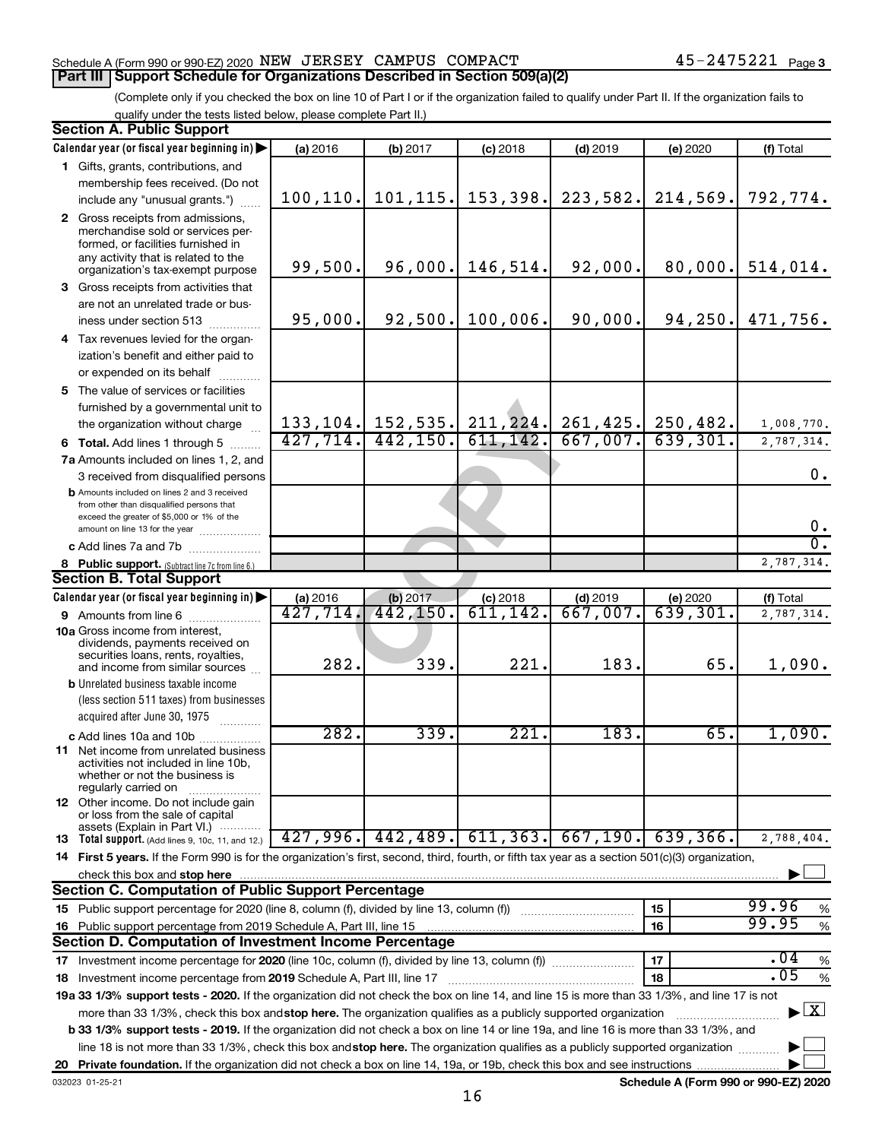#### Schedule A (Form 990 or 990-EZ) 2020 Page NEW JERSEY CAMPUS COMPACT 45-2475221 **Part III Support Schedule for Organizations Described in Section 509(a)(2)**

#### (Complete only if you checked the box on line 10 of Part I or if the organization failed to qualify under Part II. If the organization fails to qualify under the tests listed below, please complete Part II.)

|    | <b>Section A. Public Support</b>                                                                                                                                                         |           |                         |                       |                                                   |                                      |                                          |
|----|------------------------------------------------------------------------------------------------------------------------------------------------------------------------------------------|-----------|-------------------------|-----------------------|---------------------------------------------------|--------------------------------------|------------------------------------------|
|    | Calendar year (or fiscal year beginning in)                                                                                                                                              | (a) 2016  | (b) 2017                | $(c)$ 2018            | $(d)$ 2019                                        | (e) 2020                             | (f) Total                                |
|    | 1 Gifts, grants, contributions, and                                                                                                                                                      |           |                         |                       |                                                   |                                      |                                          |
|    | membership fees received. (Do not                                                                                                                                                        |           |                         |                       |                                                   |                                      |                                          |
|    | include any "unusual grants.")                                                                                                                                                           | 100, 110. |                         | $101, 115.$ 153, 398. | 223,582.                                          | 214,569.                             | 792,774.                                 |
|    | 2 Gross receipts from admissions,<br>merchandise sold or services per-<br>formed, or facilities furnished in<br>any activity that is related to the<br>organization's tax-exempt purpose | 99,500.   | 96,000.                 | 146,514.              | 92,000.                                           | 80,000.                              | 514,014.                                 |
|    | <b>3</b> Gross receipts from activities that                                                                                                                                             |           |                         |                       |                                                   |                                      |                                          |
|    | are not an unrelated trade or bus-<br>iness under section 513                                                                                                                            | 95,000.   | 92,500.                 | 100,006.              | 90,000.                                           | 94, 250.                             | 471,756.                                 |
|    | 4 Tax revenues levied for the organ-                                                                                                                                                     |           |                         |                       |                                                   |                                      |                                          |
|    | ization's benefit and either paid to<br>or expended on its behalf                                                                                                                        |           |                         |                       |                                                   |                                      |                                          |
|    | 5 The value of services or facilities                                                                                                                                                    |           |                         |                       |                                                   |                                      |                                          |
|    | furnished by a governmental unit to                                                                                                                                                      |           |                         |                       | 133, 104. 152, 535. 211, 224. 261, 425. 250, 482. |                                      | 1,008,770.                               |
|    | the organization without charge<br><b>6 Total.</b> Add lines 1 through 5                                                                                                                 | 427, 714. | 442, 150.               | 611, 142.             | 667,007.                                          | 639,301.                             | 2,787,314.                               |
|    | 7a Amounts included on lines 1, 2, and                                                                                                                                                   |           |                         |                       |                                                   |                                      |                                          |
|    | 3 received from disqualified persons                                                                                                                                                     |           |                         |                       |                                                   |                                      | 0.                                       |
|    | <b>b</b> Amounts included on lines 2 and 3 received<br>from other than disqualified persons that<br>exceed the greater of \$5,000 or 1% of the<br>amount on line 13 for the year         |           |                         |                       |                                                   |                                      | 0.                                       |
|    | c Add lines 7a and 7b                                                                                                                                                                    |           |                         |                       |                                                   |                                      | σ.                                       |
|    | 8 Public support. (Subtract line 7c from line 6.)                                                                                                                                        |           |                         |                       |                                                   |                                      | 2,787,314.                               |
|    | <b>Section B. Total Support</b>                                                                                                                                                          |           |                         |                       |                                                   |                                      |                                          |
|    | Calendar year (or fiscal year beginning in)                                                                                                                                              | (a) 2016  |                         | $(c)$ 2018            | $(d)$ 2019                                        | (e) 2020                             | (f) Total                                |
|    | 9 Amounts from line 6                                                                                                                                                                    | 427,714.  | (b) $2017$<br>442, 150. | 611,142.              | $\overline{667,007}$ .                            | 639,301.                             | 2,787,314.                               |
|    | <b>10a</b> Gross income from interest,<br>dividends, payments received on<br>securities loans, rents, royalties,<br>and income from similar sources                                      | 282.      | 339.                    | 221.                  | 183.                                              | 65.                                  | 1,090.                                   |
|    | <b>b</b> Unrelated business taxable income<br>(less section 511 taxes) from businesses                                                                                                   |           |                         |                       |                                                   |                                      |                                          |
|    | acquired after June 30, 1975                                                                                                                                                             | 282.      | 339.                    | 221.                  | 183.                                              | 65.                                  | 1,090.                                   |
|    | c Add lines 10a and 10b<br>11 Net income from unrelated business<br>activities not included in line 10b,<br>whether or not the business is<br>regularly carried on                       |           |                         |                       |                                                   |                                      |                                          |
|    | <b>12</b> Other income. Do not include gain<br>or loss from the sale of capital<br>assets (Explain in Part VI.)                                                                          |           |                         |                       |                                                   |                                      |                                          |
|    | <b>13</b> Total support. (Add lines 9, 10c, 11, and 12.)                                                                                                                                 |           | $427,996.$ $442,489.$   | 611, 363.             | 667,190.                                          | 639, 366.                            | 2,788,404.                               |
|    | 14 First 5 years. If the Form 990 is for the organization's first, second, third, fourth, or fifth tax year as a section 501(c)(3) organization,                                         |           |                         |                       |                                                   |                                      |                                          |
|    | check this box and stop here                                                                                                                                                             |           |                         |                       |                                                   |                                      |                                          |
|    | <b>Section C. Computation of Public Support Percentage</b>                                                                                                                               |           |                         |                       |                                                   |                                      |                                          |
|    |                                                                                                                                                                                          |           |                         |                       |                                                   | 15                                   | 99.96<br>%                               |
|    | 16 Public support percentage from 2019 Schedule A, Part III, line 15                                                                                                                     |           |                         |                       |                                                   | 16                                   | 99.95<br>$\%$                            |
|    | Section D. Computation of Investment Income Percentage                                                                                                                                   |           |                         |                       |                                                   |                                      |                                          |
|    | 17 Investment income percentage for 2020 (line 10c, column (f), divided by line 13, column (f))                                                                                          |           |                         |                       |                                                   | 17                                   | .04<br>$\%$<br>.05                       |
|    | 18 Investment income percentage from 2019 Schedule A, Part III, line 17                                                                                                                  |           |                         |                       |                                                   | 18                                   | $\%$                                     |
|    | 19a 33 1/3% support tests - 2020. If the organization did not check the box on line 14, and line 15 is more than 33 1/3%, and line 17 is not                                             |           |                         |                       |                                                   |                                      |                                          |
|    | more than 33 1/3%, check this box and stop here. The organization qualifies as a publicly supported organization                                                                         |           |                         |                       |                                                   |                                      | $\blacktriangleright$ $\boxed{\text{X}}$ |
|    | <b>b 33 1/3% support tests - 2019.</b> If the organization did not check a box on line 14 or line 19a, and line 16 is more than 33 1/3%, and                                             |           |                         |                       |                                                   |                                      |                                          |
|    | line 18 is not more than 33 1/3%, check this box and stop here. The organization qualifies as a publicly supported organization                                                          |           |                         |                       |                                                   |                                      |                                          |
| 20 | 032023 01-25-21                                                                                                                                                                          |           |                         |                       |                                                   | Schedule A (Form 990 or 990-EZ) 2020 |                                          |
|    |                                                                                                                                                                                          |           |                         |                       |                                                   |                                      |                                          |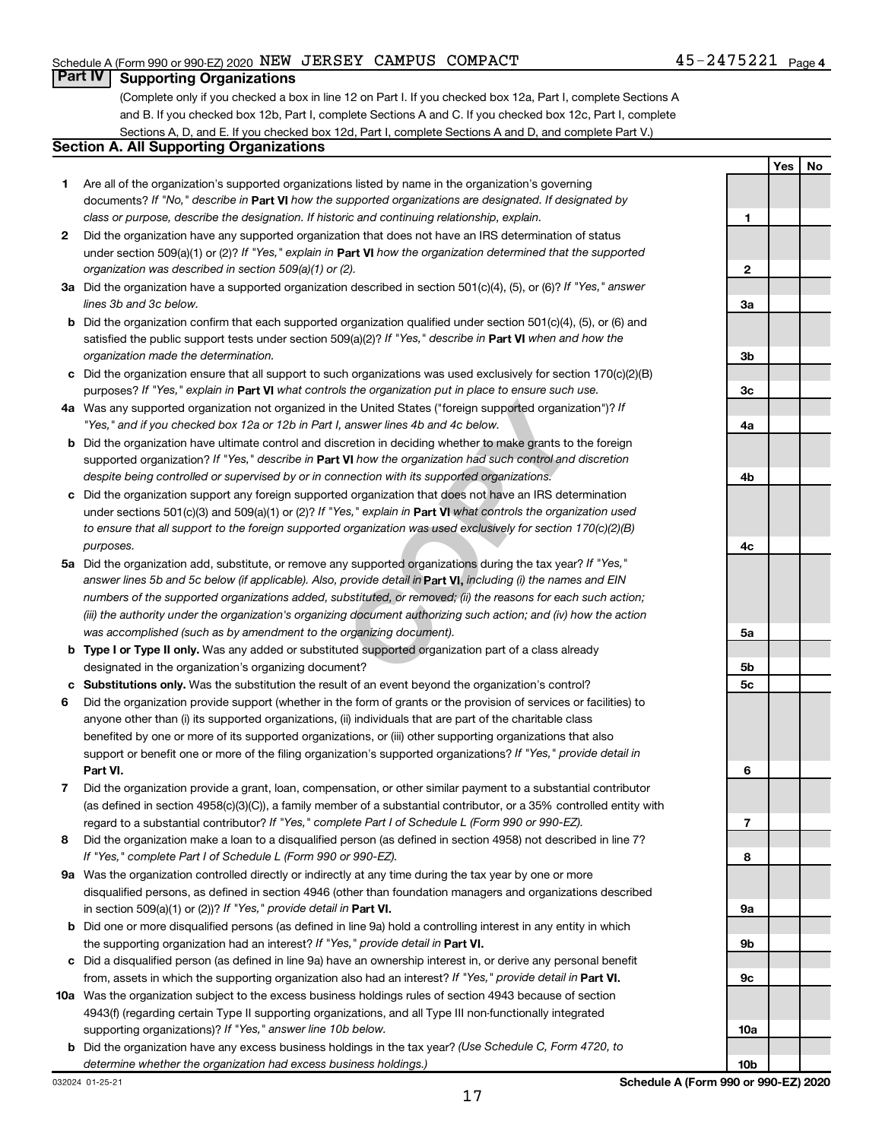**Yes No**

#### **Part IV Supporting Organizations**

(Complete only if you checked a box in line 12 on Part I. If you checked box 12a, Part I, complete Sections A and B. If you checked box 12b, Part I, complete Sections A and C. If you checked box 12c, Part I, complete Sections A, D, and E. If you checked box 12d, Part I, complete Sections A and D, and complete Part V.)

#### **Section A. All Supporting Organizations**

- **1** Are all of the organization's supported organizations listed by name in the organization's governing documents? If "No," describe in Part VI how the supported organizations are designated. If designated by *class or purpose, describe the designation. If historic and continuing relationship, explain.*
- **2** Did the organization have any supported organization that does not have an IRS determination of status under section 509(a)(1) or (2)? If "Yes," explain in Part **VI** how the organization determined that the supported *organization was described in section 509(a)(1) or (2).*
- **3a** Did the organization have a supported organization described in section 501(c)(4), (5), or (6)? If "Yes," answer *lines 3b and 3c below.*
- **b** Did the organization confirm that each supported organization qualified under section 501(c)(4), (5), or (6) and satisfied the public support tests under section 509(a)(2)? If "Yes," describe in Part VI when and how the *organization made the determination.*
- **c** Did the organization ensure that all support to such organizations was used exclusively for section 170(c)(2)(B) purposes? If "Yes," explain in Part VI what controls the organization put in place to ensure such use.
- **4 a** *If* Was any supported organization not organized in the United States ("foreign supported organization")? *"Yes," and if you checked box 12a or 12b in Part I, answer lines 4b and 4c below.*
- **b** Did the organization have ultimate control and discretion in deciding whether to make grants to the foreign supported organization? If "Yes," describe in Part VI how the organization had such control and discretion *despite being controlled or supervised by or in connection with its supported organizations.*
- **c** Did the organization support any foreign supported organization that does not have an IRS determination under sections 501(c)(3) and 509(a)(1) or (2)? If "Yes," explain in Part VI what controls the organization used *to ensure that all support to the foreign supported organization was used exclusively for section 170(c)(2)(B) purposes.*
- the United States ("foreign supported organization")? *l*<br>answer lines 4b and 4c below.<br>Consider the foreign supported organization")? *l*<br>answer lines 4b and 4c below.<br>**VI** how the organization had such control and discre **5a** Did the organization add, substitute, or remove any supported organizations during the tax year? If "Yes," answer lines 5b and 5c below (if applicable). Also, provide detail in **Part VI,** including (i) the names and EIN *numbers of the supported organizations added, substituted, or removed; (ii) the reasons for each such action; (iii) the authority under the organization's organizing document authorizing such action; and (iv) how the action was accomplished (such as by amendment to the organizing document).*
- **b** Type I or Type II only. Was any added or substituted supported organization part of a class already designated in the organization's organizing document?
- **c Substitutions only.**  Was the substitution the result of an event beyond the organization's control?
- **6** Did the organization provide support (whether in the form of grants or the provision of services or facilities) to **Part VI.** support or benefit one or more of the filing organization's supported organizations? If "Yes," provide detail in anyone other than (i) its supported organizations, (ii) individuals that are part of the charitable class benefited by one or more of its supported organizations, or (iii) other supporting organizations that also
- **7** Did the organization provide a grant, loan, compensation, or other similar payment to a substantial contributor regard to a substantial contributor? If "Yes," complete Part I of Schedule L (Form 990 or 990-EZ). (as defined in section 4958(c)(3)(C)), a family member of a substantial contributor, or a 35% controlled entity with
- **8** Did the organization make a loan to a disqualified person (as defined in section 4958) not described in line 7? *If "Yes," complete Part I of Schedule L (Form 990 or 990-EZ).*
- **9 a** Was the organization controlled directly or indirectly at any time during the tax year by one or more in section 509(a)(1) or (2))? If "Yes," provide detail in **Part VI.** disqualified persons, as defined in section 4946 (other than foundation managers and organizations described
- **b** Did one or more disqualified persons (as defined in line 9a) hold a controlling interest in any entity in which the supporting organization had an interest? If "Yes," provide detail in Part VI.
- **c** Did a disqualified person (as defined in line 9a) have an ownership interest in, or derive any personal benefit from, assets in which the supporting organization also had an interest? If "Yes," provide detail in Part VI.
- **10 a** Was the organization subject to the excess business holdings rules of section 4943 because of section supporting organizations)? If "Yes," answer line 10b below. 4943(f) (regarding certain Type II supporting organizations, and all Type III non-functionally integrated
- **b** Did the organization have any excess business holdings in the tax year? (Use Schedule C, Form 4720, to *determine whether the organization had excess business holdings.)*

**1 2 3a 3b 3c 4a 4b 4c 5a 5b 5c 6 7 8 9a 9b 9c 10a**

**10b**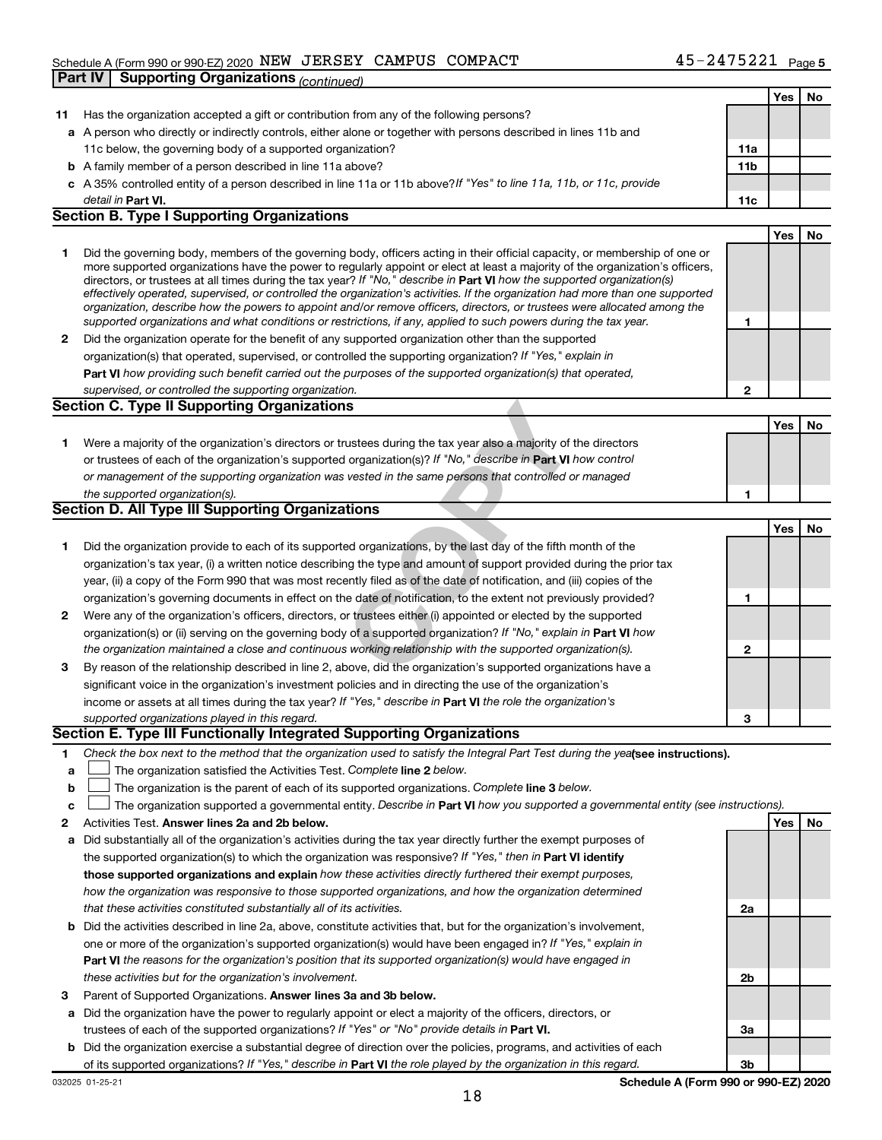### Schedule A (Form 990 or 990-EZ) 2020 Page NEW JERSEY CAMPUS COMPACT 45-2475221 **Part IV Supporting Organizations** *(continued)*

|    |                                                                                                                                                                                                                                                                                                                                                                                                                                                                                                                          |              | Yes | No |
|----|--------------------------------------------------------------------------------------------------------------------------------------------------------------------------------------------------------------------------------------------------------------------------------------------------------------------------------------------------------------------------------------------------------------------------------------------------------------------------------------------------------------------------|--------------|-----|----|
| 11 | Has the organization accepted a gift or contribution from any of the following persons?                                                                                                                                                                                                                                                                                                                                                                                                                                  |              |     |    |
|    | a A person who directly or indirectly controls, either alone or together with persons described in lines 11b and                                                                                                                                                                                                                                                                                                                                                                                                         |              |     |    |
|    | 11c below, the governing body of a supported organization?                                                                                                                                                                                                                                                                                                                                                                                                                                                               | 11a          |     |    |
|    | <b>b</b> A family member of a person described in line 11a above?                                                                                                                                                                                                                                                                                                                                                                                                                                                        | 11b          |     |    |
|    | c A 35% controlled entity of a person described in line 11a or 11b above? If "Yes" to line 11a, 11b, or 11c, provide                                                                                                                                                                                                                                                                                                                                                                                                     |              |     |    |
|    | detail in Part VI.                                                                                                                                                                                                                                                                                                                                                                                                                                                                                                       | 11c          |     |    |
|    | <b>Section B. Type I Supporting Organizations</b>                                                                                                                                                                                                                                                                                                                                                                                                                                                                        |              |     |    |
|    |                                                                                                                                                                                                                                                                                                                                                                                                                                                                                                                          |              | Yes | No |
| 1  | Did the governing body, members of the governing body, officers acting in their official capacity, or membership of one or<br>more supported organizations have the power to regularly appoint or elect at least a majority of the organization's officers,<br>directors, or trustees at all times during the tax year? If "No," describe in Part VI how the supported organization(s)<br>effectively operated, supervised, or controlled the organization's activities. If the organization had more than one supported |              |     |    |
|    | organization, describe how the powers to appoint and/or remove officers, directors, or trustees were allocated among the<br>supported organizations and what conditions or restrictions, if any, applied to such powers during the tax year.                                                                                                                                                                                                                                                                             | 1            |     |    |
| 2  | Did the organization operate for the benefit of any supported organization other than the supported                                                                                                                                                                                                                                                                                                                                                                                                                      |              |     |    |
|    | organization(s) that operated, supervised, or controlled the supporting organization? If "Yes," explain in                                                                                                                                                                                                                                                                                                                                                                                                               |              |     |    |
|    | Part VI how providing such benefit carried out the purposes of the supported organization(s) that operated,                                                                                                                                                                                                                                                                                                                                                                                                              |              |     |    |
|    | supervised, or controlled the supporting organization.                                                                                                                                                                                                                                                                                                                                                                                                                                                                   | $\mathbf{2}$ |     |    |
|    | <b>Section C. Type II Supporting Organizations</b>                                                                                                                                                                                                                                                                                                                                                                                                                                                                       |              |     |    |
|    |                                                                                                                                                                                                                                                                                                                                                                                                                                                                                                                          |              | Yes | No |
| 1. | Were a majority of the organization's directors or trustees during the tax year also a majority of the directors                                                                                                                                                                                                                                                                                                                                                                                                         |              |     |    |
|    | or trustees of each of the organization's supported organization(s)? If "No," describe in Part VI how control                                                                                                                                                                                                                                                                                                                                                                                                            |              |     |    |
|    | or management of the supporting organization was vested in the same persons that controlled or managed                                                                                                                                                                                                                                                                                                                                                                                                                   |              |     |    |
|    | the supported organization(s).                                                                                                                                                                                                                                                                                                                                                                                                                                                                                           | 1            |     |    |
|    | Section D. All Type III Supporting Organizations                                                                                                                                                                                                                                                                                                                                                                                                                                                                         |              |     |    |
|    |                                                                                                                                                                                                                                                                                                                                                                                                                                                                                                                          |              | Yes | No |
| 1. | Did the organization provide to each of its supported organizations, by the last day of the fifth month of the                                                                                                                                                                                                                                                                                                                                                                                                           |              |     |    |
|    | organization's tax year, (i) a written notice describing the type and amount of support provided during the prior tax                                                                                                                                                                                                                                                                                                                                                                                                    |              |     |    |
|    | year, (ii) a copy of the Form 990 that was most recently filed as of the date of notification, and (iii) copies of the                                                                                                                                                                                                                                                                                                                                                                                                   |              |     |    |
|    | organization's governing documents in effect on the date of notification, to the extent not previously provided?                                                                                                                                                                                                                                                                                                                                                                                                         | 1            |     |    |
| 2  | Were any of the organization's officers, directors, or trustees either (i) appointed or elected by the supported                                                                                                                                                                                                                                                                                                                                                                                                         |              |     |    |
|    | organization(s) or (ii) serving on the governing body of a supported organization? If "No," explain in Part VI how                                                                                                                                                                                                                                                                                                                                                                                                       |              |     |    |
|    | the organization maintained a close and continuous working relationship with the supported organization(s).                                                                                                                                                                                                                                                                                                                                                                                                              | $\mathbf{2}$ |     |    |
| 3  | By reason of the relationship described in line 2, above, did the organization's supported organizations have a                                                                                                                                                                                                                                                                                                                                                                                                          |              |     |    |
|    | significant voice in the organization's investment policies and in directing the use of the organization's                                                                                                                                                                                                                                                                                                                                                                                                               |              |     |    |
|    | income or assets at all times during the tax year? If "Yes," describe in Part VI the role the organization's                                                                                                                                                                                                                                                                                                                                                                                                             |              |     |    |
|    | supported organizations played in this regard.                                                                                                                                                                                                                                                                                                                                                                                                                                                                           | 3            |     |    |
|    | Section E. Type III Functionally Integrated Supporting Organizations                                                                                                                                                                                                                                                                                                                                                                                                                                                     |              |     |    |
| 1  | Check the box next to the method that the organization used to satisfy the Integral Part Test during the yealsee instructions).                                                                                                                                                                                                                                                                                                                                                                                          |              |     |    |
| a  | The organization satisfied the Activities Test. Complete line 2 below.                                                                                                                                                                                                                                                                                                                                                                                                                                                   |              |     |    |
| b  | The organization is the parent of each of its supported organizations. Complete line 3 below.                                                                                                                                                                                                                                                                                                                                                                                                                            |              |     |    |
| c  | The organization supported a governmental entity. Describe in Part VI how you supported a governmental entity (see instructions).                                                                                                                                                                                                                                                                                                                                                                                        |              |     |    |
| 2  | Activities Test. Answer lines 2a and 2b below.                                                                                                                                                                                                                                                                                                                                                                                                                                                                           |              | Yes | No |
| а  | Did substantially all of the organization's activities during the tax year directly further the exempt purposes of                                                                                                                                                                                                                                                                                                                                                                                                       |              |     |    |
|    | the supported organization(s) to which the organization was responsive? If "Yes," then in Part VI identify                                                                                                                                                                                                                                                                                                                                                                                                               |              |     |    |
|    | those supported organizations and explain how these activities directly furthered their exempt purposes,                                                                                                                                                                                                                                                                                                                                                                                                                 |              |     |    |
|    | how the organization was responsive to those supported organizations, and how the organization determined<br>that these activities constituted substantially all of its activities.                                                                                                                                                                                                                                                                                                                                      | 2a           |     |    |
|    |                                                                                                                                                                                                                                                                                                                                                                                                                                                                                                                          |              |     |    |
| b  | Did the activities described in line 2a, above, constitute activities that, but for the organization's involvement,<br>one or more of the organization's supported organization(s) would have been engaged in? If "Yes," explain in                                                                                                                                                                                                                                                                                      |              |     |    |
|    | <b>Part VI</b> the reasons for the organization's position that its supported organization(s) would have engaged in                                                                                                                                                                                                                                                                                                                                                                                                      |              |     |    |
|    | these activities but for the organization's involvement.                                                                                                                                                                                                                                                                                                                                                                                                                                                                 | 2b           |     |    |
| 3  | Parent of Supported Organizations. Answer lines 3a and 3b below.                                                                                                                                                                                                                                                                                                                                                                                                                                                         |              |     |    |
| а  | Did the organization have the power to regularly appoint or elect a majority of the officers, directors, or                                                                                                                                                                                                                                                                                                                                                                                                              |              |     |    |
|    | trustees of each of the supported organizations? If "Yes" or "No" provide details in Part VI.                                                                                                                                                                                                                                                                                                                                                                                                                            | За           |     |    |
|    | <b>b</b> Did the organization exercise a substantial degree of direction over the policies, programs, and activities of each                                                                                                                                                                                                                                                                                                                                                                                             |              |     |    |
|    | of its supported organizations? If "Yes," describe in Part VI the role played by the organization in this regard.                                                                                                                                                                                                                                                                                                                                                                                                        | Зb           |     |    |
|    |                                                                                                                                                                                                                                                                                                                                                                                                                                                                                                                          |              |     |    |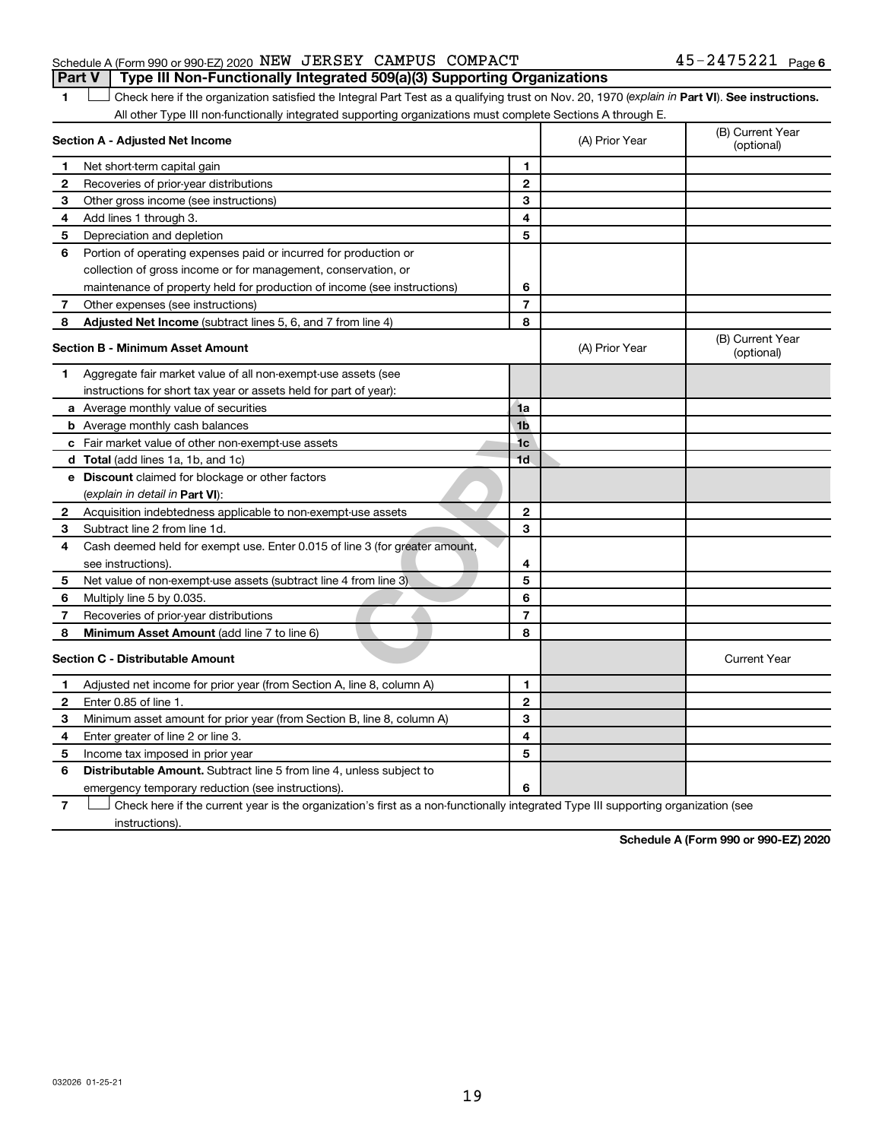#### Schedule A (Form 990 or 990-EZ) 2020 Page NEW JERSEY CAMPUS COMPACT 45-2475221 **Part V Type III Non-Functionally Integrated 509(a)(3) Supporting Organizations**

1 **Letter See instructions.** Check here if the organization satisfied the Integral Part Test as a qualifying trust on Nov. 20, 1970 (*explain in* Part **VI**). See instructions. All other Type III non-functionally integrated supporting organizations must complete Sections A through E.

|              | Section A - Adjusted Net Income                                             |                | (A) Prior Year | (B) Current Year<br>(optional) |
|--------------|-----------------------------------------------------------------------------|----------------|----------------|--------------------------------|
| 1            | Net short-term capital gain                                                 | 1              |                |                                |
| 2            | Recoveries of prior-year distributions                                      | $\mathbf{2}$   |                |                                |
| 3            | Other gross income (see instructions)                                       | 3              |                |                                |
| 4            | Add lines 1 through 3.                                                      | 4              |                |                                |
| 5            | Depreciation and depletion                                                  | 5              |                |                                |
| 6            | Portion of operating expenses paid or incurred for production or            |                |                |                                |
|              | collection of gross income or for management, conservation, or              |                |                |                                |
|              | maintenance of property held for production of income (see instructions)    | 6              |                |                                |
| 7            | Other expenses (see instructions)                                           | $\overline{7}$ |                |                                |
| 8            | Adjusted Net Income (subtract lines 5, 6, and 7 from line 4)                | 8              |                |                                |
|              | <b>Section B - Minimum Asset Amount</b>                                     |                | (A) Prior Year | (B) Current Year<br>(optional) |
| 1.           | Aggregate fair market value of all non-exempt-use assets (see               |                |                |                                |
|              | instructions for short tax year or assets held for part of year):           |                |                |                                |
|              | <b>a</b> Average monthly value of securities                                | 1a             |                |                                |
|              | <b>b</b> Average monthly cash balances                                      | 1 <sub>b</sub> |                |                                |
|              | <b>c</b> Fair market value of other non-exempt-use assets                   | 1 <sub>c</sub> |                |                                |
|              | d Total (add lines 1a, 1b, and 1c)                                          | 1 <sub>d</sub> |                |                                |
|              | <b>e</b> Discount claimed for blockage or other factors                     |                |                |                                |
|              | (explain in detail in Part VI):                                             |                |                |                                |
| 2            | Acquisition indebtedness applicable to non-exempt-use assets                | $\mathbf{2}$   |                |                                |
| З            | Subtract line 2 from line 1d.                                               | 3              |                |                                |
| 4            | Cash deemed held for exempt use. Enter 0.015 of line 3 (for greater amount, |                |                |                                |
|              | see instructions).                                                          | 4              |                |                                |
| 5            | Net value of non-exempt-use assets (subtract line 4 from line 3)            | 5              |                |                                |
| 6            | Multiply line 5 by 0.035.                                                   | 6              |                |                                |
| 7            | Recoveries of prior-year distributions                                      | 7              |                |                                |
| 8            | Minimum Asset Amount (add line 7 to line 6)                                 | 8              |                |                                |
|              | <b>Section C - Distributable Amount</b>                                     |                |                | <b>Current Year</b>            |
| 1            | Adjusted net income for prior year (from Section A, line 8, column A)       | 1              |                |                                |
| $\mathbf{2}$ | Enter 0.85 of line 1.                                                       | $\mathbf{2}$   |                |                                |
| З            | Minimum asset amount for prior year (from Section B, line 8, column A)      | 3              |                |                                |
| 4            | Enter greater of line 2 or line 3.                                          | 4              |                |                                |
| 5            | Income tax imposed in prior year                                            | 5              |                |                                |
| 6            | Distributable Amount. Subtract line 5 from line 4, unless subject to        |                |                |                                |
|              | emergency temporary reduction (see instructions).                           | 6              |                |                                |
|              |                                                                             |                |                |                                |

**7** Let Check here if the current year is the organization's first as a non-functionally integrated Type III supporting organization (see instructions).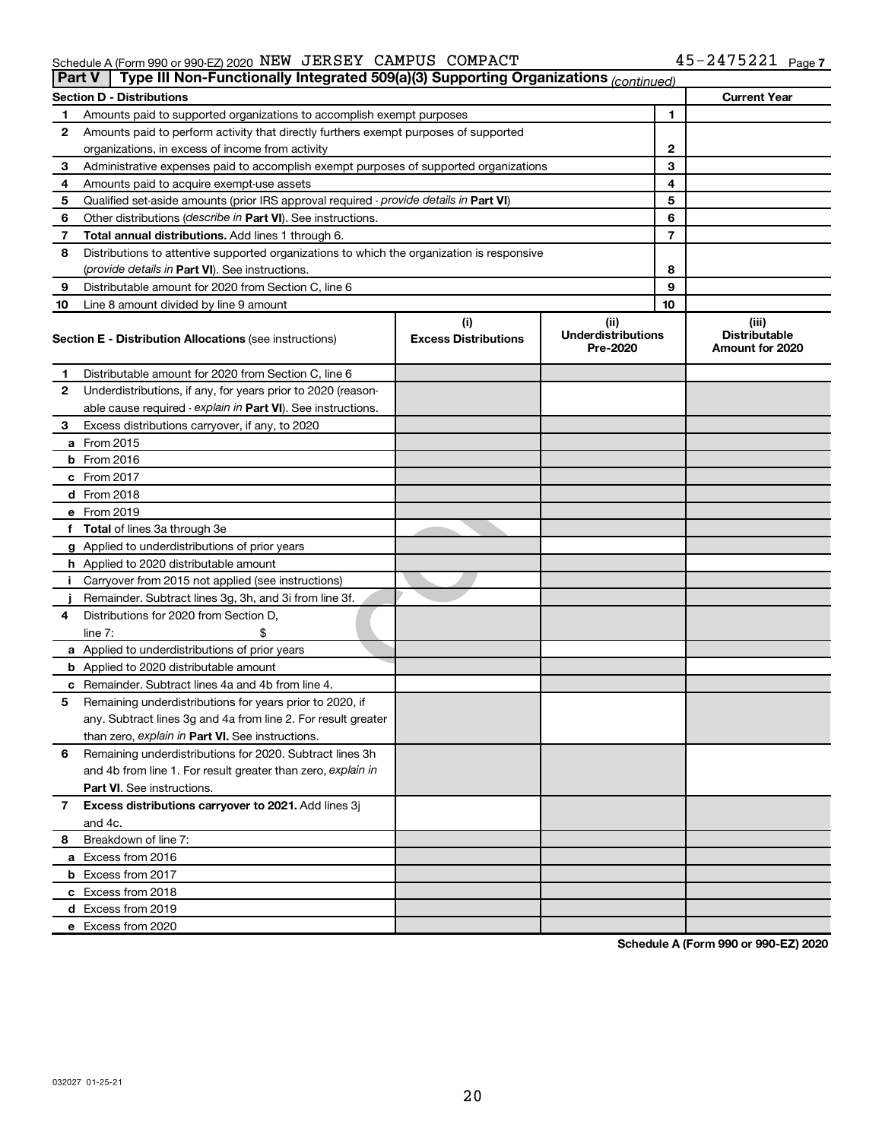#### Schedule A (Form 990 or 990-EZ) 2020 NEW J ERSEY CAMPUS COMPACT 4 5~Z4/5 Z2工 Page NEW JERSEY CAMPUS COMPACT 45-2475221

|    | Type III Non-Functionally Integrated 509(a)(3) Supporting Organizations (continued)<br><b>Part V</b> |                             |                                       |                                                |
|----|------------------------------------------------------------------------------------------------------|-----------------------------|---------------------------------------|------------------------------------------------|
|    | <b>Section D - Distributions</b>                                                                     |                             |                                       | <b>Current Year</b>                            |
| 1  | Amounts paid to supported organizations to accomplish exempt purposes                                |                             | 1                                     |                                                |
| 2  | Amounts paid to perform activity that directly furthers exempt purposes of supported                 |                             |                                       |                                                |
|    | organizations, in excess of income from activity                                                     |                             | $\mathbf{2}$                          |                                                |
| 3  | Administrative expenses paid to accomplish exempt purposes of supported organizations                |                             | 3                                     |                                                |
| 4  | Amounts paid to acquire exempt-use assets                                                            |                             | 4                                     |                                                |
| 5  | Qualified set-aside amounts (prior IRS approval required - provide details in Part VI)               |                             | 5                                     |                                                |
| 6  | Other distributions (describe in Part VI). See instructions.                                         |                             | 6                                     |                                                |
| 7  | Total annual distributions. Add lines 1 through 6.                                                   |                             | 7                                     |                                                |
| 8  | Distributions to attentive supported organizations to which the organization is responsive           |                             |                                       |                                                |
|    | ( <i>provide details in Part VI</i> ). See instructions.                                             |                             | 8                                     |                                                |
| 9  | Distributable amount for 2020 from Section C, line 6                                                 |                             | 9                                     |                                                |
| 10 | Line 8 amount divided by line 9 amount                                                               |                             | 10                                    |                                                |
|    |                                                                                                      | (i)                         | (ii)                                  | (iii)                                          |
|    | <b>Section E - Distribution Allocations (see instructions)</b>                                       | <b>Excess Distributions</b> | <b>Underdistributions</b><br>Pre-2020 | <b>Distributable</b><br><b>Amount for 2020</b> |
| 1  | Distributable amount for 2020 from Section C, line 6                                                 |                             |                                       |                                                |
| 2  | Underdistributions, if any, for years prior to 2020 (reason-                                         |                             |                                       |                                                |
|    | able cause required - explain in Part VI). See instructions.                                         |                             |                                       |                                                |
| 3  | Excess distributions carryover, if any, to 2020                                                      |                             |                                       |                                                |
|    | a From 2015                                                                                          |                             |                                       |                                                |
|    | <b>b</b> From 2016                                                                                   |                             |                                       |                                                |
|    | c From 2017                                                                                          |                             |                                       |                                                |
|    | <b>d</b> From 2018                                                                                   |                             |                                       |                                                |
|    | e From 2019                                                                                          |                             |                                       |                                                |
|    | f Total of lines 3a through 3e                                                                       |                             |                                       |                                                |
|    | g Applied to underdistributions of prior years                                                       |                             |                                       |                                                |
|    | <b>h</b> Applied to 2020 distributable amount                                                        |                             |                                       |                                                |
| Ť. | Carryover from 2015 not applied (see instructions)                                                   |                             |                                       |                                                |
|    | Remainder. Subtract lines 3g, 3h, and 3i from line 3f.                                               |                             |                                       |                                                |
| 4  | Distributions for 2020 from Section D,                                                               |                             |                                       |                                                |
|    | line $7:$                                                                                            |                             |                                       |                                                |
|    | a Applied to underdistributions of prior years                                                       |                             |                                       |                                                |
|    | <b>b</b> Applied to 2020 distributable amount                                                        |                             |                                       |                                                |
|    | c Remainder. Subtract lines 4a and 4b from line 4.                                                   |                             |                                       |                                                |
| 5  | Remaining underdistributions for years prior to 2020, if                                             |                             |                                       |                                                |
|    | any. Subtract lines 3g and 4a from line 2. For result greater                                        |                             |                                       |                                                |
|    | than zero, explain in Part VI. See instructions.                                                     |                             |                                       |                                                |
| 6  | Remaining underdistributions for 2020. Subtract lines 3h                                             |                             |                                       |                                                |
|    | and 4b from line 1. For result greater than zero, explain in                                         |                             |                                       |                                                |
|    | <b>Part VI.</b> See instructions.                                                                    |                             |                                       |                                                |
| 7  | Excess distributions carryover to 2021. Add lines 3j                                                 |                             |                                       |                                                |
|    | and 4c.                                                                                              |                             |                                       |                                                |
| 8  | Breakdown of line 7:                                                                                 |                             |                                       |                                                |
|    | a Excess from 2016                                                                                   |                             |                                       |                                                |
|    | <b>b</b> Excess from 2017                                                                            |                             |                                       |                                                |
|    | c Excess from 2018                                                                                   |                             |                                       |                                                |
|    | d Excess from 2019                                                                                   |                             |                                       |                                                |
|    | e Excess from 2020                                                                                   |                             |                                       |                                                |
|    |                                                                                                      |                             |                                       |                                                |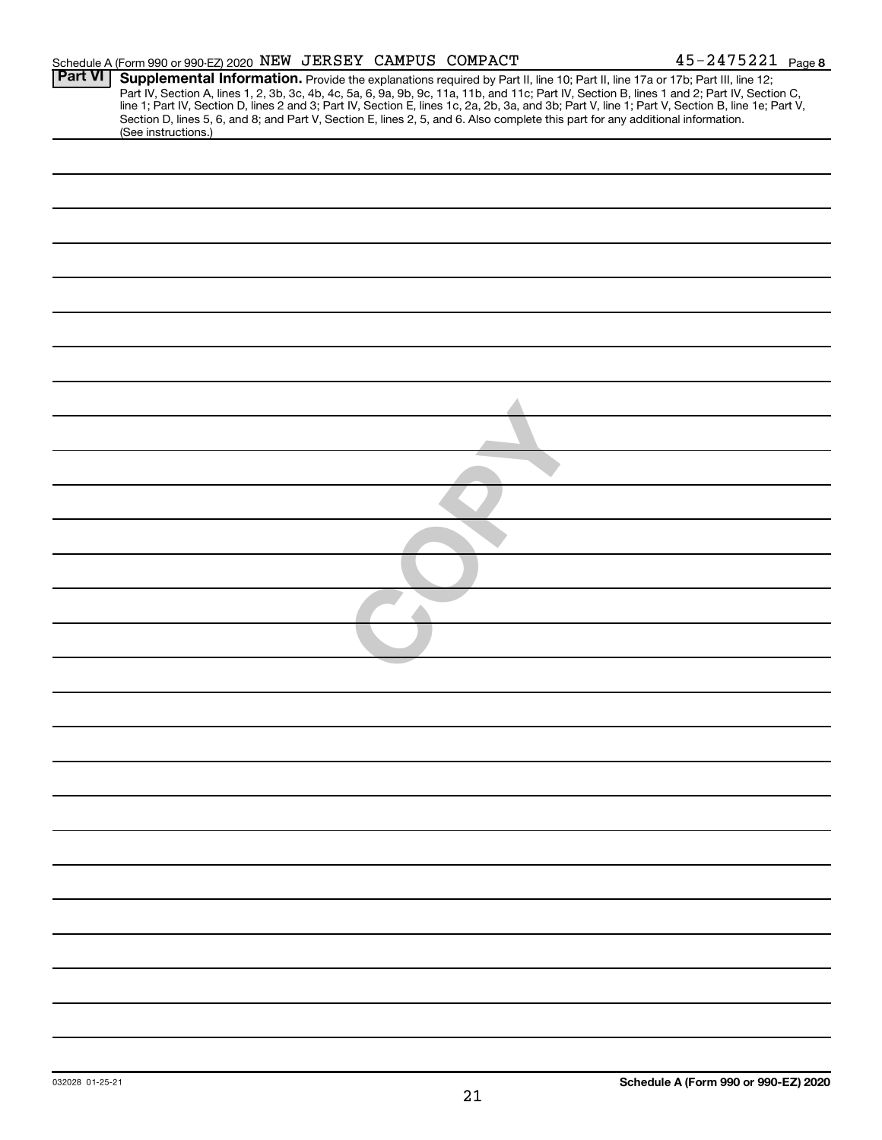|                | Schedule A (Form 990 or 990-EZ) 2020 NEW JERSEY CAMPUS COMPACT                                                                                         |  | $45 - 2475221$ Page 8                                                                                                                                                                                                                                                                                                                                                                                                             |
|----------------|--------------------------------------------------------------------------------------------------------------------------------------------------------|--|-----------------------------------------------------------------------------------------------------------------------------------------------------------------------------------------------------------------------------------------------------------------------------------------------------------------------------------------------------------------------------------------------------------------------------------|
| <b>Part VI</b> |                                                                                                                                                        |  | Supplemental Information. Provide the explanations required by Part II, line 10; Part II, line 17a or 17b; Part III, line 12;<br>Part IV, Section A, lines 1, 2, 3b, 3c, 4b, 4c, 5a, 6, 9a, 9b, 9c, 11a, 11b, and 11c; Part IV, Section B, lines 1 and 2; Part IV, Section C,<br>line 1; Part IV, Section D, lines 2 and 3; Part IV, Section E, lines 1c, 2a, 2b, 3a, and 3b; Part V, line 1; Part V, Section B, line 1e; Part V, |
|                | Section D, lines 5, 6, and 8; and Part V, Section E, lines 2, 5, and 6. Also complete this part for any additional information.<br>(See instructions.) |  |                                                                                                                                                                                                                                                                                                                                                                                                                                   |
|                |                                                                                                                                                        |  |                                                                                                                                                                                                                                                                                                                                                                                                                                   |
|                |                                                                                                                                                        |  |                                                                                                                                                                                                                                                                                                                                                                                                                                   |
|                |                                                                                                                                                        |  |                                                                                                                                                                                                                                                                                                                                                                                                                                   |
|                |                                                                                                                                                        |  |                                                                                                                                                                                                                                                                                                                                                                                                                                   |
|                |                                                                                                                                                        |  |                                                                                                                                                                                                                                                                                                                                                                                                                                   |
|                |                                                                                                                                                        |  |                                                                                                                                                                                                                                                                                                                                                                                                                                   |
|                |                                                                                                                                                        |  |                                                                                                                                                                                                                                                                                                                                                                                                                                   |
|                |                                                                                                                                                        |  |                                                                                                                                                                                                                                                                                                                                                                                                                                   |
|                |                                                                                                                                                        |  |                                                                                                                                                                                                                                                                                                                                                                                                                                   |
|                |                                                                                                                                                        |  |                                                                                                                                                                                                                                                                                                                                                                                                                                   |
|                |                                                                                                                                                        |  |                                                                                                                                                                                                                                                                                                                                                                                                                                   |
|                |                                                                                                                                                        |  |                                                                                                                                                                                                                                                                                                                                                                                                                                   |
|                |                                                                                                                                                        |  |                                                                                                                                                                                                                                                                                                                                                                                                                                   |
|                |                                                                                                                                                        |  |                                                                                                                                                                                                                                                                                                                                                                                                                                   |
|                |                                                                                                                                                        |  |                                                                                                                                                                                                                                                                                                                                                                                                                                   |
|                |                                                                                                                                                        |  |                                                                                                                                                                                                                                                                                                                                                                                                                                   |
|                |                                                                                                                                                        |  |                                                                                                                                                                                                                                                                                                                                                                                                                                   |
|                |                                                                                                                                                        |  |                                                                                                                                                                                                                                                                                                                                                                                                                                   |
|                |                                                                                                                                                        |  |                                                                                                                                                                                                                                                                                                                                                                                                                                   |
|                |                                                                                                                                                        |  |                                                                                                                                                                                                                                                                                                                                                                                                                                   |
|                |                                                                                                                                                        |  |                                                                                                                                                                                                                                                                                                                                                                                                                                   |
|                |                                                                                                                                                        |  |                                                                                                                                                                                                                                                                                                                                                                                                                                   |
|                |                                                                                                                                                        |  |                                                                                                                                                                                                                                                                                                                                                                                                                                   |
|                |                                                                                                                                                        |  |                                                                                                                                                                                                                                                                                                                                                                                                                                   |
|                |                                                                                                                                                        |  |                                                                                                                                                                                                                                                                                                                                                                                                                                   |
|                |                                                                                                                                                        |  |                                                                                                                                                                                                                                                                                                                                                                                                                                   |
|                |                                                                                                                                                        |  |                                                                                                                                                                                                                                                                                                                                                                                                                                   |
|                |                                                                                                                                                        |  |                                                                                                                                                                                                                                                                                                                                                                                                                                   |
|                |                                                                                                                                                        |  |                                                                                                                                                                                                                                                                                                                                                                                                                                   |
|                |                                                                                                                                                        |  |                                                                                                                                                                                                                                                                                                                                                                                                                                   |
|                |                                                                                                                                                        |  |                                                                                                                                                                                                                                                                                                                                                                                                                                   |
|                |                                                                                                                                                        |  |                                                                                                                                                                                                                                                                                                                                                                                                                                   |
|                |                                                                                                                                                        |  |                                                                                                                                                                                                                                                                                                                                                                                                                                   |
|                |                                                                                                                                                        |  |                                                                                                                                                                                                                                                                                                                                                                                                                                   |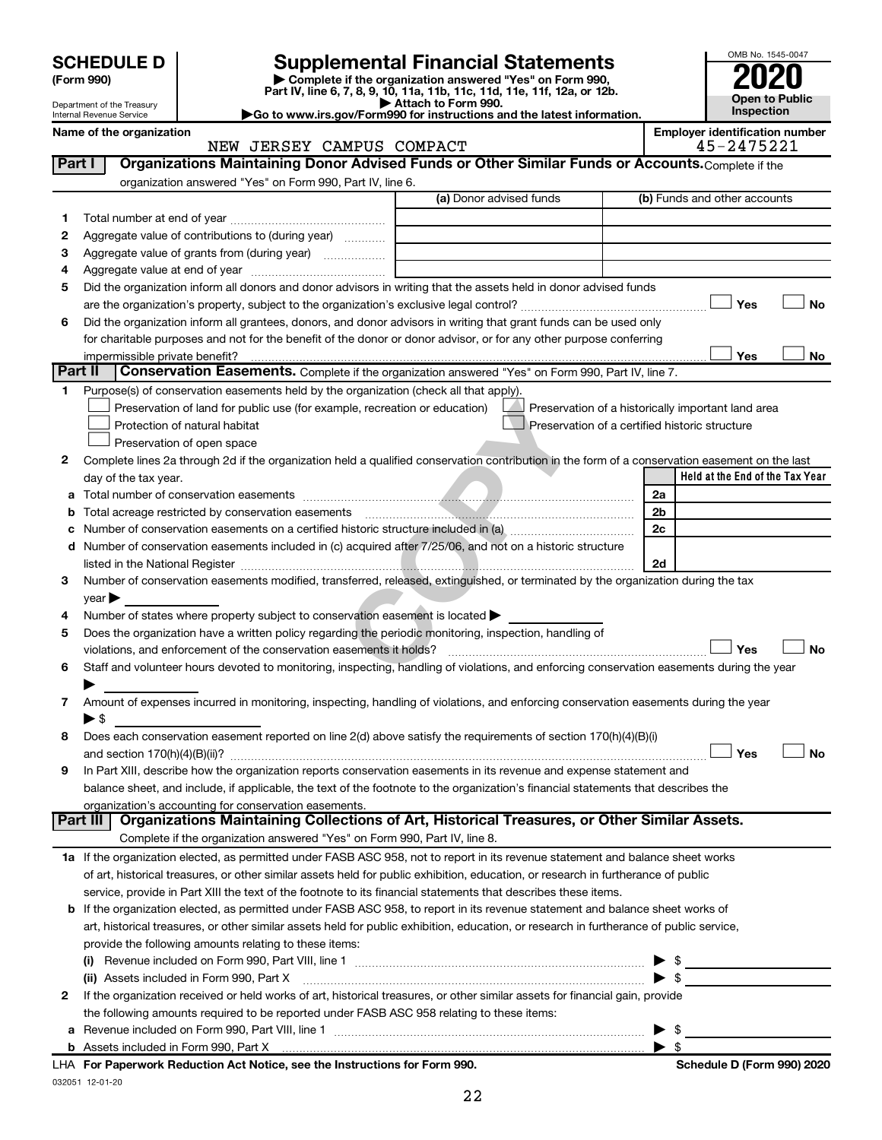| (Form 990) |  |
|------------|--|
|------------|--|

## **Supplemental Financial Statements**



|  |  | Name of the organization |
|--|--|--------------------------|

|         | (Form 990)                                                          |                               |                                                           | Complete if the organization answered "Yes" on Form 990,<br>Part IV, line 6, 7, 8, 9, 10, 11a, 11b, 11c, 11d, 11e, 11f, 12a, or 12b.           |                                                    |                |                                       | <b>Open to Public</b> |
|---------|---------------------------------------------------------------------|-------------------------------|-----------------------------------------------------------|------------------------------------------------------------------------------------------------------------------------------------------------|----------------------------------------------------|----------------|---------------------------------------|-----------------------|
|         | Department of the Treasury<br>Internal Revenue Service              |                               |                                                           | Attach to Form 990.<br>Go to www.irs.gov/Form990 for instructions and the latest information.                                                  |                                                    |                | Inspection                            |                       |
|         | Name of the organization                                            |                               |                                                           |                                                                                                                                                |                                                    |                | <b>Employer identification number</b> |                       |
|         |                                                                     |                               | NEW JERSEY CAMPUS COMPACT                                 |                                                                                                                                                |                                                    |                | 45-2475221                            |                       |
| Part I  |                                                                     |                               |                                                           | Organizations Maintaining Donor Advised Funds or Other Similar Funds or Accounts. Complete if the                                              |                                                    |                |                                       |                       |
|         |                                                                     |                               | organization answered "Yes" on Form 990, Part IV, line 6. |                                                                                                                                                |                                                    |                |                                       |                       |
|         |                                                                     |                               |                                                           | (a) Donor advised funds                                                                                                                        |                                                    |                | (b) Funds and other accounts          |                       |
| 1       |                                                                     |                               |                                                           |                                                                                                                                                |                                                    |                |                                       |                       |
| 2       | Aggregate value of contributions to (during year)                   |                               |                                                           |                                                                                                                                                |                                                    |                |                                       |                       |
| З       | Aggregate value of grants from (during year)                        |                               |                                                           |                                                                                                                                                |                                                    |                |                                       |                       |
| 4       |                                                                     |                               |                                                           |                                                                                                                                                |                                                    |                |                                       |                       |
| 5       |                                                                     |                               |                                                           | Did the organization inform all donors and donor advisors in writing that the assets held in donor advised funds                               |                                                    |                |                                       |                       |
|         |                                                                     |                               |                                                           |                                                                                                                                                |                                                    |                | Yes                                   | No                    |
| 6       |                                                                     |                               |                                                           | Did the organization inform all grantees, donors, and donor advisors in writing that grant funds can be used only                              |                                                    |                |                                       |                       |
|         |                                                                     |                               |                                                           | for charitable purposes and not for the benefit of the donor or donor advisor, or for any other purpose conferring                             |                                                    |                |                                       |                       |
|         | impermissible private benefit?                                      |                               |                                                           |                                                                                                                                                |                                                    |                | Yes                                   | No                    |
| Part II |                                                                     |                               |                                                           | Conservation Easements. Complete if the organization answered "Yes" on Form 990, Part IV, line 7.                                              |                                                    |                |                                       |                       |
| 1.      |                                                                     |                               |                                                           | Purpose(s) of conservation easements held by the organization (check all that apply).                                                          |                                                    |                |                                       |                       |
|         |                                                                     |                               |                                                           | Preservation of land for public use (for example, recreation or education)                                                                     | Preservation of a historically important land area |                |                                       |                       |
|         |                                                                     | Protection of natural habitat |                                                           |                                                                                                                                                | Preservation of a certified historic structure     |                |                                       |                       |
|         |                                                                     | Preservation of open space    |                                                           |                                                                                                                                                |                                                    |                |                                       |                       |
| 2       |                                                                     |                               |                                                           | Complete lines 2a through 2d if the organization held a qualified conservation contribution in the form of a conservation easement on the last |                                                    |                |                                       |                       |
|         | day of the tax year.                                                |                               |                                                           |                                                                                                                                                |                                                    |                | Held at the End of the Tax Year       |                       |
| а       |                                                                     |                               |                                                           |                                                                                                                                                |                                                    | 2a             |                                       |                       |
| b       | Total acreage restricted by conservation easements                  |                               |                                                           |                                                                                                                                                |                                                    | 2 <sub>b</sub> |                                       |                       |
| с       |                                                                     |                               |                                                           |                                                                                                                                                |                                                    | 2c             |                                       |                       |
| d       |                                                                     |                               |                                                           | Number of conservation easements included in (c) acquired after 7/25/06, and not on a historic structure                                       |                                                    |                |                                       |                       |
|         |                                                                     |                               |                                                           |                                                                                                                                                |                                                    | 2d             |                                       |                       |
| 3       |                                                                     |                               |                                                           | Number of conservation easements modified, transferred, released, extinguished, or terminated by the organization during the tax               |                                                    |                |                                       |                       |
|         | year                                                                |                               |                                                           |                                                                                                                                                |                                                    |                |                                       |                       |
| 4       |                                                                     |                               |                                                           | Number of states where property subject to conservation easement is located >                                                                  |                                                    |                |                                       |                       |
| 5       | violations, and enforcement of the conservation easements it holds? |                               |                                                           | Does the organization have a written policy regarding the periodic monitoring, inspection, handling of                                         |                                                    |                | Yes                                   | No                    |
| 6       |                                                                     |                               |                                                           | Staff and volunteer hours devoted to monitoring, inspecting, handling of violations, and enforcing conservation easements during the year      |                                                    |                |                                       |                       |
|         |                                                                     |                               |                                                           |                                                                                                                                                |                                                    |                |                                       |                       |
|         |                                                                     |                               |                                                           | Amount of expenses incurred in monitoring, inspecting, handling of violations, and enforcing conservation easements during the year            |                                                    |                |                                       |                       |
|         | ▶ \$                                                                |                               |                                                           |                                                                                                                                                |                                                    |                |                                       |                       |
| 8       |                                                                     |                               |                                                           | Does each conservation easement reported on line 2(d) above satisfy the requirements of section 170(h)(4)(B)(i)                                |                                                    |                |                                       |                       |
|         |                                                                     |                               |                                                           |                                                                                                                                                |                                                    |                | Yes                                   | No                    |
| 9       |                                                                     |                               |                                                           | In Part XIII, describe how the organization reports conservation easements in its revenue and expense statement and                            |                                                    |                |                                       |                       |
|         |                                                                     |                               |                                                           | balance sheet, and include, if applicable, the text of the footnote to the organization's financial statements that describes the              |                                                    |                |                                       |                       |
|         | organization's accounting for conservation easements.               |                               |                                                           |                                                                                                                                                |                                                    |                |                                       |                       |
|         | Part III                                                            |                               |                                                           | Organizations Maintaining Collections of Art, Historical Treasures, or Other Similar Assets.                                                   |                                                    |                |                                       |                       |
|         |                                                                     |                               |                                                           | Complete if the organization answered "Yes" on Form 990, Part IV, line 8.                                                                      |                                                    |                |                                       |                       |
|         |                                                                     |                               |                                                           | 1a If the organization elected, as permitted under FASB ASC 958, not to report in its revenue statement and balance sheet works                |                                                    |                |                                       |                       |
|         |                                                                     |                               |                                                           | of art, historical treasures, or other similar assets held for public exhibition, education, or research in furtherance of public              |                                                    |                |                                       |                       |
|         |                                                                     |                               |                                                           | service, provide in Part XIII the text of the footnote to its financial statements that describes these items.                                 |                                                    |                |                                       |                       |

| <b>b</b> If the organization elected, as permitted under FASB ASC 958, to report in its revenue statement and balance sheet works of    |  |
|-----------------------------------------------------------------------------------------------------------------------------------------|--|
| art, historical treasures, or other similar assets held for public exhibition, education, or research in furtherance of public service, |  |
| provide the following amounts relating to these items:                                                                                  |  |
|                                                                                                                                         |  |

| 2 If the organization received or held works of art, historical treasures, or other similar assets for financial gain, provide |  |
|--------------------------------------------------------------------------------------------------------------------------------|--|
| the following amounts required to be reported under FASB ASC 958 relating to these items:                                      |  |
| <b>a</b> Revenue included on Form 990, Part VIII, line 1                                                                       |  |
|                                                                                                                                |  |
|                                                                                                                                |  |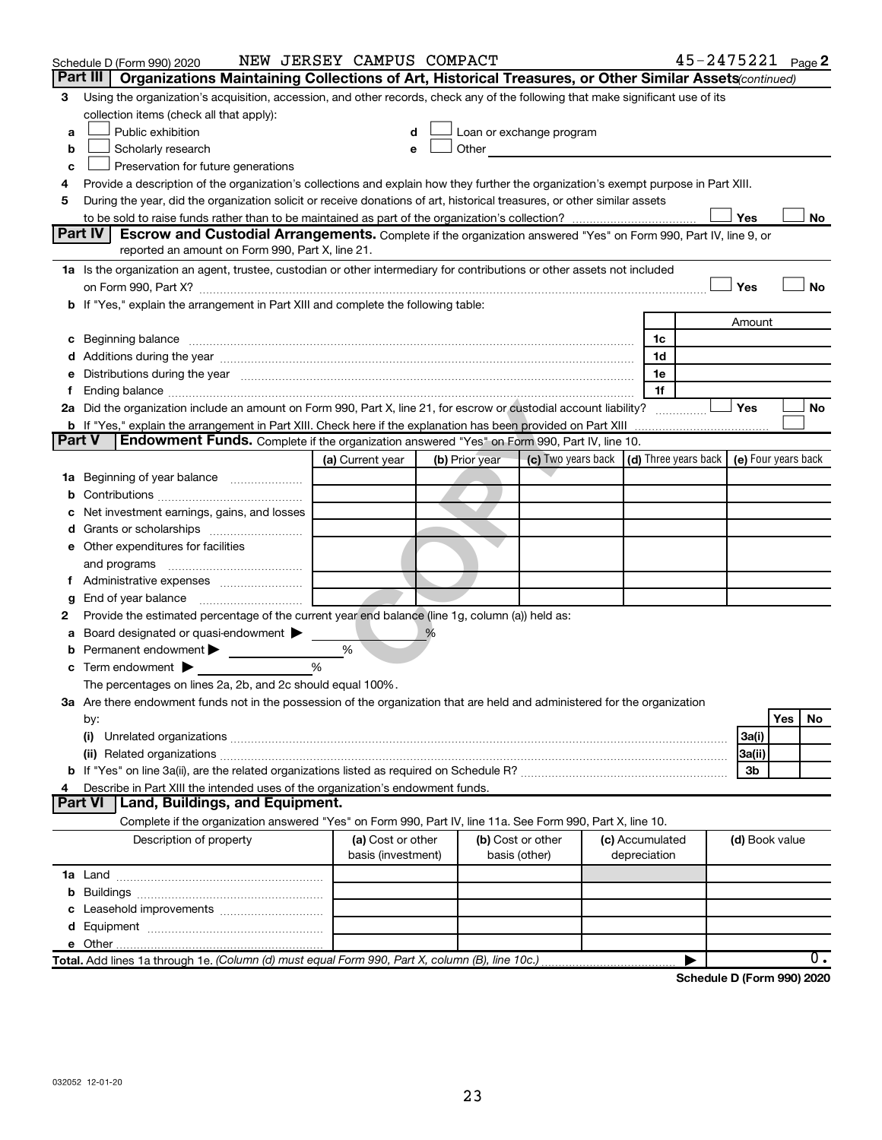|        | Schedule D (Form 990) 2020                                                                                                                                                                                                     | NEW JERSEY CAMPUS COMPACT               |                |                                                                                                                                                                                                                               |                                 | 45-2475221 Page 2                                                           |
|--------|--------------------------------------------------------------------------------------------------------------------------------------------------------------------------------------------------------------------------------|-----------------------------------------|----------------|-------------------------------------------------------------------------------------------------------------------------------------------------------------------------------------------------------------------------------|---------------------------------|-----------------------------------------------------------------------------|
|        | Part III  <br>Organizations Maintaining Collections of Art, Historical Treasures, or Other Similar Assets (continued)                                                                                                          |                                         |                |                                                                                                                                                                                                                               |                                 |                                                                             |
| 3      | Using the organization's acquisition, accession, and other records, check any of the following that make significant use of its                                                                                                |                                         |                |                                                                                                                                                                                                                               |                                 |                                                                             |
|        | collection items (check all that apply):                                                                                                                                                                                       |                                         |                |                                                                                                                                                                                                                               |                                 |                                                                             |
| a      | Public exhibition                                                                                                                                                                                                              |                                         |                | Loan or exchange program                                                                                                                                                                                                      |                                 |                                                                             |
| b      | Scholarly research                                                                                                                                                                                                             |                                         |                | Other and the contract of the contract of the contract of the contract of the contract of the contract of the contract of the contract of the contract of the contract of the contract of the contract of the contract of the |                                 |                                                                             |
| c      | Preservation for future generations                                                                                                                                                                                            |                                         |                |                                                                                                                                                                                                                               |                                 |                                                                             |
| 4      | Provide a description of the organization's collections and explain how they further the organization's exempt purpose in Part XIII.                                                                                           |                                         |                |                                                                                                                                                                                                                               |                                 |                                                                             |
| 5      | During the year, did the organization solicit or receive donations of art, historical treasures, or other similar assets                                                                                                       |                                         |                |                                                                                                                                                                                                                               |                                 |                                                                             |
|        | Part IV                                                                                                                                                                                                                        |                                         |                |                                                                                                                                                                                                                               |                                 | Yes<br>No                                                                   |
|        | <b>Escrow and Custodial Arrangements.</b> Complete if the organization answered "Yes" on Form 990, Part IV, line 9, or<br>reported an amount on Form 990, Part X, line 21.                                                     |                                         |                |                                                                                                                                                                                                                               |                                 |                                                                             |
|        | 1a Is the organization an agent, trustee, custodian or other intermediary for contributions or other assets not included                                                                                                       |                                         |                |                                                                                                                                                                                                                               |                                 |                                                                             |
|        |                                                                                                                                                                                                                                |                                         |                |                                                                                                                                                                                                                               |                                 | Yes<br>No                                                                   |
|        | b If "Yes," explain the arrangement in Part XIII and complete the following table:                                                                                                                                             |                                         |                |                                                                                                                                                                                                                               |                                 |                                                                             |
|        |                                                                                                                                                                                                                                |                                         |                |                                                                                                                                                                                                                               |                                 | Amount                                                                      |
|        |                                                                                                                                                                                                                                |                                         |                |                                                                                                                                                                                                                               | 1c                              |                                                                             |
|        |                                                                                                                                                                                                                                |                                         |                |                                                                                                                                                                                                                               | 1d                              |                                                                             |
|        | e Distributions during the year manufactured and continuum and contract the contract of the contract of the contract of the contract of the contract of the contract of the contract of the contract of the contract of the co |                                         |                |                                                                                                                                                                                                                               | 1е                              |                                                                             |
| Ť.     |                                                                                                                                                                                                                                |                                         |                |                                                                                                                                                                                                                               | 1f                              |                                                                             |
|        | 2a Did the organization include an amount on Form 990, Part X, line 21, for escrow or custodial account liability?                                                                                                             |                                         |                |                                                                                                                                                                                                                               |                                 | Yes<br>No                                                                   |
|        |                                                                                                                                                                                                                                |                                         |                |                                                                                                                                                                                                                               |                                 |                                                                             |
| Part V | <b>Endowment Funds.</b> Complete if the organization answered "Yes" on Form 990, Part IV, line 10.                                                                                                                             |                                         |                |                                                                                                                                                                                                                               |                                 |                                                                             |
|        |                                                                                                                                                                                                                                | (a) Current year                        | (b) Prior year |                                                                                                                                                                                                                               |                                 | (c) Two years back $\vert$ (d) Three years back $\vert$ (e) Four years back |
|        | 1a Beginning of year balance                                                                                                                                                                                                   |                                         |                |                                                                                                                                                                                                                               |                                 |                                                                             |
| b      |                                                                                                                                                                                                                                |                                         |                |                                                                                                                                                                                                                               |                                 |                                                                             |
|        | Net investment earnings, gains, and losses                                                                                                                                                                                     |                                         |                |                                                                                                                                                                                                                               |                                 |                                                                             |
| d      | Grants or scholarships                                                                                                                                                                                                         |                                         |                |                                                                                                                                                                                                                               |                                 |                                                                             |
|        | e Other expenditures for facilities                                                                                                                                                                                            |                                         |                |                                                                                                                                                                                                                               |                                 |                                                                             |
|        | and programs                                                                                                                                                                                                                   |                                         |                |                                                                                                                                                                                                                               |                                 |                                                                             |
| Ť.,    |                                                                                                                                                                                                                                |                                         |                |                                                                                                                                                                                                                               |                                 |                                                                             |
| g      |                                                                                                                                                                                                                                |                                         |                |                                                                                                                                                                                                                               |                                 |                                                                             |
| 2      | Provide the estimated percentage of the current year end balance (line 1g, column (a)) held as:                                                                                                                                |                                         |                |                                                                                                                                                                                                                               |                                 |                                                                             |
| а      | Board designated or quasi-endowment<br>Permanent endowment                                                                                                                                                                     | %                                       | %              |                                                                                                                                                                                                                               |                                 |                                                                             |
| b      | $\mathbf c$ Term endowment $\blacktriangleright$                                                                                                                                                                               | %                                       |                |                                                                                                                                                                                                                               |                                 |                                                                             |
|        | The percentages on lines 2a, 2b, and 2c should equal 100%.                                                                                                                                                                     |                                         |                |                                                                                                                                                                                                                               |                                 |                                                                             |
|        | 3a Are there endowment funds not in the possession of the organization that are held and administered for the organization                                                                                                     |                                         |                |                                                                                                                                                                                                                               |                                 |                                                                             |
|        | by:                                                                                                                                                                                                                            |                                         |                |                                                                                                                                                                                                                               |                                 | Yes<br>No                                                                   |
|        | (i)                                                                                                                                                                                                                            |                                         |                |                                                                                                                                                                                                                               |                                 | 3a(i)                                                                       |
|        |                                                                                                                                                                                                                                |                                         |                |                                                                                                                                                                                                                               |                                 | 3a(ii)                                                                      |
|        |                                                                                                                                                                                                                                |                                         |                |                                                                                                                                                                                                                               |                                 | 3b                                                                          |
| 4      | Describe in Part XIII the intended uses of the organization's endowment funds.                                                                                                                                                 |                                         |                |                                                                                                                                                                                                                               |                                 |                                                                             |
|        | Land, Buildings, and Equipment.<br><b>Part VI</b>                                                                                                                                                                              |                                         |                |                                                                                                                                                                                                                               |                                 |                                                                             |
|        | Complete if the organization answered "Yes" on Form 990, Part IV, line 11a. See Form 990, Part X, line 10.                                                                                                                     |                                         |                |                                                                                                                                                                                                                               |                                 |                                                                             |
|        | Description of property                                                                                                                                                                                                        | (a) Cost or other<br>basis (investment) |                | (b) Cost or other<br>basis (other)                                                                                                                                                                                            | (c) Accumulated<br>depreciation | (d) Book value                                                              |
|        |                                                                                                                                                                                                                                |                                         |                |                                                                                                                                                                                                                               |                                 |                                                                             |
|        |                                                                                                                                                                                                                                |                                         |                |                                                                                                                                                                                                                               |                                 |                                                                             |
| c      |                                                                                                                                                                                                                                |                                         |                |                                                                                                                                                                                                                               |                                 |                                                                             |
|        |                                                                                                                                                                                                                                |                                         |                |                                                                                                                                                                                                                               |                                 |                                                                             |
|        |                                                                                                                                                                                                                                |                                         |                |                                                                                                                                                                                                                               |                                 |                                                                             |
|        | Total. Add lines 1a through 1e. (Column (d) must equal Form 990, Part X, column (B), line 10c.)                                                                                                                                |                                         |                |                                                                                                                                                                                                                               |                                 | 0.                                                                          |

**Schedule D (Form 990) 2020**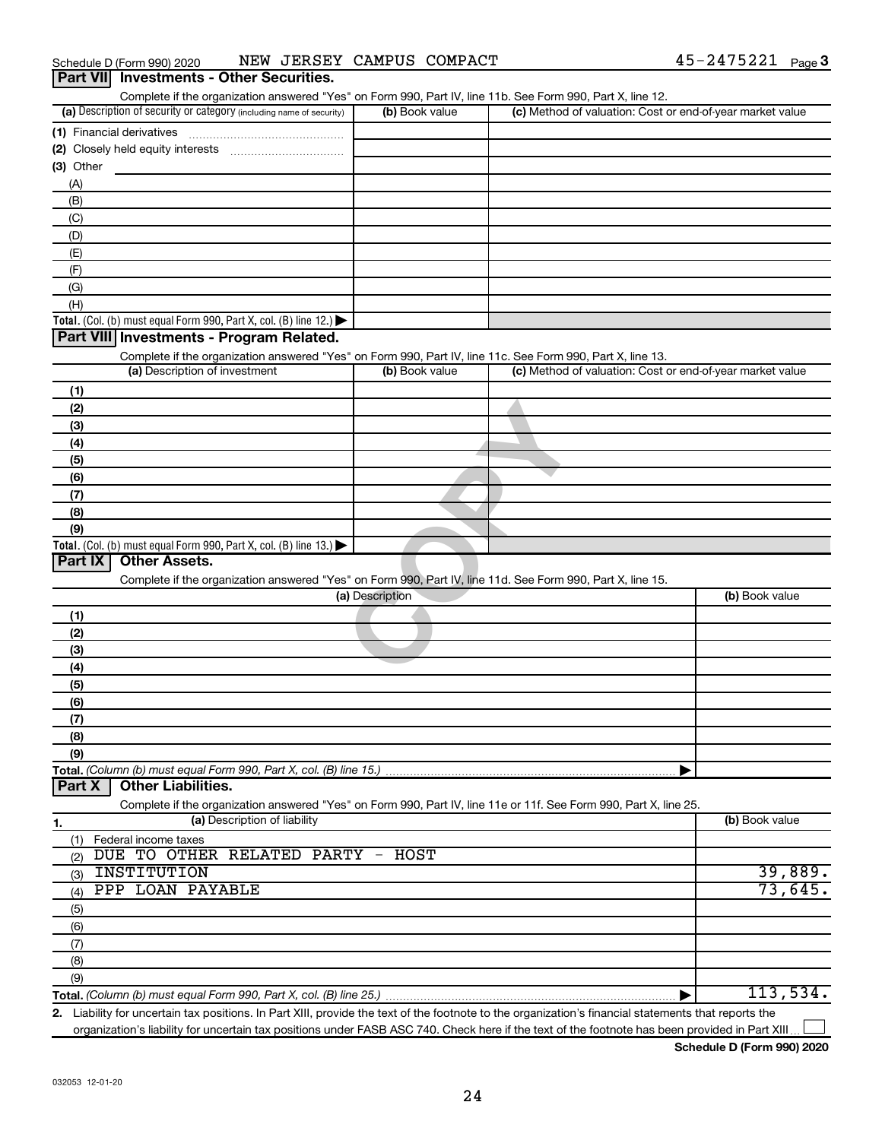|                                                                                                                   | (b) Book value                   | (c) Method of valuation: Cost or end-of-year market value |                    |
|-------------------------------------------------------------------------------------------------------------------|----------------------------------|-----------------------------------------------------------|--------------------|
| (a) Description of security or category (including name of security)<br>(1) Financial derivatives                 |                                  |                                                           |                    |
|                                                                                                                   |                                  |                                                           |                    |
| (2) Closely held equity interests                                                                                 |                                  |                                                           |                    |
| (3) Other                                                                                                         |                                  |                                                           |                    |
| (A)                                                                                                               |                                  |                                                           |                    |
| (B)                                                                                                               |                                  |                                                           |                    |
| (C)                                                                                                               |                                  |                                                           |                    |
| (D)                                                                                                               |                                  |                                                           |                    |
| (E)                                                                                                               |                                  |                                                           |                    |
| (F)                                                                                                               |                                  |                                                           |                    |
| (G)                                                                                                               |                                  |                                                           |                    |
| (H)                                                                                                               |                                  |                                                           |                    |
| Total. (Col. (b) must equal Form 990, Part X, col. (B) line 12.)                                                  |                                  |                                                           |                    |
| Part VIII Investments - Program Related.                                                                          |                                  |                                                           |                    |
| Complete if the organization answered "Yes" on Form 990, Part IV, line 11c. See Form 990, Part X, line 13.        |                                  |                                                           |                    |
| (a) Description of investment                                                                                     | (b) Book value                   | (c) Method of valuation: Cost or end-of-year market value |                    |
| (1)                                                                                                               |                                  |                                                           |                    |
| (2)                                                                                                               |                                  |                                                           |                    |
| (3)                                                                                                               |                                  |                                                           |                    |
|                                                                                                                   |                                  |                                                           |                    |
| (4)                                                                                                               |                                  |                                                           |                    |
| (5)                                                                                                               |                                  |                                                           |                    |
| (6)                                                                                                               |                                  |                                                           |                    |
| (7)                                                                                                               |                                  |                                                           |                    |
| (8)                                                                                                               |                                  |                                                           |                    |
| (9)                                                                                                               |                                  |                                                           |                    |
| Total. (Col. (b) must equal Form 990, Part X, col. (B) line 13.) $\blacktriangleright$                            |                                  |                                                           |                    |
|                                                                                                                   |                                  |                                                           |                    |
| <b>Other Assets.</b><br>Part IX                                                                                   |                                  |                                                           |                    |
| Complete if the organization answered "Yes" on Form 990, Part IV, line 11d. See Form 990, Part X, line 15.        |                                  |                                                           |                    |
|                                                                                                                   | (a) Description                  |                                                           | (b) Book value     |
| (1)                                                                                                               |                                  |                                                           |                    |
|                                                                                                                   |                                  |                                                           |                    |
| (2)                                                                                                               |                                  |                                                           |                    |
| (3)                                                                                                               |                                  |                                                           |                    |
| (4)                                                                                                               |                                  |                                                           |                    |
| (5)                                                                                                               |                                  |                                                           |                    |
| (6)                                                                                                               |                                  |                                                           |                    |
| (7)                                                                                                               |                                  |                                                           |                    |
| (8)                                                                                                               |                                  |                                                           |                    |
| (9)                                                                                                               |                                  |                                                           |                    |
|                                                                                                                   |                                  |                                                           |                    |
| <b>Other Liabilities.</b><br>Part X                                                                               |                                  |                                                           |                    |
| Complete if the organization answered "Yes" on Form 990, Part IV, line 11e or 11f. See Form 990, Part X, line 25. |                                  |                                                           |                    |
| (a) Description of liability                                                                                      |                                  |                                                           | (b) Book value     |
| (1)<br>Federal income taxes                                                                                       |                                  |                                                           |                    |
| DUE TO OTHER RELATED PARTY<br>(2)                                                                                 | HOST<br>$\overline{\phantom{m}}$ |                                                           |                    |
| INSTITUTION<br>(3)                                                                                                |                                  |                                                           |                    |
| PPP LOAN PAYABLE<br>(4)                                                                                           |                                  |                                                           |                    |
|                                                                                                                   |                                  |                                                           |                    |
| (5)                                                                                                               |                                  |                                                           |                    |
| (6)                                                                                                               |                                  |                                                           |                    |
| (7)                                                                                                               |                                  |                                                           |                    |
| 1.<br>(8)<br>(9)                                                                                                  |                                  |                                                           | 39,889.<br>73,645. |

**2.** Liability for uncertain tax positions. In Part XIII, provide the text of the footnote to the organization's financial statements that reports the organization's liability for uncertain tax positions under FASB ASC 740. Check here if the text of the footnote has been provided in Part XIII  $\perp$ 

**Schedule D (Form 990) 2020**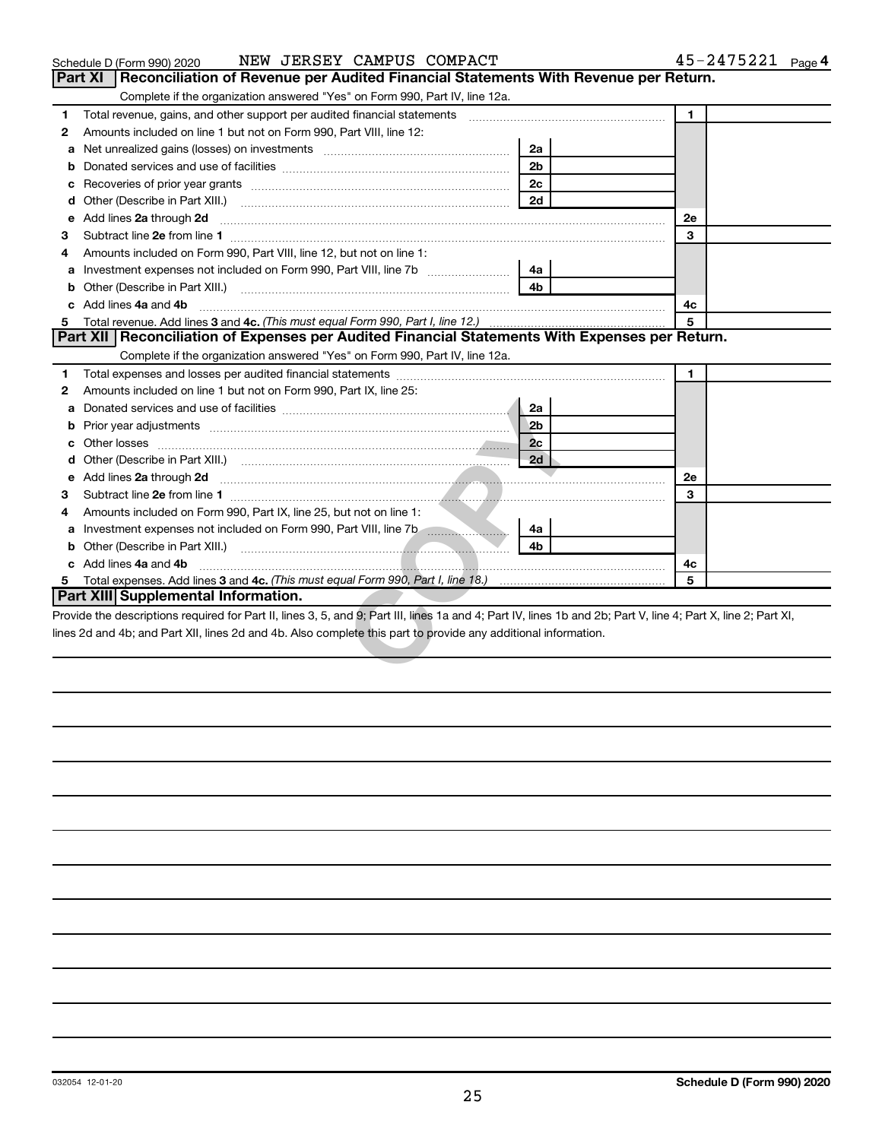| NEW JERSEY CAMPUS COMPACT<br>Schedule D (Form 990) 2020                                                                                                                                                                                   |                | $45 - 2475221$ Page 4 |
|-------------------------------------------------------------------------------------------------------------------------------------------------------------------------------------------------------------------------------------------|----------------|-----------------------|
| <b>Part XI</b><br>Reconciliation of Revenue per Audited Financial Statements With Revenue per Return.                                                                                                                                     |                |                       |
| Complete if the organization answered "Yes" on Form 990, Part IV, line 12a.                                                                                                                                                               |                |                       |
| Total revenue, gains, and other support per audited financial statements<br>1.                                                                                                                                                            |                | $\blacksquare$        |
| Amounts included on line 1 but not on Form 990, Part VIII, line 12:<br>2                                                                                                                                                                  |                |                       |
| a                                                                                                                                                                                                                                         | 2a             |                       |
| b                                                                                                                                                                                                                                         | 2 <sub>b</sub> |                       |
| с                                                                                                                                                                                                                                         | 2 <sub>c</sub> |                       |
| d                                                                                                                                                                                                                                         | 2d             |                       |
| Add lines 2a through 2d<br>e                                                                                                                                                                                                              |                | 2е                    |
| 3                                                                                                                                                                                                                                         |                | 3                     |
| Amounts included on Form 990, Part VIII, line 12, but not on line 1:<br>4                                                                                                                                                                 |                |                       |
| a                                                                                                                                                                                                                                         | 4a             |                       |
|                                                                                                                                                                                                                                           | 4b             |                       |
| c Add lines 4a and 4b                                                                                                                                                                                                                     |                | 4c                    |
| 5                                                                                                                                                                                                                                         |                | 5                     |
| Part XII   Reconciliation of Expenses per Audited Financial Statements With Expenses per Return.                                                                                                                                          |                |                       |
| Complete if the organization answered "Yes" on Form 990, Part IV, line 12a.                                                                                                                                                               |                |                       |
| 1.                                                                                                                                                                                                                                        |                | 1                     |
| Amounts included on line 1 but not on Form 990, Part IX, line 25:<br>2                                                                                                                                                                    |                |                       |
| a                                                                                                                                                                                                                                         | 2a             |                       |
| b                                                                                                                                                                                                                                         | 2 <sub>b</sub> |                       |
| c                                                                                                                                                                                                                                         | 2c             |                       |
| d                                                                                                                                                                                                                                         | 2d             |                       |
| Add lines 2a through 2d <b>contained a contained a contained a contained a contained a contained a contained a contained a contact a contact a contact a contact a contact a contact a contact a contact a contact a contact a c</b><br>e |                | 2e                    |
| З                                                                                                                                                                                                                                         |                | 3                     |
| Amounts included on Form 990, Part IX, line 25, but not on line 1:                                                                                                                                                                        |                |                       |
| a                                                                                                                                                                                                                                         | 4a             |                       |
|                                                                                                                                                                                                                                           | 4h             |                       |
| c Add lines 4a and 4b                                                                                                                                                                                                                     |                | 4с                    |
|                                                                                                                                                                                                                                           |                | 5                     |
| Part XIII Supplemental Information.                                                                                                                                                                                                       |                |                       |
| Provide the descriptions required for Part II, lines 3, 5, and 9; Part III, lines 1a and 4; Part IV, lines 1b and 2b; Part V, line 4; Part X, line 2; Part XI,                                                                            |                |                       |
| lines 2d and 4b; and Part XII, lines 2d and 4b. Also complete this part to provide any additional information.                                                                                                                            |                |                       |
|                                                                                                                                                                                                                                           |                |                       |
|                                                                                                                                                                                                                                           |                |                       |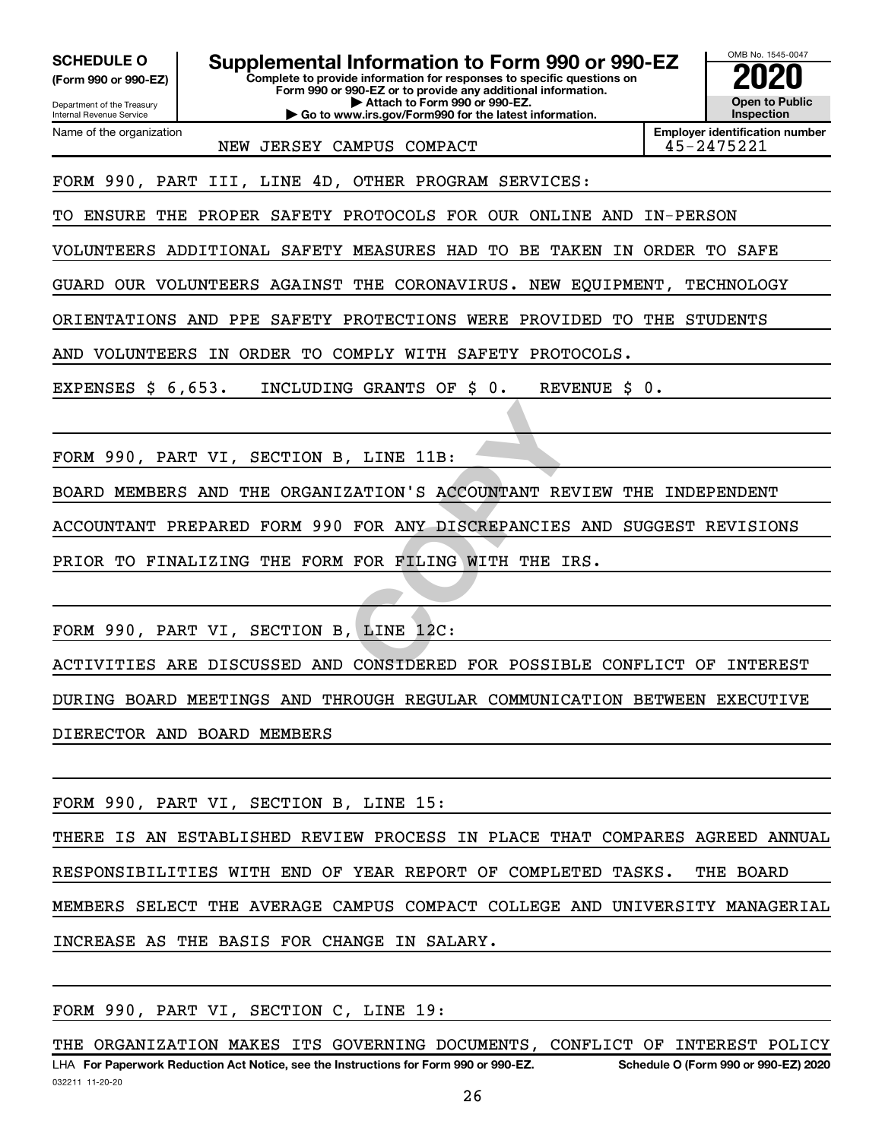Department of the Treasury **(Form 990 or 990-EZ)**

Name of the organization

Internal Revenue Service

**SCHEDULE O Supplemental Information to Form 990 or 990-EZ 2020**<br>(Form 990 or 990-EZ) Complete to provide information for responses to specific questions on

**Complete to provide information for responses to specific questions on Form 990 or 990-EZ or to provide any additional information. | Attach to Form 990 or 990-EZ.**

**| Go to www.irs.gov/Form990 for the latest information.**



**Employer identification number** NEW JERSEY CAMPUS COMPACT And the state of the 45-2475221

FORM 990, PART III, LINE 4D, OTHER PROGRAM SERVICES:

TO ENSURE THE PROPER SAFETY PROTOCOLS FOR OUR ONLINE AND IN-PERSON

VOLUNTEERS ADDITIONAL SAFETY MEASURES HAD TO BE TAKEN IN ORDER TO SAFE

GUARD OUR VOLUNTEERS AGAINST THE CORONAVIRUS. NEW EQUIPMENT, TECHNOLOGY

ORIENTATIONS AND PPE SAFETY PROTECTIONS WERE PROVIDED TO THE STUDENTS

AND VOLUNTEERS IN ORDER TO COMPLY WITH SAFETY PROTOCOLS.

EXPENSES \$ 6,653. INCLUDING GRANTS OF \$ 0. REVENUE \$ 0.

FORM 990, PART VI, SECTION B, LINE 11B:

BOARD MEMBERS AND THE ORGANIZATION'S ACCOUNTANT REVIEW THE INDEPENDENT

ACCOUNTANT PREPARED FORM 990 FOR ANY DISCREPANCIES AND SUGGEST REVISIONS

PRIOR TO FINALIZING THE FORM FOR FILING WITH THE IRS.

FORM 990, PART VI, SECTION B, LINE 12C:

**EXATION'S ACCOUNTANT REVIEW FOR ANY DISCREPANCIES AND<br>
FOR ANY DISCREPANCIES AND<br>
FOR FILING WITH THE IRS.<br>
, LINE 12C:<br>
CONSIDERED FOR POSSIBLE CO** ACTIVITIES ARE DISCUSSED AND CONSIDERED FOR POSSIBLE CONFLICT OF INTEREST DURING BOARD MEETINGS AND THROUGH REGULAR COMMUNICATION BETWEEN EXECUTIVE DIERECTOR AND BOARD MEMBERS

FORM 990, PART VI, SECTION B, LINE 15:

THERE IS AN ESTABLISHED REVIEW PROCESS IN PLACE THAT COMPARES AGREED ANNUAL RESPONSIBILITIES WITH END OF YEAR REPORT OF COMPLETED TASKS. THE BOARD MEMBERS SELECT THE AVERAGE CAMPUS COMPACT COLLEGE AND UNIVERSITY MANAGERIAL INCREASE AS THE BASIS FOR CHANGE IN SALARY.

FORM 990, PART VI, SECTION C, LINE 19:

032211 11-20-20 **For Paperwork Reduction Act Notice, see the Instructions for Form 990 or 990-EZ. Schedule O (Form 990 or 990-EZ) 2020** LHA THE ORGANIZATION MAKES ITS GOVERNING DOCUMENTS, CONFLICT OF INTEREST POLICY